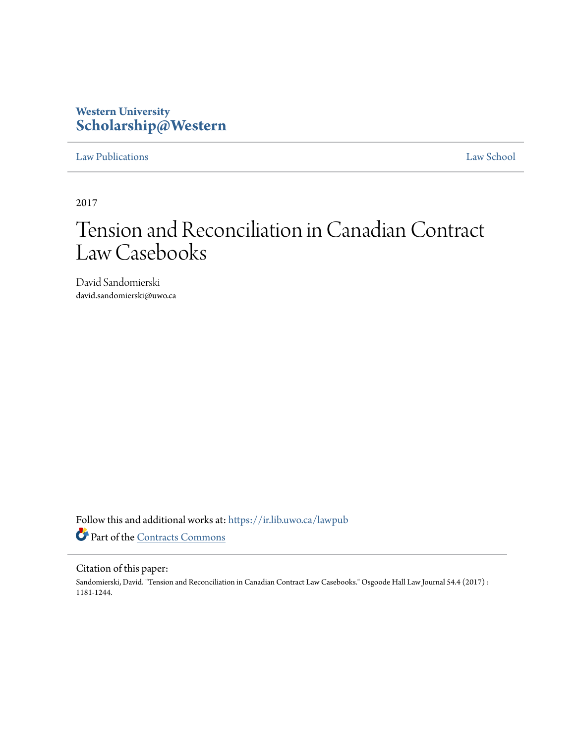### **Western University [Scholarship@Western](https://ir.lib.uwo.ca?utm_source=ir.lib.uwo.ca%2Flawpub%2F294&utm_medium=PDF&utm_campaign=PDFCoverPages)**

### [Law Publications](https://ir.lib.uwo.ca/lawpub?utm_source=ir.lib.uwo.ca%2Flawpub%2F294&utm_medium=PDF&utm_campaign=PDFCoverPages) [Law School](https://ir.lib.uwo.ca/law?utm_source=ir.lib.uwo.ca%2Flawpub%2F294&utm_medium=PDF&utm_campaign=PDFCoverPages)

2017

# Tension and Reconciliation in Canadian Contract Law Casebooks

David Sandomierski david.sandomierski@uwo.ca

Follow this and additional works at: [https://ir.lib.uwo.ca/lawpub](https://ir.lib.uwo.ca/lawpub?utm_source=ir.lib.uwo.ca%2Flawpub%2F294&utm_medium=PDF&utm_campaign=PDFCoverPages) Part of the [Contracts Commons](http://network.bepress.com/hgg/discipline/591?utm_source=ir.lib.uwo.ca%2Flawpub%2F294&utm_medium=PDF&utm_campaign=PDFCoverPages)

### Citation of this paper:

Sandomierski, David. "Tension and Reconciliation in Canadian Contract Law Casebooks." Osgoode Hall Law Journal 54.4 (2017) : 1181-1244.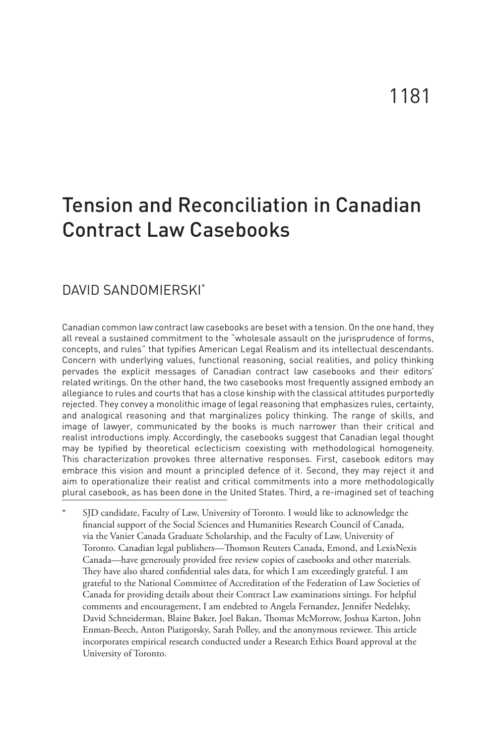## Tension and Reconciliation in Canadian Contract Law Casebooks

### DAVID SANDOMIERSKI\*

Canadian common law contract law casebooks are beset with a tension. On the one hand, they all reveal a sustained commitment to the "wholesale assault on the jurisprudence of forms, concepts, and rules" that typifies American Legal Realism and its intellectual descendants. Concern with underlying values, functional reasoning, social realities, and policy thinking pervades the explicit messages of Canadian contract law casebooks and their editors' related writings. On the other hand, the two casebooks most frequently assigned embody an allegiance to rules and courts that has a close kinship with the classical attitudes purportedly rejected. They convey a monolithic image of legal reasoning that emphasizes rules, certainty, and analogical reasoning and that marginalizes policy thinking. The range of skills, and image of lawyer, communicated by the books is much narrower than their critical and realist introductions imply. Accordingly, the casebooks suggest that Canadian legal thought may be typified by theoretical eclecticism coexisting with methodological homogeneity. This characterization provokes three alternative responses. First, casebook editors may embrace this vision and mount a principled defence of it. Second, they may reject it and aim to operationalize their realist and critical commitments into a more methodologically plural casebook, as has been done in the United States. Third, a re-imagined set of teaching

SJD candidate, Faculty of Law, University of Toronto. I would like to acknowledge the financial support of the Social Sciences and Humanities Research Council of Canada, via the Vanier Canada Graduate Scholarship, and the Faculty of Law, University of Toronto. Canadian legal publishers—Thomson Reuters Canada, Emond, and LexisNexis Canada—have generously provided free review copies of casebooks and other materials. They have also shared confidential sales data, for which I am exceedingly grateful. I am grateful to the National Committee of Accreditation of the Federation of Law Societies of Canada for providing details about their Contract Law examinations sittings. For helpful comments and encouragement, I am endebted to Angela Fernandez, Jennifer Nedelsky, David Schneiderman, Blaine Baker, Joel Bakan, Thomas McMorrow, Joshua Karton, John Enman-Beech, Anton Piatigorsky, Sarah Polley, and the anonymous reviewer. This article incorporates empirical research conducted under a Research Ethics Board approval at the University of Toronto.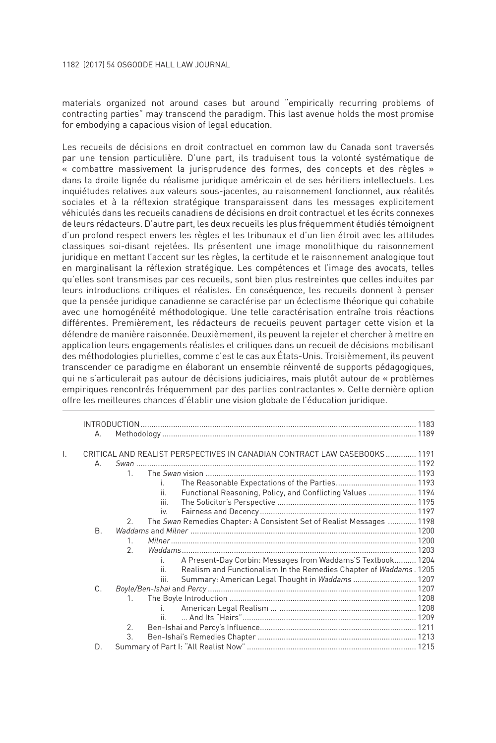1182 (2017) 54 OSGOODE HALL LAW JOURNAL

materials organized not around cases but around "empirically recurring problems of contracting parties" may transcend the paradigm. This last avenue holds the most promise for embodying a capacious vision of legal education.

Les recueils de décisions en droit contractuel en common law du Canada sont traversés par une tension particulière. D'une part, ils traduisent tous la volonté systématique de « combattre massivement la jurisprudence des formes, des concepts et des règles » dans la droite lignée du réalisme juridique américain et de ses héritiers intellectuels. Les inquiétudes relatives aux valeurs sous-jacentes, au raisonnement fonctionnel, aux réalités sociales et à la réflexion stratégique transparaissent dans les messages explicitement véhiculés dans les recueils canadiens de décisions en droit contractuel et les écrits connexes de leurs rédacteurs. D'autre part, les deux recueils les plus fréquemment étudiés témoignent d'un profond respect envers les règles et les tribunaux et d'un lien étroit avec les attitudes classiques soi-disant rejetées. Ils présentent une image monolithique du raisonnement juridique en mettant l'accent sur les règles, la certitude et le raisonnement analogique tout en marginalisant la réflexion stratégique. Les compétences et l'image des avocats, telles qu'elles sont transmises par ces recueils, sont bien plus restreintes que celles induites par leurs introductions critiques et réalistes. En conséquence, les recueils donnent à penser que la pensée juridique canadienne se caractérise par un éclectisme théorique qui cohabite avec une homogénéité méthodologique. Une telle caractérisation entraîne trois réactions différentes. Premièrement, les rédacteurs de recueils peuvent partager cette vision et la défendre de manière raisonnée. Deuxièmement, ils peuvent la rejeter et chercher à mettre en application leurs engagements réalistes et critiques dans un recueil de décisions mobilisant des méthodologies plurielles, comme c'est le cas aux États-Unis. Troisièmement, ils peuvent transcender ce paradigme en élaborant un ensemble réinventé de supports pédagogiques, qui ne s'articulerait pas autour de décisions judiciaires, mais plutôt autour de « problèmes empiriques rencontrés fréquemment par des parties contractantes ». Cette dernière option offre les meilleures chances d'établir une vision globale de l'éducation juridique.

|    | А.        |               |      |                                                                            |  |  |  |
|----|-----------|---------------|------|----------------------------------------------------------------------------|--|--|--|
| I. |           |               |      | CRITICAL AND REALIST PERSPECTIVES IN CANADIAN CONTRACT LAW CASEBOOKS  1191 |  |  |  |
|    | А.        |               |      |                                                                            |  |  |  |
|    |           | $\mathbf{1}$  |      |                                                                            |  |  |  |
|    |           |               | L.   |                                                                            |  |  |  |
|    |           |               | Ш.   | Functional Reasoning, Policy, and Conflicting Values  1194                 |  |  |  |
|    |           |               | Ш.   |                                                                            |  |  |  |
|    |           |               | iv.  |                                                                            |  |  |  |
|    |           | $\mathcal{P}$ |      | The Swan Remedies Chapter: A Consistent Set of Realist Messages  1198      |  |  |  |
|    | <b>B.</b> |               |      |                                                                            |  |  |  |
|    |           | $\mathbf{1}$  |      |                                                                            |  |  |  |
|    |           | $\mathcal{P}$ |      |                                                                            |  |  |  |
|    |           |               |      | A Present-Day Corbin: Messages from Waddams'S Textbook 1204                |  |  |  |
|    |           |               |      | Realism and Functionalism In the Remedies Chapter of Waddams. 1205         |  |  |  |
|    |           |               | III. | Summary: American Legal Thought in Waddams  1207                           |  |  |  |
|    | C.        |               |      |                                                                            |  |  |  |
|    |           | 1             |      |                                                                            |  |  |  |
|    |           |               |      |                                                                            |  |  |  |
|    |           |               |      |                                                                            |  |  |  |
|    |           | 2.            |      |                                                                            |  |  |  |
|    |           | 3.            |      |                                                                            |  |  |  |
|    | D.        |               |      |                                                                            |  |  |  |
|    |           |               |      |                                                                            |  |  |  |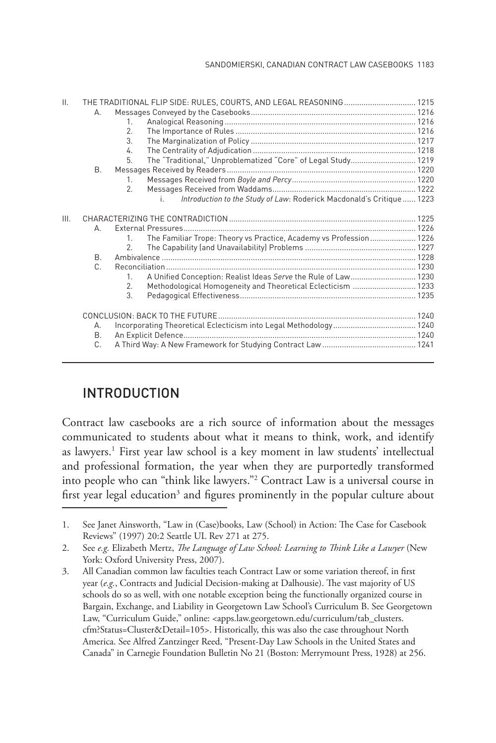| II. | THE TRADITIONAL FLIP SIDE: RULES, COURTS, AND LEGAL REASONING  1215 |                                                                                    |  |  |  |
|-----|---------------------------------------------------------------------|------------------------------------------------------------------------------------|--|--|--|
|     | А.                                                                  |                                                                                    |  |  |  |
|     |                                                                     | $\mathbf{1}$                                                                       |  |  |  |
|     |                                                                     | 2.                                                                                 |  |  |  |
|     |                                                                     | $\mathcal{R}$                                                                      |  |  |  |
|     |                                                                     | 4.                                                                                 |  |  |  |
|     |                                                                     | The "Traditional," Unproblematized "Core" of Legal Study 1219<br>5.                |  |  |  |
|     | B.                                                                  |                                                                                    |  |  |  |
|     |                                                                     | 1.                                                                                 |  |  |  |
|     |                                                                     | 2.                                                                                 |  |  |  |
|     |                                                                     | Introduction to the Study of Law: Roderick Macdonald's Critique  1223<br>i.        |  |  |  |
| Ш.  |                                                                     |                                                                                    |  |  |  |
|     | А.                                                                  |                                                                                    |  |  |  |
|     |                                                                     | The Familiar Trope: Theory vs Practice, Academy vs Profession 1226<br>$\mathbf{1}$ |  |  |  |
|     |                                                                     | 2.                                                                                 |  |  |  |
|     | B.                                                                  |                                                                                    |  |  |  |
|     | $\mathsf{C}$                                                        |                                                                                    |  |  |  |
|     |                                                                     | A Unified Conception: Realist Ideas Serve the Rule of Law 1230<br>$1_{-}$          |  |  |  |
|     |                                                                     | Methodological Homogeneity and Theoretical Eclecticism  1233<br>2.                 |  |  |  |
|     |                                                                     | 3.                                                                                 |  |  |  |
|     |                                                                     |                                                                                    |  |  |  |
|     | А.                                                                  |                                                                                    |  |  |  |
|     | <b>B.</b>                                                           |                                                                                    |  |  |  |
|     | C.                                                                  |                                                                                    |  |  |  |
|     |                                                                     |                                                                                    |  |  |  |

### INTRODUCTION

Contract law casebooks are a rich source of information about the messages communicated to students about what it means to think, work, and identify as lawyers.<sup>1</sup> First year law school is a key moment in law students' intellectual and professional formation, the year when they are purportedly transformed into people who can "think like lawyers."2 Contract Law is a universal course in first year legal education<sup>3</sup> and figures prominently in the popular culture about

<sup>1.</sup> See Janet Ainsworth, "Law in (Case)books, Law (School) in Action: The Case for Casebook Reviews" (1997) 20:2 Seattle UL Rev 271 at 275.

<sup>2.</sup> See *e.g.* Elizabeth Mertz, *The Language of Law School: Learning to Think Like a Lawyer* (New York: Oxford University Press, 2007).

<sup>3.</sup> All Canadian common law faculties teach Contract Law or some variation thereof, in first year (*e.g.*, Contracts and Judicial Decision-making at Dalhousie). The vast majority of US schools do so as well, with one notable exception being the functionally organized course in Bargain, Exchange, and Liability in Georgetown Law School's Curriculum B. See Georgetown Law, "Curriculum Guide," online: <apps.law.georgetown.edu/curriculum/tab\_clusters. cfm?Status=Cluster&Detail=105>. Historically, this was also the case throughout North America. See Alfred Zantzinger Reed, "Present-Day Law Schools in the United States and Canada" in Carnegie Foundation Bulletin No 21 (Boston: Merrymount Press, 1928) at 256.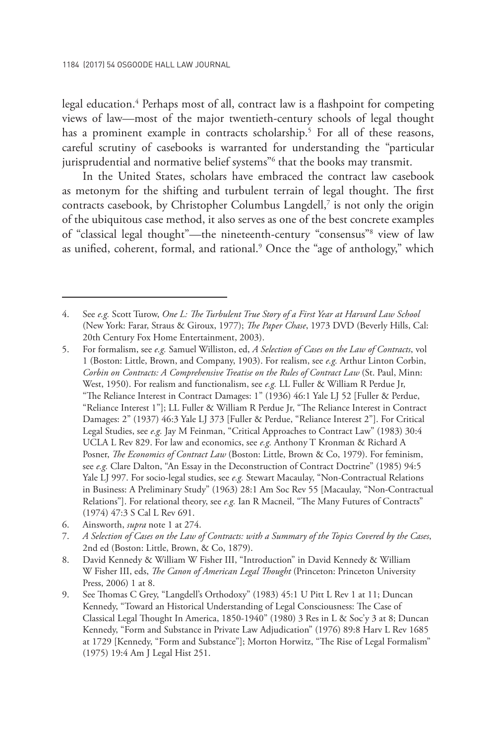legal education.4 Perhaps most of all, contract law is a flashpoint for competing views of law—most of the major twentieth-century schools of legal thought has a prominent example in contracts scholarship.<sup>5</sup> For all of these reasons, careful scrutiny of casebooks is warranted for understanding the "particular jurisprudential and normative belief systems"<sup>6</sup> that the books may transmit.

In the United States, scholars have embraced the contract law casebook as metonym for the shifting and turbulent terrain of legal thought. The first contracts casebook, by Christopher Columbus Langdell,<sup>7</sup> is not only the origin of the ubiquitous case method, it also serves as one of the best concrete examples of "classical legal thought"—the nineteenth-century "consensus"8 view of law as unified, coherent, formal, and rational.<sup>9</sup> Once the "age of anthology," which

<sup>4.</sup> See *e.g.* Scott Turow, *One L: The Turbulent True Story of a First Year at Harvard Law School* (New York: Farar, Straus & Giroux, 1977); *The Paper Chase*, 1973 DVD (Beverly Hills, Cal: 20th Century Fox Home Entertainment, 2003).

<sup>5.</sup> For formalism, see *e.g.* Samuel Williston, ed, *A Selection of Cases on the Law of Contracts*, vol 1 (Boston: Little, Brown, and Company, 1903). For realism, see *e.g.* Arthur Linton Corbin, *Corbin on Contracts: A Comprehensive Treatise on the Rules of Contract Law* (St. Paul, Minn: West, 1950). For realism and functionalism, see *e.g.* LL Fuller & William R Perdue Jr, "The Reliance Interest in Contract Damages: 1" (1936) 46:1 Yale LJ 52 [Fuller & Perdue, "Reliance Interest 1"]; LL Fuller & William R Perdue Jr, "The Reliance Interest in Contract Damages: 2" (1937) 46:3 Yale LJ 373 [Fuller & Perdue, "Reliance Interest 2"]. For Critical Legal Studies, see *e.g.* Jay M Feinman, "Critical Approaches to Contract Law" (1983) 30:4 UCLA L Rev 829. For law and economics, see *e.g.* Anthony T Kronman & Richard A Posner, *The Economics of Contract Law* (Boston: Little, Brown & Co, 1979). For feminism, see *e.g.* Clare Dalton, "An Essay in the Deconstruction of Contract Doctrine" (1985) 94:5 Yale LJ 997. For socio-legal studies, see *e.g.* Stewart Macaulay, "Non-Contractual Relations in Business: A Preliminary Study" (1963) 28:1 Am Soc Rev 55 [Macaulay, "Non-Contractual Relations"]. For relational theory, see *e.g.* Ian R Macneil, "The Many Futures of Contracts" (1974) 47:3 S Cal L Rev 691.

<sup>6.</sup> Ainsworth, *supra* note 1 at 274.

<sup>7.</sup> *A Selection of Cases on the Law of Contracts: with a Summary of the Topics Covered by the Cases*, 2nd ed (Boston: Little, Brown, & Co, 1879).

<sup>8.</sup> David Kennedy & William W Fisher III, "Introduction" in David Kennedy & William W Fisher III, eds, *The Canon of American Legal Thought* (Princeton: Princeton University Press, 2006) 1 at 8.

<sup>9.</sup> See Thomas C Grey, "Langdell's Orthodoxy" (1983) 45:1 U Pitt L Rev 1 at 11; Duncan Kennedy, "Toward an Historical Understanding of Legal Consciousness: The Case of Classical Legal Thought In America, 1850-1940" (1980) 3 Res in L & Soc'y 3 at 8; Duncan Kennedy, "Form and Substance in Private Law Adjudication" (1976) 89:8 Harv L Rev 1685 at 1729 [Kennedy, "Form and Substance"]; Morton Horwitz, "The Rise of Legal Formalism" (1975) 19:4 Am J Legal Hist 251.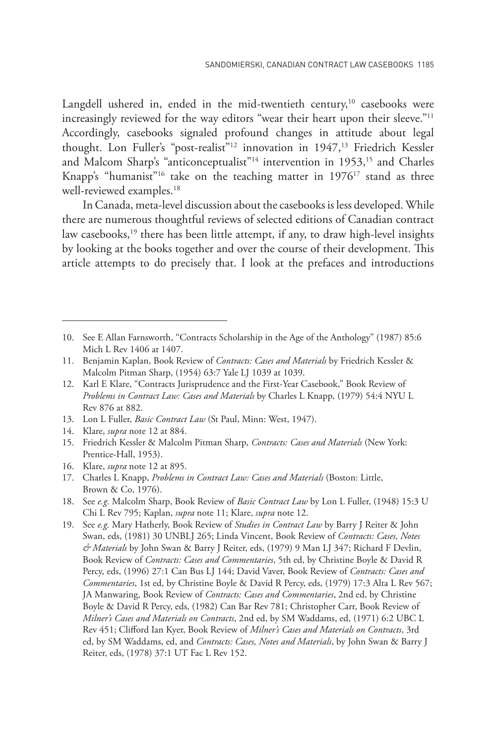Langdell ushered in, ended in the mid-twentieth century,<sup>10</sup> casebooks were increasingly reviewed for the way editors "wear their heart upon their sleeve."<sup>11</sup> Accordingly, casebooks signaled profound changes in attitude about legal thought. Lon Fuller's "post-realist"<sup>12</sup> innovation in 1947,<sup>13</sup> Friedrich Kessler and Malcom Sharp's "anticonceptualist"<sup>14</sup> intervention in 1953,<sup>15</sup> and Charles Knapp's "humanist"<sup>16</sup> take on the teaching matter in  $1976^{17}$  stand as three well-reviewed examples.<sup>18</sup>

In Canada, meta-level discussion about the casebooks is less developed. While there are numerous thoughtful reviews of selected editions of Canadian contract law casebooks, $19$  there has been little attempt, if any, to draw high-level insights by looking at the books together and over the course of their development. This article attempts to do precisely that. I look at the prefaces and introductions

- 13. Lon L Fuller, *Basic Contract Law* (St Paul, Minn: West, 1947).
- 14. Klare, *supra* note 12 at 884.
- 15. Friedrich Kessler & Malcolm Pitman Sharp, *Contracts: Cases and Materials* (New York: Prentice-Hall, 1953).
- 16. Klare, *supra* note 12 at 895.
- 17. Charles L Knapp, *Problems in Contract Law: Cases and Materials* (Boston: Little, Brown & Co, 1976).
- 18. See *e.g.* Malcolm Sharp, Book Review of *Basic Contract Law* by Lon L Fuller, (1948) 15:3 U Chi L Rev 795; Kaplan, *supra* note 11; Klare, *supra* note 12.
- 19. See *e.g.* Mary Hatherly, Book Review of *Studies in Contract Law* by Barry J Reiter & John Swan, eds, (1981) 30 UNBLJ 265; Linda Vincent, Book Review of *Contracts: Cases, Notes & Materials* by John Swan & Barry J Reiter, eds, (1979) 9 Man LJ 347; Richard F Devlin, Book Review of *Contracts: Cases and Commentaries*, 5th ed, by Christine Boyle & David R Percy, eds, (1996) 27:1 Can Bus LJ 144; David Vaver, Book Review of *Contracts: Cases and Commentaries*, 1st ed, by Christine Boyle & David R Percy, eds, (1979) 17:3 Alta L Rev 567; JA Manwaring, Book Review of *Contracts: Cases and Commentaries*, 2nd ed, by Christine Boyle & David R Percy, eds, (1982) Can Bar Rev 781; Christopher Carr, Book Review of *Milner's Cases and Materials on Contracts*, 2nd ed, by SM Waddams, ed, (1971) 6:2 UBC L Rev 451; Clifford Ian Kyer, Book Review of *Milner's Cases and Materials on Contracts*, 3rd ed, by SM Waddams, ed, and *Contracts: Cases, Notes and Materials*, by John Swan & Barry J Reiter, eds, (1978) 37:1 UT Fac L Rev 152.

<sup>10.</sup> See E Allan Farnsworth, "Contracts Scholarship in the Age of the Anthology" (1987) 85:6 Mich L Rev 1406 at 1407.

<sup>11.</sup> Benjamin Kaplan, Book Review of *Contracts: Cases and Materials* by Friedrich Kessler & Malcolm Pitman Sharp, (1954) 63:7 Yale LJ 1039 at 1039.

<sup>12.</sup> Karl E Klare, "Contracts Jurisprudence and the First-Year Casebook," Book Review of *Problems in Contract Law: Cases and Materials* by Charles L Knapp, (1979) 54:4 NYU L Rev 876 at 882.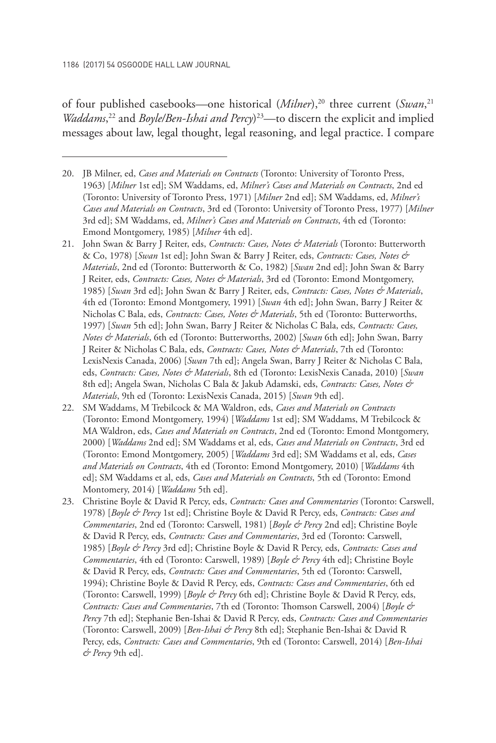of four published casebooks—one historical (*Milner*),<sup>20</sup> three current (*Swan*,<sup>21</sup> *Waddams*,<sup>22</sup> and *Boyle/Ben-Ishai and Percy*)<sup>23</sup>—to discern the explicit and implied messages about law, legal thought, legal reasoning, and legal practice. I compare

- 21. John Swan & Barry J Reiter, eds, *Contracts: Cases, Notes & Materials* (Toronto: Butterworth & Co, 1978) [*Swan* 1st ed]; John Swan & Barry J Reiter, eds, *Contracts: Cases, Notes & Materials*, 2nd ed (Toronto: Butterworth & Co, 1982) [*Swan* 2nd ed]; John Swan & Barry J Reiter, eds, *Contracts: Cases, Notes & Materials*, 3rd ed (Toronto: Emond Montgomery, 1985) [*Swan* 3rd ed]; John Swan & Barry J Reiter, eds, *Contracts: Cases, Notes & Materials*, 4th ed (Toronto: Emond Montgomery, 1991) [*Swan* 4th ed]; John Swan, Barry J Reiter & Nicholas C Bala, eds, *Contracts: Cases, Notes & Materials*, 5th ed (Toronto: Butterworths, 1997) [*Swan* 5th ed]; John Swan, Barry J Reiter & Nicholas C Bala, eds, *Contracts: Cases, Notes & Materials*, 6th ed (Toronto: Butterworths, 2002) [*Swan* 6th ed]; John Swan, Barry J Reiter & Nicholas C Bala, eds, *Contracts: Cases, Notes & Materials*, 7th ed (Toronto: LexisNexis Canada, 2006) [*Swan* 7th ed]; Angela Swan, Barry J Reiter & Nicholas C Bala, eds, *Contracts: Cases, Notes & Materials*, 8th ed (Toronto: LexisNexis Canada, 2010) [*Swan*  8th ed]; Angela Swan, Nicholas C Bala & Jakub Adamski, eds, *Contracts: Cases, Notes & Materials*, 9th ed (Toronto: LexisNexis Canada, 2015) [*Swan* 9th ed].
- 22. SM Waddams, M Trebilcock & MA Waldron, eds, *Cases and Materials on Contracts*  (Toronto: Emond Montgomery, 1994) [*Waddams* 1st ed]; SM Waddams, M Trebilcock & MA Waldron, eds, *Cases and Materials on Contracts*, 2nd ed (Toronto: Emond Montgomery, 2000) [*Waddams* 2nd ed]; SM Waddams et al, eds, *Cases and Materials on Contracts*, 3rd ed (Toronto: Emond Montgomery, 2005) [*Waddams* 3rd ed]; SM Waddams et al, eds, *Cases and Materials on Contracts*, 4th ed (Toronto: Emond Montgomery, 2010) [*Waddams* 4th ed]; SM Waddams et al, eds, *Cases and Materials on Contracts*, 5th ed (Toronto: Emond Montomery, 2014) [*Waddams* 5th ed].
- 23. Christine Boyle & David R Percy, eds, *Contracts: Cases and Commentaries* (Toronto: Carswell, 1978) [*Boyle & Percy* 1st ed]; Christine Boyle & David R Percy, eds, *Contracts: Cases and Commentaries*, 2nd ed (Toronto: Carswell, 1981) [*Boyle & Percy* 2nd ed]; Christine Boyle & David R Percy, eds, *Contracts: Cases and Commentaries*, 3rd ed (Toronto: Carswell, 1985) [*Boyle & Percy* 3rd ed]; Christine Boyle & David R Percy, eds, *Contracts: Cases and Commentaries*, 4th ed (Toronto: Carswell, 1989) [*Boyle & Percy* 4th ed]; Christine Boyle & David R Percy, eds, *Contracts: Cases and Commentaries*, 5th ed (Toronto: Carswell, 1994); Christine Boyle & David R Percy, eds, *Contracts: Cases and Commentaries*, 6th ed (Toronto: Carswell, 1999) [*Boyle & Percy* 6th ed]; Christine Boyle & David R Percy, eds, *Contracts: Cases and Commentaries*, 7th ed (Toronto: Thomson Carswell, 2004) [*Boyle & Percy* 7th ed]; Stephanie Ben-Ishai & David R Percy, eds, *Contracts: Cases and Commentaries* (Toronto: Carswell, 2009) [*Ben-Ishai & Percy* 8th ed]; Stephanie Ben-Ishai & David R Percy, eds, *Contracts: Cases and Commentaries*, 9th ed (Toronto: Carswell, 2014) [*Ben-Ishai & Percy* 9th ed].

<sup>20.</sup> JB Milner, ed, *Cases and Materials on Contracts* (Toronto: University of Toronto Press, 1963) [*Milner* 1st ed]; SM Waddams, ed, *Milner's Cases and Materials on Contracts*, 2nd ed (Toronto: University of Toronto Press, 1971) [*Milner* 2nd ed]; SM Waddams, ed, *Milner's Cases and Materials on Contracts*, 3rd ed (Toronto: University of Toronto Press, 1977) [*Milner*  3rd ed]; SM Waddams, ed, *Milner's Cases and Materials on Contracts*, 4th ed (Toronto: Emond Montgomery, 1985) [*Milner* 4th ed].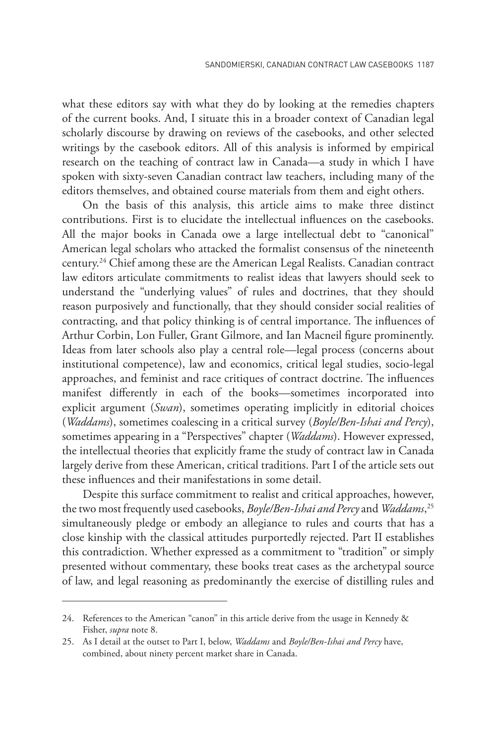what these editors say with what they do by looking at the remedies chapters of the current books. And, I situate this in a broader context of Canadian legal scholarly discourse by drawing on reviews of the casebooks, and other selected writings by the casebook editors. All of this analysis is informed by empirical research on the teaching of contract law in Canada—a study in which I have spoken with sixty-seven Canadian contract law teachers, including many of the editors themselves, and obtained course materials from them and eight others.

On the basis of this analysis, this article aims to make three distinct contributions. First is to elucidate the intellectual influences on the casebooks. All the major books in Canada owe a large intellectual debt to "canonical" American legal scholars who attacked the formalist consensus of the nineteenth century.24 Chief among these are the American Legal Realists. Canadian contract law editors articulate commitments to realist ideas that lawyers should seek to understand the "underlying values" of rules and doctrines, that they should reason purposively and functionally, that they should consider social realities of contracting, and that policy thinking is of central importance. The influences of Arthur Corbin, Lon Fuller, Grant Gilmore, and Ian Macneil figure prominently. Ideas from later schools also play a central role—legal process (concerns about institutional competence), law and economics, critical legal studies, socio-legal approaches, and feminist and race critiques of contract doctrine. The influences manifest differently in each of the books—sometimes incorporated into explicit argument (*Swan*), sometimes operating implicitly in editorial choices (*Waddams*), sometimes coalescing in a critical survey (*Boyle/Ben-Ishai and Percy*), sometimes appearing in a "Perspectives" chapter (*Waddams*). However expressed, the intellectual theories that explicitly frame the study of contract law in Canada largely derive from these American, critical traditions. Part I of the article sets out these influences and their manifestations in some detail.

Despite this surface commitment to realist and critical approaches, however, the two most frequently used casebooks, *Boyle/Ben-Ishai and Percy* and *Waddams*, 25 simultaneously pledge or embody an allegiance to rules and courts that has a close kinship with the classical attitudes purportedly rejected. Part II establishes this contradiction. Whether expressed as a commitment to "tradition" or simply presented without commentary, these books treat cases as the archetypal source of law, and legal reasoning as predominantly the exercise of distilling rules and

<sup>24.</sup> References to the American "canon" in this article derive from the usage in Kennedy & Fisher, *supra* note 8.

<sup>25.</sup> As I detail at the outset to Part I, below, *Waddams* and *Boyle/Ben-Ishai and Percy* have, combined, about ninety percent market share in Canada.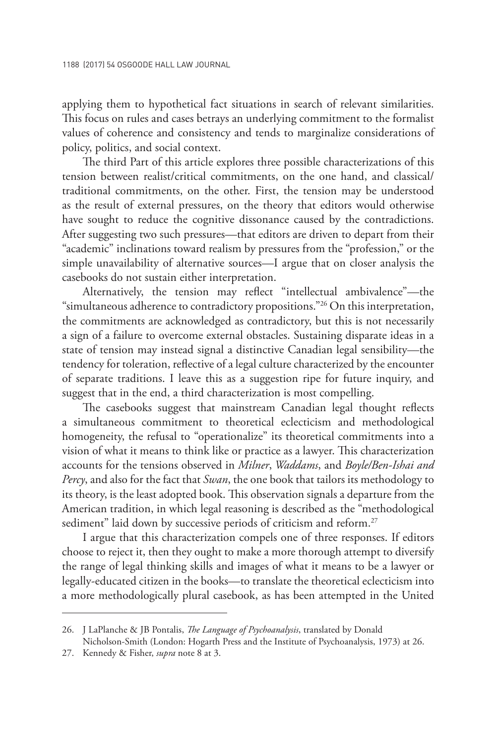applying them to hypothetical fact situations in search of relevant similarities. This focus on rules and cases betrays an underlying commitment to the formalist values of coherence and consistency and tends to marginalize considerations of policy, politics, and social context.

The third Part of this article explores three possible characterizations of this tension between realist/critical commitments, on the one hand, and classical/ traditional commitments, on the other. First, the tension may be understood as the result of external pressures, on the theory that editors would otherwise have sought to reduce the cognitive dissonance caused by the contradictions. After suggesting two such pressures—that editors are driven to depart from their "academic" inclinations toward realism by pressures from the "profession," or the simple unavailability of alternative sources—I argue that on closer analysis the casebooks do not sustain either interpretation.

Alternatively, the tension may reflect "intellectual ambivalence"—the "simultaneous adherence to contradictory propositions."26 On this interpretation, the commitments are acknowledged as contradictory, but this is not necessarily a sign of a failure to overcome external obstacles. Sustaining disparate ideas in a state of tension may instead signal a distinctive Canadian legal sensibility—the tendency for toleration, reflective of a legal culture characterized by the encounter of separate traditions. I leave this as a suggestion ripe for future inquiry, and suggest that in the end, a third characterization is most compelling.

The casebooks suggest that mainstream Canadian legal thought reflects a simultaneous commitment to theoretical eclecticism and methodological homogeneity, the refusal to "operationalize" its theoretical commitments into a vision of what it means to think like or practice as a lawyer. This characterization accounts for the tensions observed in *Milner*, *Waddams*, and *Boyle/Ben-Ishai and Percy*, and also for the fact that *Swan*, the one book that tailors its methodology to its theory, is the least adopted book. This observation signals a departure from the American tradition, in which legal reasoning is described as the "methodological sediment" laid down by successive periods of criticism and reform.<sup>27</sup>

I argue that this characterization compels one of three responses. If editors choose to reject it, then they ought to make a more thorough attempt to diversify the range of legal thinking skills and images of what it means to be a lawyer or legally-educated citizen in the books—to translate the theoretical eclecticism into a more methodologically plural casebook, as has been attempted in the United

<sup>26.</sup> J LaPlanche & JB Pontalis, *The Language of Psychoanalysis*, translated by Donald Nicholson-Smith (London: Hogarth Press and the Institute of Psychoanalysis, 1973) at 26.

<sup>27.</sup> Kennedy & Fisher, *supra* note 8 at 3.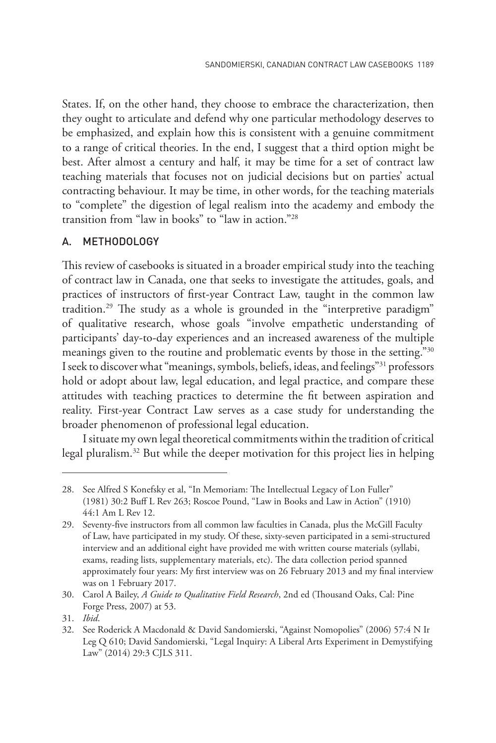States. If, on the other hand, they choose to embrace the characterization, then they ought to articulate and defend why one particular methodology deserves to be emphasized, and explain how this is consistent with a genuine commitment to a range of critical theories. In the end, I suggest that a third option might be best. After almost a century and half, it may be time for a set of contract law teaching materials that focuses not on judicial decisions but on parties' actual contracting behaviour. It may be time, in other words, for the teaching materials to "complete" the digestion of legal realism into the academy and embody the transition from "law in books" to "law in action."28

### A. METHODOLOGY

This review of casebooks is situated in a broader empirical study into the teaching of contract law in Canada, one that seeks to investigate the attitudes, goals, and practices of instructors of first-year Contract Law, taught in the common law tradition.29 The study as a whole is grounded in the "interpretive paradigm" of qualitative research, whose goals "involve empathetic understanding of participants' day-to-day experiences and an increased awareness of the multiple meanings given to the routine and problematic events by those in the setting."30 I seek to discover what "meanings, symbols, beliefs, ideas, and feelings"31 professors hold or adopt about law, legal education, and legal practice, and compare these attitudes with teaching practices to determine the fit between aspiration and reality. First-year Contract Law serves as a case study for understanding the broader phenomenon of professional legal education.

I situate my own legal theoretical commitments within the tradition of critical legal pluralism.32 But while the deeper motivation for this project lies in helping

<sup>28.</sup> See Alfred S Konefsky et al, "In Memoriam: The Intellectual Legacy of Lon Fuller" (1981) 30:2 Buff L Rev 263; Roscoe Pound, "Law in Books and Law in Action" (1910) 44:1 Am L Rev 12.

<sup>29.</sup> Seventy-five instructors from all common law faculties in Canada, plus the McGill Faculty of Law, have participated in my study. Of these, sixty-seven participated in a semi-structured interview and an additional eight have provided me with written course materials (syllabi, exams, reading lists, supplementary materials, etc). The data collection period spanned approximately four years: My first interview was on 26 February 2013 and my final interview was on 1 February 2017.

<sup>30.</sup> Carol A Bailey, *A Guide to Qualitative Field Research*, 2nd ed (Thousand Oaks, Cal: Pine Forge Press, 2007) at 53.

<sup>31.</sup> *Ibid*.

<sup>32.</sup> See Roderick A Macdonald & David Sandomierski, "Against Nomopolies" (2006) 57:4 N Ir Leg Q 610; David Sandomierski, "Legal Inquiry: A Liberal Arts Experiment in Demystifying Law" (2014) 29:3 CJLS 311.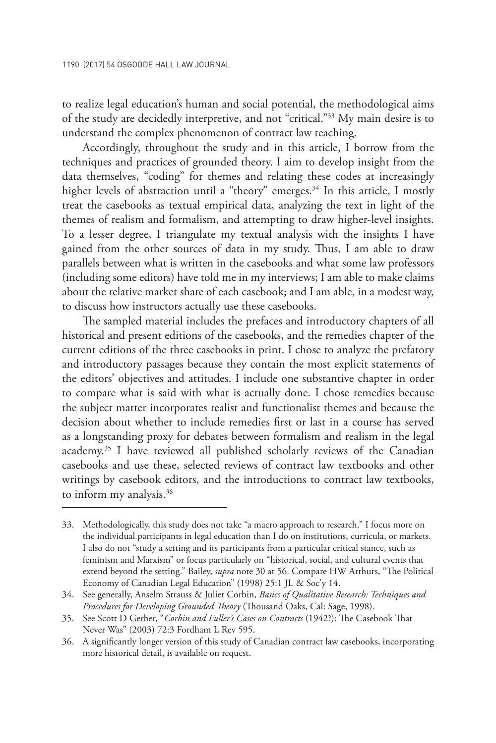to realize legal education's human and social potential, the methodological aims of the study are decidedly interpretive, and not "critical."33 My main desire is to understand the complex phenomenon of contract law teaching.

Accordingly, throughout the study and in this article, I borrow from the techniques and practices of grounded theory. I aim to develop insight from the data themselves, "coding" for themes and relating these codes at increasingly higher levels of abstraction until a "theory" emerges.<sup>34</sup> In this article, I mostly treat the casebooks as textual empirical data, analyzing the text in light of the themes of realism and formalism, and attempting to draw higher-level insights. To a lesser degree, I triangulate my textual analysis with the insights I have gained from the other sources of data in my study. Thus, I am able to draw parallels between what is written in the casebooks and what some law professors (including some editors) have told me in my interviews; I am able to make claims about the relative market share of each casebook; and I am able, in a modest way, to discuss how instructors actually use these casebooks.

The sampled material includes the prefaces and introductory chapters of all historical and present editions of the casebooks, and the remedies chapter of the current editions of the three casebooks in print. I chose to analyze the prefatory and introductory passages because they contain the most explicit statements of the editors' objectives and attitudes. I include one substantive chapter in order to compare what is said with what is actually done. I chose remedies because the subject matter incorporates realist and functionalist themes and because the decision about whether to include remedies first or last in a course has served as a longstanding proxy for debates between formalism and realism in the legal academy.35 I have reviewed all published scholarly reviews of the Canadian casebooks and use these, selected reviews of contract law textbooks and other writings by casebook editors, and the introductions to contract law textbooks, to inform my analysis.<sup>36</sup>

<sup>33.</sup> Methodologically, this study does not take "a macro approach to research." I focus more on the individual participants in legal education than I do on institutions, curricula, or markets. I also do not "study a setting and its participants from a particular critical stance, such as feminism and Marxism" or focus particularly on "historical, social, and cultural events that extend beyond the setting." Bailey, *supra* note 30 at 56. Compare HW Arthurs, "The Political Economy of Canadian Legal Education" (1998) 25:1 JL & Soc'y 14.

<sup>34.</sup> See generally, Anselm Strauss & Juliet Corbin, *Basics of Qualitative Research: Techniques and Procedures for Developing Grounded Theory* (Thousand Oaks, Cal: Sage, 1998).

<sup>35.</sup> See Scott D Gerber, "*Corbin and Fuller's Cases on Contracts* (1942?): The Casebook That Never Was" (2003) 72:3 Fordham L Rev 595.

<sup>36.</sup> A significantly longer version of this study of Canadian contract law casebooks, incorporating more historical detail, is available on request.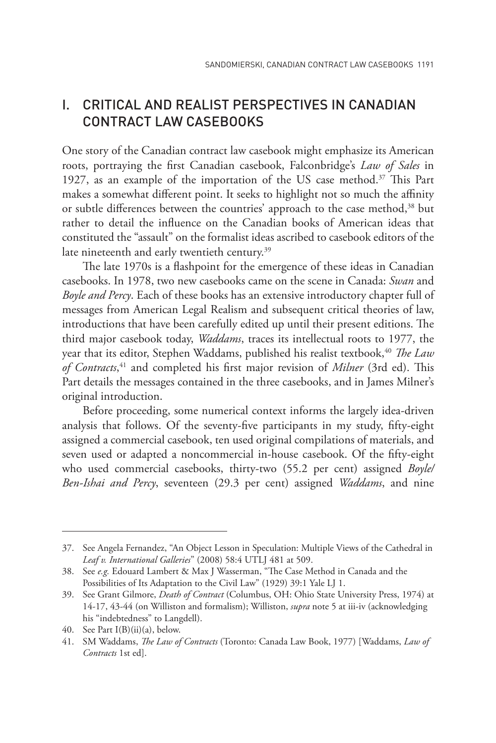### I. CRITICAL AND REALIST PERSPECTIVES IN CANADIAN CONTRACT LAW CASEBOOKS

One story of the Canadian contract law casebook might emphasize its American roots, portraying the first Canadian casebook, Falconbridge's *Law of Sales* in 1927, as an example of the importation of the US case method.<sup>37</sup> This Part makes a somewhat different point. It seeks to highlight not so much the affinity or subtle differences between the countries' approach to the case method,<sup>38</sup> but rather to detail the influence on the Canadian books of American ideas that constituted the "assault" on the formalist ideas ascribed to casebook editors of the late nineteenth and early twentieth century.<sup>39</sup>

The late 1970s is a flashpoint for the emergence of these ideas in Canadian casebooks. In 1978, two new casebooks came on the scene in Canada: *Swan* and *Boyle and Percy*. Each of these books has an extensive introductory chapter full of messages from American Legal Realism and subsequent critical theories of law, introductions that have been carefully edited up until their present editions. The third major casebook today, *Waddams*, traces its intellectual roots to 1977, the year that its editor, Stephen Waddams, published his realist textbook,<sup>40</sup> *The Law of Contracts*, 41 and completed his first major revision of *Milner* (3rd ed). This Part details the messages contained in the three casebooks, and in James Milner's original introduction.

Before proceeding, some numerical context informs the largely idea-driven analysis that follows. Of the seventy-five participants in my study, fifty-eight assigned a commercial casebook, ten used original compilations of materials, and seven used or adapted a noncommercial in-house casebook. Of the fifty-eight who used commercial casebooks, thirty-two (55.2 per cent) assigned *Boyle/ Ben-Ishai and Percy*, seventeen (29.3 per cent) assigned *Waddams*, and nine

<sup>37.</sup> See Angela Fernandez, "An Object Lesson in Speculation: Multiple Views of the Cathedral in *Leaf v. International Galleries*" (2008) 58:4 UTLJ 481 at 509.

<sup>38.</sup> See *e.g.* Edouard Lambert & Max J Wasserman, "The Case Method in Canada and the Possibilities of Its Adaptation to the Civil Law" (1929) 39:1 Yale LJ 1.

<sup>39.</sup> See Grant Gilmore, *Death of Contract* (Columbus, OH: Ohio State University Press, 1974) at 14-17, 43-44 (on Williston and formalism); Williston, *supra* note 5 at iii-iv (acknowledging his "indebtedness" to Langdell).

<sup>40.</sup> See Part I(B)(ii)(a), below.

<sup>41.</sup> SM Waddams, *The Law of Contracts* (Toronto: Canada Law Book, 1977) [Waddams, *Law of Contracts* 1st ed].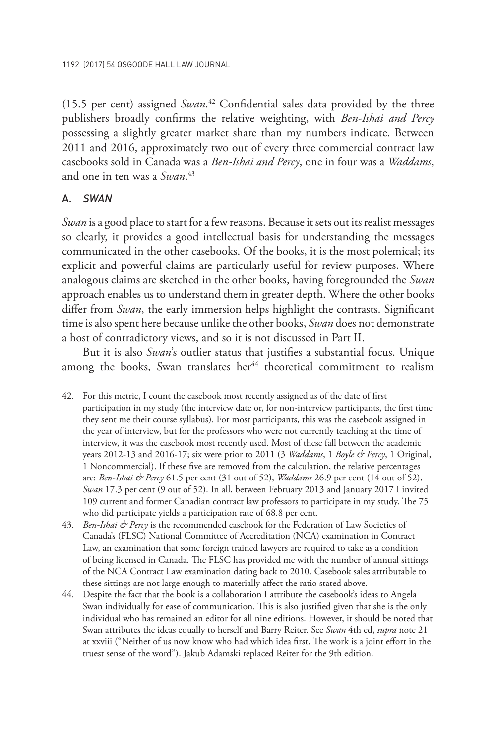(15.5 per cent) assigned *Swan*. 42 Confidential sales data provided by the three publishers broadly confirms the relative weighting, with *Ben-Ishai and Percy*  possessing a slightly greater market share than my numbers indicate. Between 2011 and 2016, approximately two out of every three commercial contract law casebooks sold in Canada was a *Ben-Ishai and Percy*, one in four was a *Waddams*, and one in ten was a *Swan*. 43

### A. *SWAN*

*Swan* is a good place to start for a few reasons. Because it sets out its realist messages so clearly, it provides a good intellectual basis for understanding the messages communicated in the other casebooks. Of the books, it is the most polemical; its explicit and powerful claims are particularly useful for review purposes. Where analogous claims are sketched in the other books, having foregrounded the *Swan*  approach enables us to understand them in greater depth. Where the other books differ from *Swan*, the early immersion helps highlight the contrasts. Significant time is also spent here because unlike the other books, *Swan* does not demonstrate a host of contradictory views, and so it is not discussed in Part II.

But it is also *Swan*'s outlier status that justifies a substantial focus. Unique among the books, Swan translates her<sup>44</sup> theoretical commitment to realism

<sup>42.</sup> For this metric, I count the casebook most recently assigned as of the date of first participation in my study (the interview date or, for non-interview participants, the first time they sent me their course syllabus). For most participants, this was the casebook assigned in the year of interview, but for the professors who were not currently teaching at the time of interview, it was the casebook most recently used. Most of these fall between the academic years 2012-13 and 2016-17; six were prior to 2011 (3 *Waddams*, 1 *Boyle & Percy*, 1 Original, 1 Noncommercial). If these five are removed from the calculation, the relative percentages are: *Ben-Ishai & Percy* 61.5 per cent (31 out of 52), *Waddams* 26.9 per cent (14 out of 52), *Swan* 17.3 per cent (9 out of 52). In all, between February 2013 and January 2017 I invited 109 current and former Canadian contract law professors to participate in my study. The 75 who did participate yields a participation rate of 68.8 per cent.

<sup>43.</sup> *Ben-Ishai & Percy* is the recommended casebook for the Federation of Law Societies of Canada's (FLSC) National Committee of Accreditation (NCA) examination in Contract Law, an examination that some foreign trained lawyers are required to take as a condition of being licensed in Canada. The FLSC has provided me with the number of annual sittings of the NCA Contract Law examination dating back to 2010. Casebook sales attributable to these sittings are not large enough to materially affect the ratio stated above.

<sup>44.</sup> Despite the fact that the book is a collaboration I attribute the casebook's ideas to Angela Swan individually for ease of communication. This is also justified given that she is the only individual who has remained an editor for all nine editions. However, it should be noted that Swan attributes the ideas equally to herself and Barry Reiter. See *Swan* 4th ed, *supra* note 21 at xxviii ("Neither of us now know who had which idea first. The work is a joint effort in the truest sense of the word"). Jakub Adamski replaced Reiter for the 9th edition.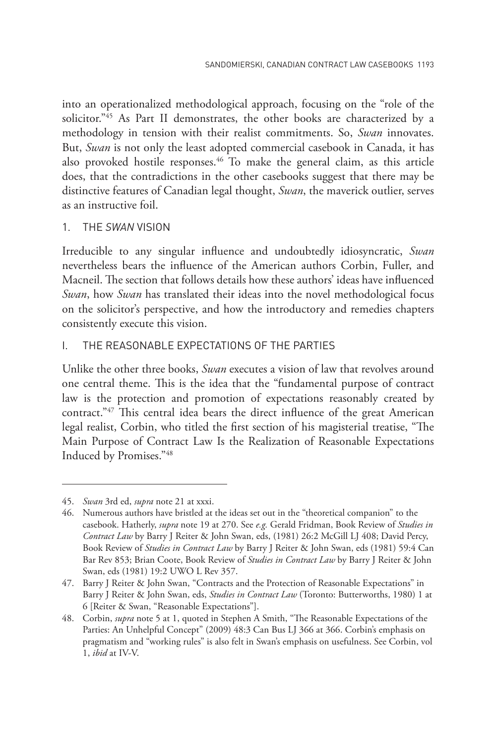into an operationalized methodological approach, focusing on the "role of the solicitor."45 As Part II demonstrates, the other books are characterized by a methodology in tension with their realist commitments. So, *Swan* innovates. But, *Swan* is not only the least adopted commercial casebook in Canada, it has also provoked hostile responses.<sup>46</sup> To make the general claim, as this article does, that the contradictions in the other casebooks suggest that there may be distinctive features of Canadian legal thought, *Swan*, the maverick outlier, serves as an instructive foil.

### 1. THE *SWAN* VISION

Irreducible to any singular influence and undoubtedly idiosyncratic, *Swan* nevertheless bears the influence of the American authors Corbin, Fuller, and Macneil. The section that follows details how these authors' ideas have influenced *Swan*, how *Swan* has translated their ideas into the novel methodological focus on the solicitor's perspective, and how the introductory and remedies chapters consistently execute this vision.

### i. THE REASONABLE EXPECTATIONS OF THE PARTIES

Unlike the other three books, *Swan* executes a vision of law that revolves around one central theme. This is the idea that the "fundamental purpose of contract law is the protection and promotion of expectations reasonably created by contract."47 This central idea bears the direct influence of the great American legal realist, Corbin, who titled the first section of his magisterial treatise, "The Main Purpose of Contract Law Is the Realization of Reasonable Expectations Induced by Promises."48

<sup>45.</sup> *Swan* 3rd ed, *supra* note 21 at xxxi.

<sup>46.</sup> Numerous authors have bristled at the ideas set out in the "theoretical companion" to the casebook. Hatherly, *supra* note 19 at 270. See *e.g.* Gerald Fridman, Book Review of *Studies in Contract Law* by Barry J Reiter & John Swan, eds, (1981) 26:2 McGill LJ 408; David Percy, Book Review of *Studies in Contract Law* by Barry J Reiter & John Swan, eds (1981) 59:4 Can Bar Rev 853; Brian Coote, Book Review of *Studies in Contract Law* by Barry J Reiter & John Swan, eds (1981) 19:2 UWO L Rev 357.

<sup>47.</sup> Barry J Reiter & John Swan, "Contracts and the Protection of Reasonable Expectations" in Barry J Reiter & John Swan, eds, *Studies in Contract Law* (Toronto: Butterworths, 1980) 1 at 6 [Reiter & Swan, "Reasonable Expectations"].

<sup>48.</sup> Corbin, *supra* note 5 at 1, quoted in Stephen A Smith, "The Reasonable Expectations of the Parties: An Unhelpful Concept" (2009) 48:3 Can Bus LJ 366 at 366. Corbin's emphasis on pragmatism and "working rules" is also felt in Swan's emphasis on usefulness. See Corbin, vol 1, *ibid* at IV-V.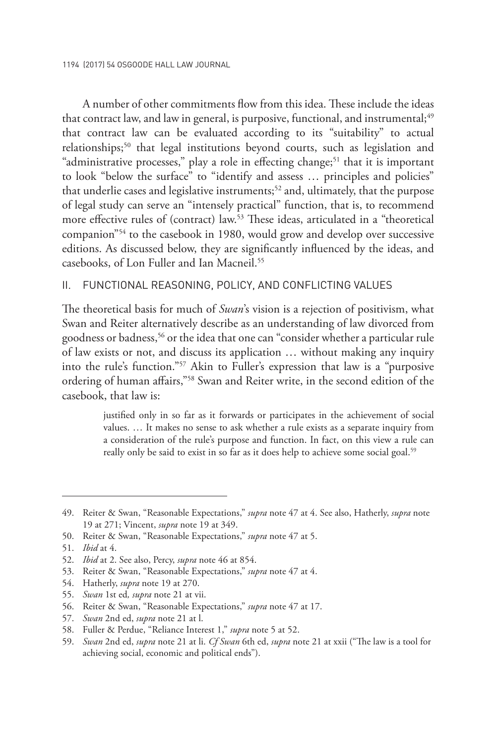A number of other commitments flow from this idea. These include the ideas that contract law, and law in general, is purposive, functional, and instrumental;<sup>49</sup> that contract law can be evaluated according to its "suitability" to actual relationships;<sup>50</sup> that legal institutions beyond courts, such as legislation and "administrative processes," play a role in effecting change;<sup>51</sup> that it is important to look "below the surface" to "identify and assess … principles and policies" that underlie cases and legislative instruments; $52$  and, ultimately, that the purpose of legal study can serve an "intensely practical" function, that is, to recommend more effective rules of (contract) law.53 These ideas, articulated in a "theoretical companion"54 to the casebook in 1980, would grow and develop over successive editions. As discussed below, they are significantly influenced by the ideas, and casebooks, of Lon Fuller and Ian Macneil.55

#### ii. FUNCTIONAL REASONING, POLICY, AND CONFLICTING VALUES

The theoretical basis for much of *Swan*'s vision is a rejection of positivism, what Swan and Reiter alternatively describe as an understanding of law divorced from goodness or badness,56 or the idea that one can "consider whether a particular rule of law exists or not, and discuss its application … without making any inquiry into the rule's function."57 Akin to Fuller's expression that law is a "purposive ordering of human affairs,"58 Swan and Reiter write, in the second edition of the casebook, that law is:

> justified only in so far as it forwards or participates in the achievement of social values. … It makes no sense to ask whether a rule exists as a separate inquiry from a consideration of the rule's purpose and function. In fact, on this view a rule can really only be said to exist in so far as it does help to achieve some social goal.<sup>59</sup>

55. *Swan* 1st ed*, supra* note 21 at vii.

57. *Swan* 2nd ed, *supra* note 21 at l.

<sup>49.</sup> Reiter & Swan, "Reasonable Expectations," *supra* note 47 at 4. See also, Hatherly, *supra* note 19 at 271; Vincent, *supra* note 19 at 349.

<sup>50.</sup> Reiter & Swan, "Reasonable Expectations," *supra* note 47 at 5.

<sup>51.</sup> *Ibid* at 4.

<sup>52.</sup> *Ibid* at 2. See also, Percy, *supra* note 46 at 854.

<sup>53.</sup> Reiter & Swan, "Reasonable Expectations," *supra* note 47 at 4.

<sup>54.</sup> Hatherly, *supra* note 19 at 270.

<sup>56.</sup> Reiter & Swan, "Reasonable Expectations," *supra* note 47 at 17.

<sup>58.</sup> Fuller & Perdue, "Reliance Interest 1," *supra* note 5 at 52.

<sup>59.</sup> *Swan* 2nd ed, *supra* note 21 at li. *Cf Swan* 6th ed, *supra* note 21 at xxii ("The law is a tool for achieving social, economic and political ends").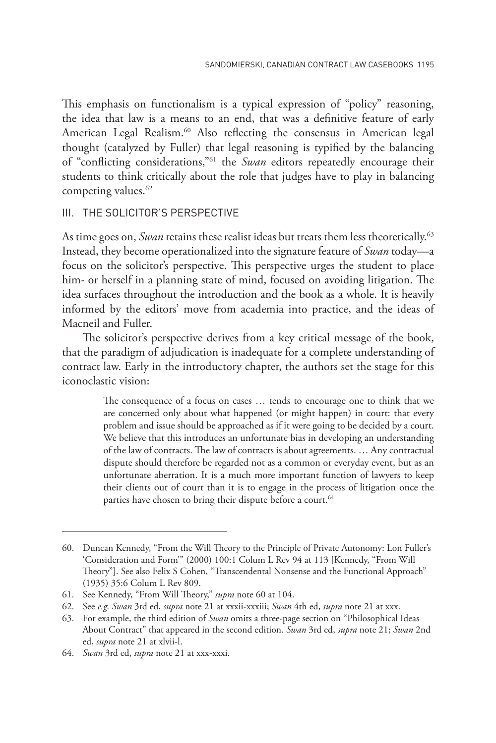This emphasis on functionalism is a typical expression of "policy" reasoning, the idea that law is a means to an end, that was a definitive feature of early American Legal Realism.<sup>60</sup> Also reflecting the consensus in American legal thought (catalyzed by Fuller) that legal reasoning is typified by the balancing of "conflicting considerations,"61 the *Swan* editors repeatedly encourage their students to think critically about the role that judges have to play in balancing competing values.<sup>62</sup>

### iii. THE SOLICITOR'S PERSPECTIVE

As time goes on, *Swan* retains these realist ideas but treats them less theoretically.<sup>63</sup> Instead, they become operationalized into the signature feature of *Swan* today—a focus on the solicitor's perspective. This perspective urges the student to place him- or herself in a planning state of mind, focused on avoiding litigation. The idea surfaces throughout the introduction and the book as a whole. It is heavily informed by the editors' move from academia into practice, and the ideas of Macneil and Fuller.

The solicitor's perspective derives from a key critical message of the book, that the paradigm of adjudication is inadequate for a complete understanding of contract law. Early in the introductory chapter, the authors set the stage for this iconoclastic vision:

> The consequence of a focus on cases … tends to encourage one to think that we are concerned only about what happened (or might happen) in court: that every problem and issue should be approached as if it were going to be decided by a court. We believe that this introduces an unfortunate bias in developing an understanding of the law of contracts. The law of contracts is about agreements. … Any contractual dispute should therefore be regarded not as a common or everyday event, but as an unfortunate aberration. It is a much more important function of lawyers to keep their clients out of court than it is to engage in the process of litigation once the parties have chosen to bring their dispute before a court.<sup>64</sup>

<sup>60.</sup> Duncan Kennedy, "From the Will Theory to the Principle of Private Autonomy: Lon Fuller's 'Consideration and Form'" (2000) 100:1 Colum L Rev 94 at 113 [Kennedy, "From Will Theory"]. See also Felix S Cohen, "Transcendental Nonsense and the Functional Approach" (1935) 35:6 Colum L Rev 809.

<sup>61.</sup> See Kennedy, "From Will Theory," *supra* note 60 at 104.

<sup>62.</sup> See *e.g. Swan* 3rd ed, *supra* note 21 at xxxii-xxxiii; *Swan* 4th ed, *supra* note 21 at xxx.

<sup>63.</sup> For example, the third edition of *Swan* omits a three-page section on "Philosophical Ideas About Contract" that appeared in the second edition. *Swan* 3rd ed, *supra* note 21; *Swan* 2nd ed, *supra* note 21 at xlvii-l.

<sup>64.</sup> *Swan* 3rd ed, *supra* note 21 at xxx-xxxi.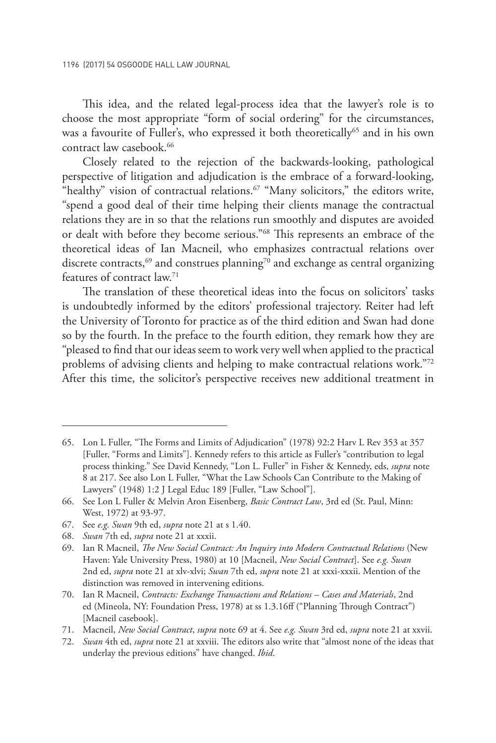This idea, and the related legal-process idea that the lawyer's role is to choose the most appropriate "form of social ordering" for the circumstances, was a favourite of Fuller's, who expressed it both theoretically<sup>65</sup> and in his own contract law casebook.<sup>66</sup>

Closely related to the rejection of the backwards-looking, pathological perspective of litigation and adjudication is the embrace of a forward-looking, "healthy" vision of contractual relations.<sup>67</sup> "Many solicitors," the editors write, "spend a good deal of their time helping their clients manage the contractual relations they are in so that the relations run smoothly and disputes are avoided or dealt with before they become serious."68 This represents an embrace of the theoretical ideas of Ian Macneil, who emphasizes contractual relations over discrete contracts,<sup>69</sup> and construes planning<sup>70</sup> and exchange as central organizing features of contract law.71

The translation of these theoretical ideas into the focus on solicitors' tasks is undoubtedly informed by the editors' professional trajectory. Reiter had left the University of Toronto for practice as of the third edition and Swan had done so by the fourth. In the preface to the fourth edition, they remark how they are "pleased to find that our ideas seem to work very well when applied to the practical problems of advising clients and helping to make contractual relations work."72 After this time, the solicitor's perspective receives new additional treatment in

<sup>65.</sup> Lon L Fuller, "The Forms and Limits of Adjudication" (1978) 92:2 Harv L Rev 353 at 357 [Fuller, "Forms and Limits"]. Kennedy refers to this article as Fuller's "contribution to legal process thinking." See David Kennedy, "Lon L. Fuller" in Fisher & Kennedy, eds, *supra* note 8 at 217. See also Lon L Fuller, "What the Law Schools Can Contribute to the Making of Lawyers" (1948) 1:2 J Legal Educ 189 [Fuller, "Law School"].

<sup>66.</sup> See Lon L Fuller & Melvin Aron Eisenberg, *Basic Contract Law*, 3rd ed (St. Paul, Minn: West, 1972) at 93-97.

<sup>67.</sup> See *e.g. Swan* 9th ed, *supra* note 21 at s 1.40.

<sup>68.</sup> *Swan* 7th ed, *supra* note 21 at xxxii.

<sup>69.</sup> Ian R Macneil, *The New Social Contract: An Inquiry into Modern Contractual Relations* (New Haven: Yale University Press, 1980) at 10 [Macneil, *New Social Contract*]. See *e.g. Swan* 2nd ed, *supra* note 21 at xlv-xlvi; *Swan* 7th ed, *supra* note 21 at xxxi-xxxii. Mention of the distinction was removed in intervening editions.

<sup>70.</sup> Ian R Macneil, *Contracts: Exchange Transactions and Relations – Cases and Materials*, 2nd ed (Mineola, NY: Foundation Press, 1978) at ss 1.3.16ff ("Planning Through Contract") [Macneil casebook].

<sup>71.</sup> Macneil, *New Social Contract*, *supra* note 69 at 4. See *e.g. Swan* 3rd ed, *supra* note 21 at xxvii.

<sup>72.</sup> *Swan* 4th ed, *supra* note 21 at xxviii. The editors also write that "almost none of the ideas that underlay the previous editions" have changed. *Ibid*.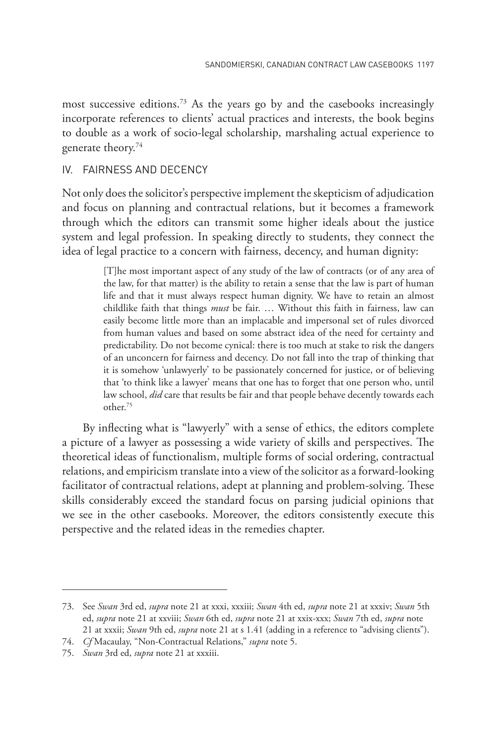most successive editions.73 As the years go by and the casebooks increasingly incorporate references to clients' actual practices and interests, the book begins to double as a work of socio-legal scholarship, marshaling actual experience to generate theory.74

### iv. FAIRNESS AND DECENCY

Not only does the solicitor's perspective implement the skepticism of adjudication and focus on planning and contractual relations, but it becomes a framework through which the editors can transmit some higher ideals about the justice system and legal profession. In speaking directly to students, they connect the idea of legal practice to a concern with fairness, decency, and human dignity:

> [T]he most important aspect of any study of the law of contracts (or of any area of the law, for that matter) is the ability to retain a sense that the law is part of human life and that it must always respect human dignity. We have to retain an almost childlike faith that things *must* be fair. … Without this faith in fairness, law can easily become little more than an implacable and impersonal set of rules divorced from human values and based on some abstract idea of the need for certainty and predictability. Do not become cynical: there is too much at stake to risk the dangers of an unconcern for fairness and decency. Do not fall into the trap of thinking that it is somehow 'unlawyerly' to be passionately concerned for justice, or of believing that 'to think like a lawyer' means that one has to forget that one person who, until law school, *did* care that results be fair and that people behave decently towards each other.75

By inflecting what is "lawyerly" with a sense of ethics, the editors complete a picture of a lawyer as possessing a wide variety of skills and perspectives. The theoretical ideas of functionalism, multiple forms of social ordering, contractual relations, and empiricism translate into a view of the solicitor as a forward-looking facilitator of contractual relations, adept at planning and problem-solving. These skills considerably exceed the standard focus on parsing judicial opinions that we see in the other casebooks. Moreover, the editors consistently execute this perspective and the related ideas in the remedies chapter.

<sup>73.</sup> See *Swan* 3rd ed, *supra* note 21 at xxxi, xxxiii; *Swan* 4th ed, *supra* note 21 at xxxiv; *Swan* 5th ed, *supra* note 21 at xxviii; *Swan* 6th ed, *supra* note 21 at xxix-xxx; *Swan* 7th ed, *supra* note 21 at xxxii; *Swan* 9th ed, *supra* note 21 at s 1.41 (adding in a reference to "advising clients").

<sup>74.</sup> *Cf* Macaulay, "Non-Contractual Relations," *supra* note 5.

<sup>75.</sup> *Swan* 3rd ed, *supra* note 21 at xxxiii.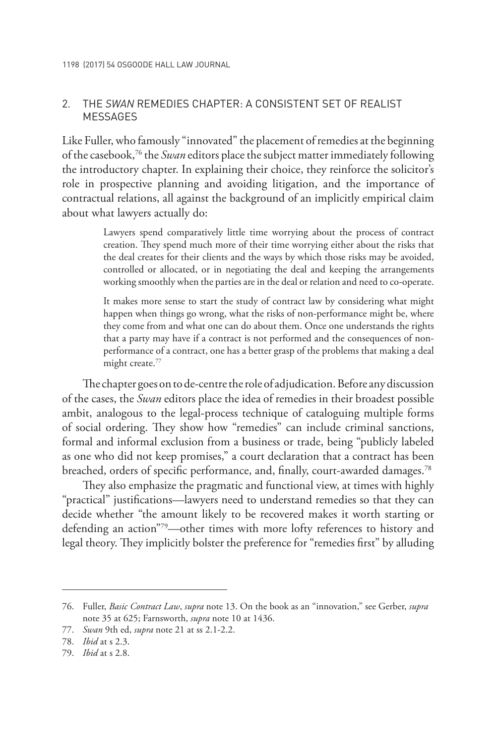### 2. THE *SWAN* REMEDIES CHAPTER: A CONSISTENT SET OF REALIST **MESSAGES**

Like Fuller, who famously "innovated" the placement of remedies at the beginning of the casebook,76 the *Swan* editors place the subject matter immediately following the introductory chapter. In explaining their choice, they reinforce the solicitor's role in prospective planning and avoiding litigation, and the importance of contractual relations, all against the background of an implicitly empirical claim about what lawyers actually do:

> Lawyers spend comparatively little time worrying about the process of contract creation. They spend much more of their time worrying either about the risks that the deal creates for their clients and the ways by which those risks may be avoided, controlled or allocated, or in negotiating the deal and keeping the arrangements working smoothly when the parties are in the deal or relation and need to co-operate.

> It makes more sense to start the study of contract law by considering what might happen when things go wrong, what the risks of non-performance might be, where they come from and what one can do about them. Once one understands the rights that a party may have if a contract is not performed and the consequences of nonperformance of a contract, one has a better grasp of the problems that making a deal might create.<sup>77</sup>

The chapter goes on to de-centre the role of adjudication. Before any discussion of the cases, the *Swan* editors place the idea of remedies in their broadest possible ambit, analogous to the legal-process technique of cataloguing multiple forms of social ordering. They show how "remedies" can include criminal sanctions, formal and informal exclusion from a business or trade, being "publicly labeled as one who did not keep promises," a court declaration that a contract has been breached, orders of specific performance, and, finally, court-awarded damages.<sup>78</sup>

They also emphasize the pragmatic and functional view, at times with highly "practical" justifications—lawyers need to understand remedies so that they can decide whether "the amount likely to be recovered makes it worth starting or defending an action"79—other times with more lofty references to history and legal theory. They implicitly bolster the preference for "remedies first" by alluding

<sup>76.</sup> Fuller, *Basic Contract Law*, *supra* note 13. On the book as an "innovation," see Gerber, *supra*  note 35 at 625; Farnsworth, *supra* note 10 at 1436.

<sup>77.</sup> *Swan* 9th ed, *supra* note 21 at ss 2.1-2.2.

<sup>78.</sup> *Ibid* at s 2.3.

<sup>79.</sup> *Ibid* at s 2.8.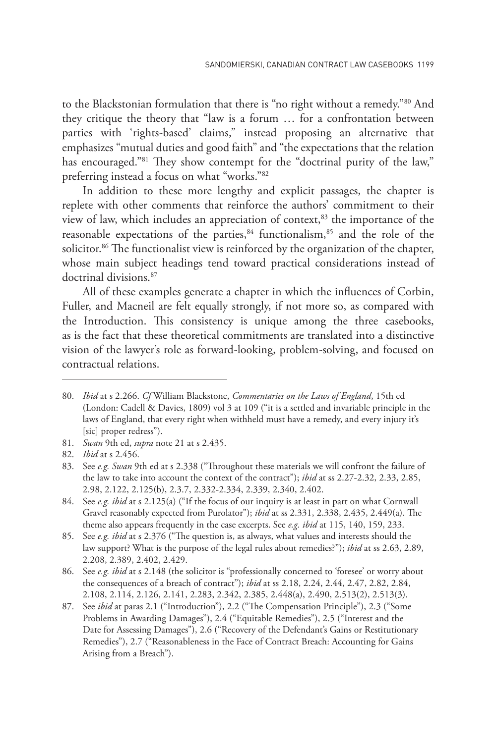to the Blackstonian formulation that there is "no right without a remedy."80 And they critique the theory that "law is a forum … for a confrontation between parties with 'rights-based' claims," instead proposing an alternative that emphasizes "mutual duties and good faith" and "the expectations that the relation has encouraged."<sup>81</sup> They show contempt for the "doctrinal purity of the law," preferring instead a focus on what "works."82

In addition to these more lengthy and explicit passages, the chapter is replete with other comments that reinforce the authors' commitment to their view of law, which includes an appreciation of context,<sup>83</sup> the importance of the reasonable expectations of the parties, $84$  functionalism, $85$  and the role of the solicitor.<sup>86</sup> The functionalist view is reinforced by the organization of the chapter, whose main subject headings tend toward practical considerations instead of doctrinal divisions.87

All of these examples generate a chapter in which the influences of Corbin, Fuller, and Macneil are felt equally strongly, if not more so, as compared with the Introduction. This consistency is unique among the three casebooks, as is the fact that these theoretical commitments are translated into a distinctive vision of the lawyer's role as forward-looking, problem-solving, and focused on contractual relations.

<sup>80.</sup> *Ibid* at s 2.266. *Cf* William Blackstone, *Commentaries on the Laws of England*, 15th ed (London: Cadell & Davies, 1809) vol 3 at 109 ("it is a settled and invariable principle in the laws of England, that every right when withheld must have a remedy, and every injury it's [sic] proper redress").

<sup>81.</sup> *Swan* 9th ed, *supra* note 21 at s 2.435.

<sup>82.</sup> *Ibid* at s 2.456.

<sup>83.</sup> See *e.g. Swan* 9th ed at s 2.338 ("Throughout these materials we will confront the failure of the law to take into account the context of the contract"); *ibid* at ss 2.27-2.32, 2.33, 2.85, 2.98, 2.122, 2.125(b), 2.3.7, 2.332-2.334, 2.339, 2.340, 2.402.

<sup>84.</sup> See *e.g. ibid* at s 2.125(a) ("If the focus of our inquiry is at least in part on what Cornwall Gravel reasonably expected from Purolator"); *ibid* at ss 2.331, 2.338, 2.435, 2.449(a). The theme also appears frequently in the case excerpts. See *e.g. ibid* at 115, 140, 159, 233.

<sup>85.</sup> See *e.g. ibid* at s 2.376 ("The question is, as always, what values and interests should the law support? What is the purpose of the legal rules about remedies?"); *ibid* at ss 2.63, 2.89, 2.208, 2.389, 2.402, 2.429.

<sup>86.</sup> See *e.g. ibid* at s 2.148 (the solicitor is "professionally concerned to 'foresee' or worry about the consequences of a breach of contract"); *ibid* at ss 2.18, 2.24, 2.44, 2.47, 2.82, 2.84, 2.108, 2.114, 2.126, 2.141, 2.283, 2.342, 2.385, 2.448(a), 2.490, 2.513(2), 2.513(3).

<sup>87.</sup> See *ibid* at paras 2.1 ("Introduction"), 2.2 ("The Compensation Principle"), 2.3 ("Some Problems in Awarding Damages"), 2.4 ("Equitable Remedies"), 2.5 ("Interest and the Date for Assessing Damages"), 2.6 ("Recovery of the Defendant's Gains or Restitutionary Remedies"), 2.7 ("Reasonableness in the Face of Contract Breach: Accounting for Gains Arising from a Breach").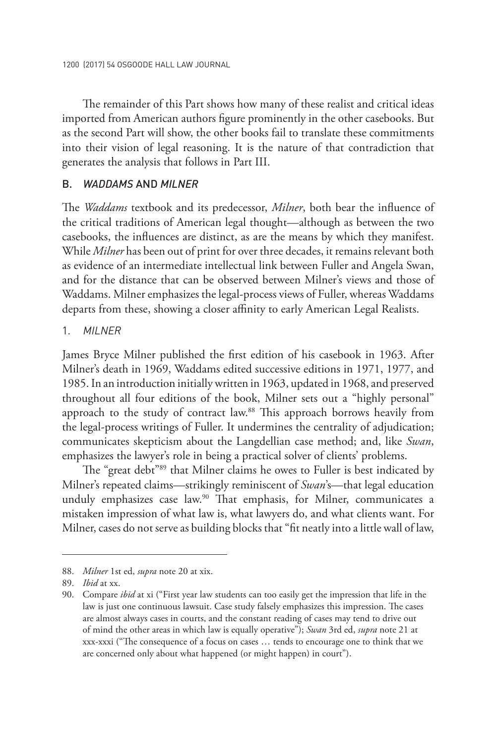The remainder of this Part shows how many of these realist and critical ideas imported from American authors figure prominently in the other casebooks. But as the second Part will show, the other books fail to translate these commitments into their vision of legal reasoning. It is the nature of that contradiction that generates the analysis that follows in Part III.

### B. *WADDAMS* AND *MILNER*

The *Waddams* textbook and its predecessor, *Milner*, both bear the influence of the critical traditions of American legal thought—although as between the two casebooks, the influences are distinct, as are the means by which they manifest. While *Milner* has been out of print for over three decades, it remains relevant both as evidence of an intermediate intellectual link between Fuller and Angela Swan, and for the distance that can be observed between Milner's views and those of Waddams. Milner emphasizes the legal-process views of Fuller, whereas Waddams departs from these, showing a closer affinity to early American Legal Realists.

### 1. *MILNER*

James Bryce Milner published the first edition of his casebook in 1963. After Milner's death in 1969, Waddams edited successive editions in 1971, 1977, and 1985. In an introduction initially written in 1963, updated in 1968, and preserved throughout all four editions of the book, Milner sets out a "highly personal" approach to the study of contract law.<sup>88</sup> This approach borrows heavily from the legal-process writings of Fuller. It undermines the centrality of adjudication; communicates skepticism about the Langdellian case method; and, like *Swan*, emphasizes the lawyer's role in being a practical solver of clients' problems.

The "great debt"89 that Milner claims he owes to Fuller is best indicated by Milner's repeated claims—strikingly reminiscent of *Swan*'s—that legal education unduly emphasizes case law.<sup>90</sup> That emphasis, for Milner, communicates a mistaken impression of what law is, what lawyers do, and what clients want. For Milner, cases do not serve as building blocks that "fit neatly into a little wall of law,

<sup>88.</sup> *Milner* 1st ed, *supra* note 20 at xix.

<sup>89.</sup> *Ibid* at xx.

<sup>90.</sup> Compare *ibid* at xi ("First year law students can too easily get the impression that life in the law is just one continuous lawsuit. Case study falsely emphasizes this impression. The cases are almost always cases in courts, and the constant reading of cases may tend to drive out of mind the other areas in which law is equally operative"); *Swan* 3rd ed, *supra* note 21 at xxx-xxxi ("The consequence of a focus on cases … tends to encourage one to think that we are concerned only about what happened (or might happen) in court").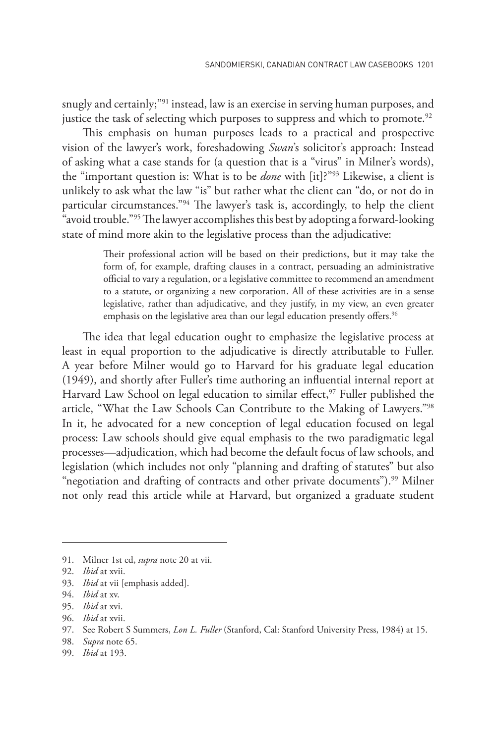snugly and certainly;<sup>"91</sup> instead, law is an exercise in serving human purposes, and justice the task of selecting which purposes to suppress and which to promote.<sup>92</sup>

This emphasis on human purposes leads to a practical and prospective vision of the lawyer's work, foreshadowing *Swan*'s solicitor's approach: Instead of asking what a case stands for (a question that is a "virus" in Milner's words), the "important question is: What is to be *done* with [it]?"93 Likewise, a client is unlikely to ask what the law "is" but rather what the client can "do, or not do in particular circumstances."94 The lawyer's task is, accordingly, to help the client "avoid trouble."95 The lawyer accomplishes this best by adopting a forward-looking state of mind more akin to the legislative process than the adjudicative:

> Their professional action will be based on their predictions, but it may take the form of, for example, drafting clauses in a contract, persuading an administrative official to vary a regulation, or a legislative committee to recommend an amendment to a statute, or organizing a new corporation. All of these activities are in a sense legislative, rather than adjudicative, and they justify, in my view, an even greater emphasis on the legislative area than our legal education presently offers.<sup>96</sup>

The idea that legal education ought to emphasize the legislative process at least in equal proportion to the adjudicative is directly attributable to Fuller. A year before Milner would go to Harvard for his graduate legal education (1949), and shortly after Fuller's time authoring an influential internal report at Harvard Law School on legal education to similar effect,<sup>97</sup> Fuller published the article, "What the Law Schools Can Contribute to the Making of Lawyers."98 In it, he advocated for a new conception of legal education focused on legal process: Law schools should give equal emphasis to the two paradigmatic legal processes—adjudication, which had become the default focus of law schools, and legislation (which includes not only "planning and drafting of statutes" but also "negotiation and drafting of contracts and other private documents").<sup>99</sup> Milner not only read this article while at Harvard, but organized a graduate student

<sup>91.</sup> Milner 1st ed, *supra* note 20 at vii.

<sup>92.</sup> *Ibid* at xvii.

<sup>93.</sup> *Ibid* at vii [emphasis added].

<sup>94.</sup> *Ibid* at xv.

<sup>95.</sup> *Ibid* at xvi.

<sup>96.</sup> *Ibid* at xvii.

<sup>97.</sup> See Robert S Summers, *Lon L. Fuller* (Stanford, Cal: Stanford University Press, 1984) at 15.

<sup>98.</sup> *Supra* note 65.

<sup>99.</sup> *Ibid* at 193.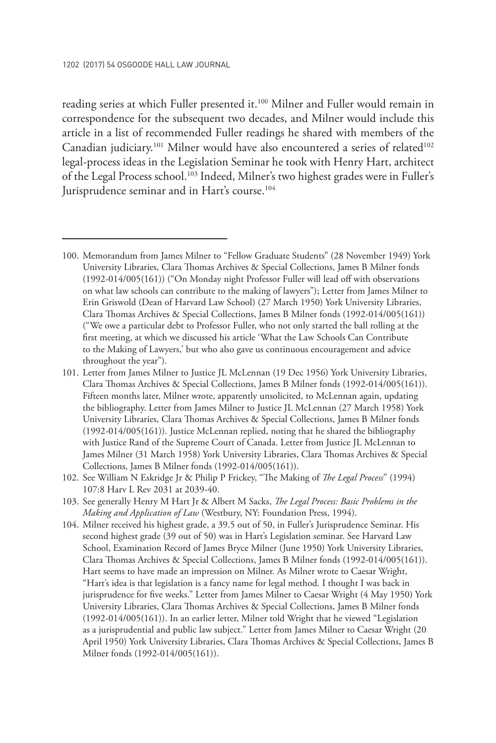reading series at which Fuller presented it.<sup>100</sup> Milner and Fuller would remain in correspondence for the subsequent two decades, and Milner would include this article in a list of recommended Fuller readings he shared with members of the Canadian judiciary.<sup>101</sup> Milner would have also encountered a series of related<sup>102</sup> legal-process ideas in the Legislation Seminar he took with Henry Hart, architect of the Legal Process school.103 Indeed, Milner's two highest grades were in Fuller's Jurisprudence seminar and in Hart's course.<sup>104</sup>

<sup>100.</sup> Memorandum from James Milner to "Fellow Graduate Students" (28 November 1949) York University Libraries, Clara Thomas Archives & Special Collections, James B Milner fonds (1992-014/005(161)) ("On Monday night Professor Fuller will lead off with observations on what law schools can contribute to the making of lawyers"); Letter from James Milner to Erin Griswold (Dean of Harvard Law School) (27 March 1950) York University Libraries, Clara Thomas Archives & Special Collections, James B Milner fonds (1992-014/005(161)) ("We owe a particular debt to Professor Fuller, who not only started the ball rolling at the first meeting, at which we discussed his article 'What the Law Schools Can Contribute to the Making of Lawyers,' but who also gave us continuous encouragement and advice throughout the year").

<sup>101.</sup> Letter from James Milner to Justice JL McLennan (19 Dec 1956) York University Libraries, Clara Thomas Archives & Special Collections, James B Milner fonds (1992-014/005(161)). Fifteen months later, Milner wrote, apparently unsolicited, to McLennan again, updating the bibliography. Letter from James Milner to Justice JL McLennan (27 March 1958) York University Libraries, Clara Thomas Archives & Special Collections, James B Milner fonds (1992-014/005(161)). Justice McLennan replied, noting that he shared the bibliography with Justice Rand of the Supreme Court of Canada. Letter from Justice JL McLennan to James Milner (31 March 1958) York University Libraries, Clara Thomas Archives & Special Collections, James B Milner fonds (1992-014/005(161)).

<sup>102.</sup> See William N Eskridge Jr & Philip P Frickey, "The Making of *The Legal Process*" (1994) 107:8 Harv L Rev 2031 at 2039-40.

<sup>103.</sup> See generally Henry M Hart Jr & Albert M Sacks, *The Legal Process: Basic Problems in the Making and Application of Law* (Westbury, NY: Foundation Press, 1994).

<sup>104.</sup> Milner received his highest grade, a 39.5 out of 50, in Fuller's Jurisprudence Seminar. His second highest grade (39 out of 50) was in Hart's Legislation seminar. See Harvard Law School, Examination Record of James Bryce Milner (June 1950) York University Libraries, Clara Thomas Archives & Special Collections, James B Milner fonds (1992-014/005(161)). Hart seems to have made an impression on Milner. As Milner wrote to Caesar Wright, "Hart's idea is that legislation is a fancy name for legal method. I thought I was back in jurisprudence for five weeks." Letter from James Milner to Caesar Wright (4 May 1950) York University Libraries, Clara Thomas Archives & Special Collections, James B Milner fonds (1992-014/005(161)). In an earlier letter, Milner told Wright that he viewed "Legislation as a jurisprudential and public law subject." Letter from James Milner to Caesar Wright (20 April 1950) York University Libraries, Clara Thomas Archives & Special Collections, James B Milner fonds (1992-014/005(161)).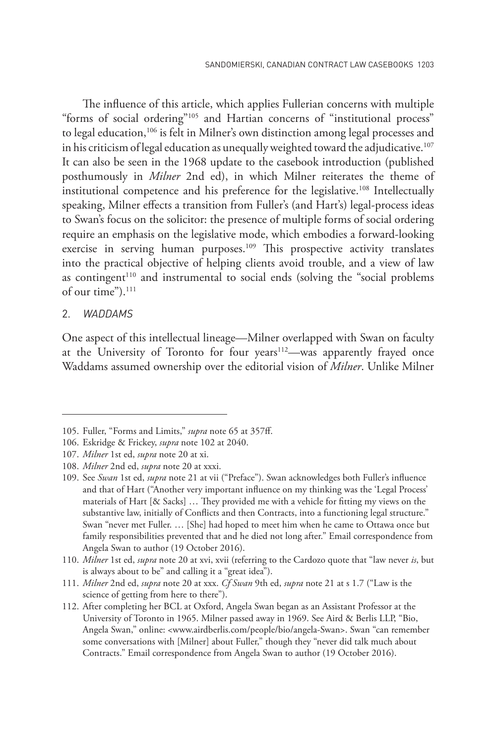The influence of this article, which applies Fullerian concerns with multiple "forms of social ordering"<sup>105</sup> and Hartian concerns of "institutional process" to legal education,<sup>106</sup> is felt in Milner's own distinction among legal processes and in his criticism of legal education as unequally weighted toward the adjudicative.<sup>107</sup> It can also be seen in the 1968 update to the casebook introduction (published posthumously in *Milner* 2nd ed), in which Milner reiterates the theme of institutional competence and his preference for the legislative.<sup>108</sup> Intellectually speaking, Milner effects a transition from Fuller's (and Hart's) legal-process ideas to Swan's focus on the solicitor: the presence of multiple forms of social ordering require an emphasis on the legislative mode, which embodies a forward-looking exercise in serving human purposes.<sup>109</sup> This prospective activity translates into the practical objective of helping clients avoid trouble, and a view of law as contingent<sup>110</sup> and instrumental to social ends (solving the "social problems of our time").<sup>111</sup>

#### 2. *WADDAMS*

One aspect of this intellectual lineage—Milner overlapped with Swan on faculty at the University of Toronto for four years<sup>112</sup>-was apparently frayed once Waddams assumed ownership over the editorial vision of *Milner*. Unlike Milner

<sup>105.</sup> Fuller, "Forms and Limits," *supra* note 65 at 357ff.

<sup>106.</sup> Eskridge & Frickey, *supra* note 102 at 2040.

<sup>107.</sup> *Milner* 1st ed, *supra* note 20 at xi.

<sup>108.</sup> *Milner* 2nd ed, *supra* note 20 at xxxi.

<sup>109.</sup> See *Swan* 1st ed, *supra* note 21 at vii ("Preface"). Swan acknowledges both Fuller's influence and that of Hart ("Another very important influence on my thinking was the 'Legal Process' materials of Hart [& Sacks] … They provided me with a vehicle for fitting my views on the substantive law, initially of Conflicts and then Contracts, into a functioning legal structure." Swan "never met Fuller. … [She] had hoped to meet him when he came to Ottawa once but family responsibilities prevented that and he died not long after." Email correspondence from Angela Swan to author (19 October 2016).

<sup>110.</sup> *Milner* 1st ed, *supra* note 20 at xvi, xvii (referring to the Cardozo quote that "law never *is*, but is always about to be" and calling it a "great idea").

<sup>111.</sup> *Milner* 2nd ed, *supra* note 20 at xxx. *Cf Swan* 9th ed, *supra* note 21 at s 1.7 ("Law is the science of getting from here to there").

<sup>112.</sup> After completing her BCL at Oxford, Angela Swan began as an Assistant Professor at the University of Toronto in 1965. Milner passed away in 1969. See Aird & Berlis LLP, "Bio, Angela Swan," online: <www.airdberlis.com/people/bio/angela-Swan>. Swan "can remember some conversations with [Milner] about Fuller," though they "never did talk much about Contracts." Email correspondence from Angela Swan to author (19 October 2016).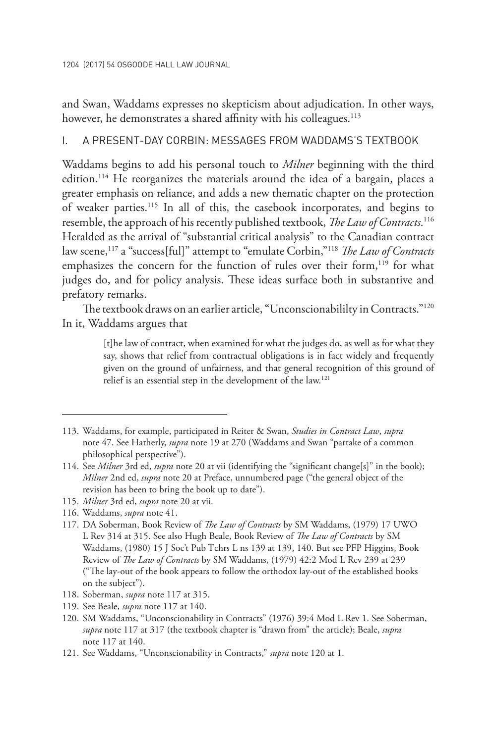1204 (2017) 54 OSGOODE HALL LAW JOURNAL

and Swan, Waddams expresses no skepticism about adjudication. In other ways, however, he demonstrates a shared affinity with his colleagues.<sup>113</sup>

### i. A PRESENT-DAY CORBIN: MESSAGES FROM WADDAMS'S TEXTBOOK

Waddams begins to add his personal touch to *Milner* beginning with the third edition.114 He reorganizes the materials around the idea of a bargain, places a greater emphasis on reliance, and adds a new thematic chapter on the protection of weaker parties.115 In all of this, the casebook incorporates, and begins to resemble, the approach of his recently published textbook, *The Law of Contracts*. 116 Heralded as the arrival of "substantial critical analysis" to the Canadian contract law scene,<sup>117</sup> a "success[ful]" attempt to "emulate Corbin,"<sup>118</sup> *The Law of Contracts* emphasizes the concern for the function of rules over their form,<sup>119</sup> for what judges do, and for policy analysis. These ideas surface both in substantive and prefatory remarks.

The textbook draws on an earlier article, "Unconscionabililty in Contracts."<sup>120</sup> In it, Waddams argues that

> [t]he law of contract, when examined for what the judges do, as well as for what they say, shows that relief from contractual obligations is in fact widely and frequently given on the ground of unfairness, and that general recognition of this ground of relief is an essential step in the development of the law.121

116. Waddams, *supra* note 41.

- 118. Soberman, *supra* note 117 at 315.
- 119. See Beale, *supra* note 117 at 140.
- 120. SM Waddams, "Unconscionability in Contracts" (1976) 39:4 Mod L Rev 1. See Soberman, *supra* note 117 at 317 (the textbook chapter is "drawn from" the article); Beale, *supra*  note 117 at 140.
- 121. See Waddams, "Unconscionability in Contracts," *supra* note 120 at 1.

<sup>113.</sup> Waddams, for example, participated in Reiter & Swan, *Studies in Contract Law*, *supra* note 47. See Hatherly, *supra* note 19 at 270 (Waddams and Swan "partake of a common philosophical perspective").

<sup>114.</sup> See *Milner* 3rd ed, *supra* note 20 at vii (identifying the "significant change[s]" in the book); *Milner* 2nd ed, *supra* note 20 at Preface, unnumbered page ("the general object of the revision has been to bring the book up to date").

<sup>115.</sup> *Milner* 3rd ed, *supra* note 20 at vii.

<sup>117.</sup> DA Soberman, Book Review of *The Law of Contracts* by SM Waddams, (1979) 17 UWO L Rev 314 at 315. See also Hugh Beale, Book Review of *The Law of Contracts* by SM Waddams, (1980) 15 J Soc't Pub Tchrs L ns 139 at 139, 140. But see PFP Higgins, Book Review of *The Law of Contracts* by SM Waddams, (1979) 42:2 Mod L Rev 239 at 239 ("The lay-out of the book appears to follow the orthodox lay-out of the established books on the subject").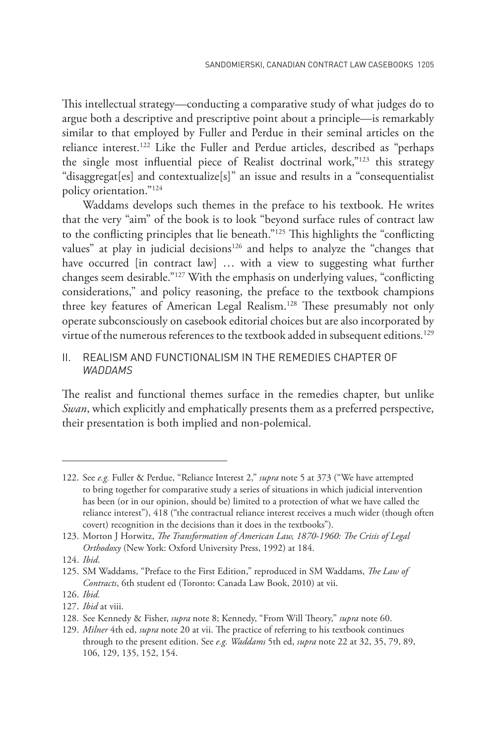This intellectual strategy—conducting a comparative study of what judges do to argue both a descriptive and prescriptive point about a principle—is remarkably similar to that employed by Fuller and Perdue in their seminal articles on the reliance interest.<sup>122</sup> Like the Fuller and Perdue articles, described as "perhaps the single most influential piece of Realist doctrinal work,"123 this strategy "disaggregat[es] and contextualize[s]" an issue and results in a "consequentialist policy orientation."124

Waddams develops such themes in the preface to his textbook. He writes that the very "aim" of the book is to look "beyond surface rules of contract law to the conflicting principles that lie beneath."125 This highlights the "conflicting values" at play in judicial decisions<sup>126</sup> and helps to analyze the "changes that have occurred [in contract law] ... with a view to suggesting what further changes seem desirable."127 With the emphasis on underlying values, "conflicting considerations," and policy reasoning, the preface to the textbook champions three key features of American Legal Realism.<sup>128</sup> These presumably not only operate subconsciously on casebook editorial choices but are also incorporated by virtue of the numerous references to the textbook added in subsequent editions*.* 129

### ii. REALISM AND FUNCTIONALISM IN THE REMEDIES CHAPTER OF *WADDAMS*

The realist and functional themes surface in the remedies chapter, but unlike *Swan*, which explicitly and emphatically presents them as a preferred perspective, their presentation is both implied and non-polemical.

124. *Ibid*.

126. *Ibid.*

<sup>122.</sup> See *e.g.* Fuller & Perdue, "Reliance Interest 2," *supra* note 5 at 373 ("We have attempted to bring together for comparative study a series of situations in which judicial intervention has been (or in our opinion, should be) limited to a protection of what we have called the reliance interest"), 418 ("the contractual reliance interest receives a much wider (though often covert) recognition in the decisions than it does in the textbooks").

<sup>123.</sup> Morton J Horwitz, *The Transformation of American Law, 1870-1960: The Crisis of Legal Orthodoxy* (New York: Oxford University Press, 1992) at 184.

<sup>125.</sup> SM Waddams, "Preface to the First Edition," reproduced in SM Waddams, *The Law of Contracts*, 6th student ed (Toronto: Canada Law Book, 2010) at vii.

<sup>127.</sup> *Ibid* at viii.

<sup>128.</sup> See Kennedy & Fisher, *supra* note 8; Kennedy, "From Will Theory," *supra* note 60.

<sup>129.</sup> *Milner* 4th ed, *supra* note 20 at vii. The practice of referring to his textbook continues through to the present edition. See *e.g. Waddams* 5th ed, *supra* note 22 at 32, 35, 79, 89, 106, 129, 135, 152, 154.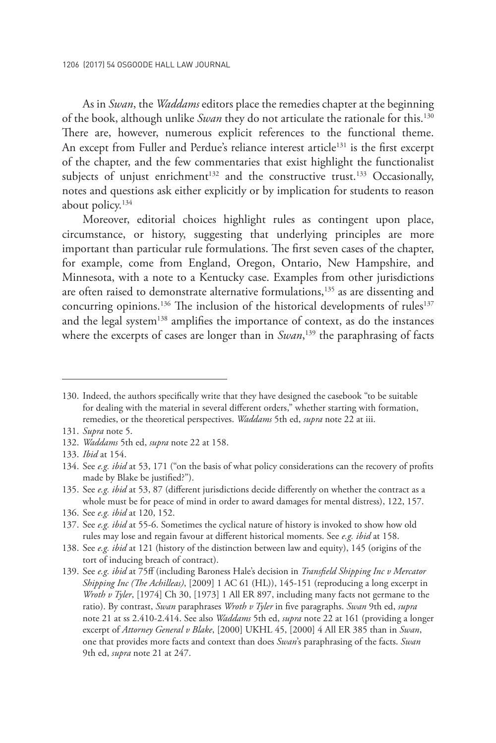As in *Swan*, the *Waddams* editors place the remedies chapter at the beginning of the book, although unlike *Swan* they do not articulate the rationale for this.130 There are, however, numerous explicit references to the functional theme. An except from Fuller and Perdue's reliance interest article<sup>131</sup> is the first excerpt of the chapter, and the few commentaries that exist highlight the functionalist subjects of unjust enrichment<sup>132</sup> and the constructive trust.<sup>133</sup> Occasionally, notes and questions ask either explicitly or by implication for students to reason about policy.134

Moreover, editorial choices highlight rules as contingent upon place, circumstance, or history, suggesting that underlying principles are more important than particular rule formulations. The first seven cases of the chapter, for example, come from England, Oregon, Ontario, New Hampshire, and Minnesota, with a note to a Kentucky case. Examples from other jurisdictions are often raised to demonstrate alternative formulations,<sup>135</sup> as are dissenting and concurring opinions.<sup>136</sup> The inclusion of the historical developments of rules<sup>137</sup> and the legal system<sup>138</sup> amplifies the importance of context, as do the instances where the excerpts of cases are longer than in *Swan*, 139 the paraphrasing of facts

135. See *e.g. ibid* at 53, 87 (different jurisdictions decide differently on whether the contract as a whole must be for peace of mind in order to award damages for mental distress), 122, 157.

<sup>130.</sup> Indeed, the authors specifically write that they have designed the casebook "to be suitable for dealing with the material in several different orders," whether starting with formation, remedies, or the theoretical perspectives. *Waddams* 5th ed, *supra* note 22 at iii.

<sup>131.</sup> *Supra* note 5.

<sup>132.</sup> *Waddams* 5th ed, *supra* note 22 at 158.

<sup>133.</sup> *Ibid* at 154.

<sup>134.</sup> See *e.g. ibid* at 53, 171 ("on the basis of what policy considerations can the recovery of profits made by Blake be justified?").

<sup>136.</sup> See *e.g. ibid* at 120, 152.

<sup>137.</sup> See *e.g. ibid* at 55-6. Sometimes the cyclical nature of history is invoked to show how old rules may lose and regain favour at different historical moments. See *e.g. ibid* at 158.

<sup>138.</sup> See *e.g. ibid* at 121 (history of the distinction between law and equity), 145 (origins of the tort of inducing breach of contract).

<sup>139.</sup> See *e.g. ibid* at 75ff (including Baroness Hale's decision in *Transfield Shipping Inc v Mercator Shipping Inc (The Achilleas)*, [2009] 1 AC 61 (HL)), 145-151 (reproducing a long excerpt in *Wroth v Tyler*, [1974] Ch 30, [1973] 1 All ER 897, including many facts not germane to the ratio). By contrast, *Swan* paraphrases *Wroth v Tyler* in five paragraphs. *Swan* 9th ed, *supra* note 21 at ss 2.410-2.414. See also *Waddams* 5th ed, *supra* note 22 at 161 (providing a longer excerpt of *Attorney General v Blake*, [2000] UKHL 45, [2000] 4 All ER 385 than in *Swan*, one that provides more facts and context than does *Swan*'s paraphrasing of the facts. *Swan* 9th ed, *supra* note 21 at 247.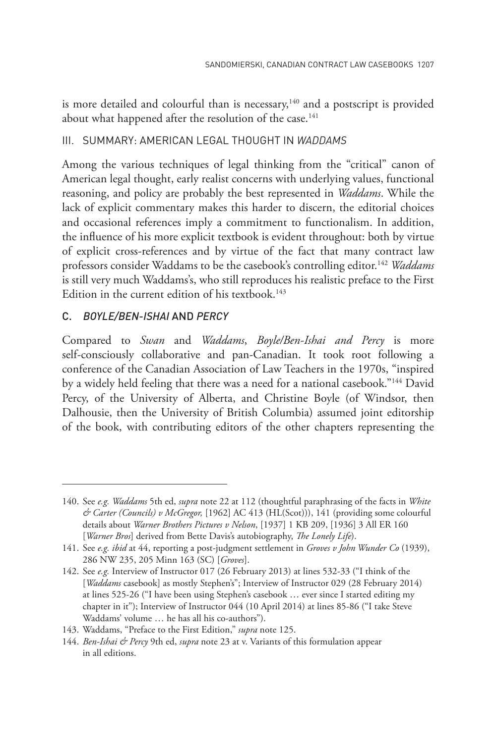is more detailed and colourful than is necessary, $140$  and a postscript is provided about what happened after the resolution of the case.<sup>141</sup>

### iii. SUMMARY: AMERICAN LEGAL THOUGHT IN *WADDAMS*

Among the various techniques of legal thinking from the "critical" canon of American legal thought, early realist concerns with underlying values, functional reasoning, and policy are probably the best represented in *Waddams*. While the lack of explicit commentary makes this harder to discern, the editorial choices and occasional references imply a commitment to functionalism. In addition, the influence of his more explicit textbook is evident throughout: both by virtue of explicit cross-references and by virtue of the fact that many contract law professors consider Waddams to be the casebook's controlling editor.<sup>142</sup> *Waddams* is still very much Waddams's, who still reproduces his realistic preface to the First Edition in the current edition of his textbook.<sup>143</sup>

### C. *BOYLE/BEN-ISHAI* AND *PERCY*

Compared to *Swan* and *Waddams*, *Boyle/Ben-Ishai and Percy* is more self-consciously collaborative and pan-Canadian. It took root following a conference of the Canadian Association of Law Teachers in the 1970s, "inspired by a widely held feeling that there was a need for a national casebook."144 David Percy, of the University of Alberta, and Christine Boyle (of Windsor, then Dalhousie, then the University of British Columbia) assumed joint editorship of the book, with contributing editors of the other chapters representing the

<sup>140.</sup> See *e.g. Waddams* 5th ed, *supra* note 22 at 112 (thoughtful paraphrasing of the facts in *White & Carter (Councils) v McGregor,* [1962] AC 413 (HL(Scot))), 141 (providing some colourful details about *Warner Brothers Pictures v Nelson*, [1937] 1 KB 209, [1936] 3 All ER 160 [*Warner Bros*] derived from Bette Davis's autobiography, *The Lonely Life*).

<sup>141.</sup> See *e.g. ibid* at 44, reporting a post-judgment settlement in *Groves v John Wunder Co* (1939), 286 NW 235, 205 Minn 163 (SC) [*Groves*].

<sup>142.</sup> See *e.g.* Interview of Instructor 017 (26 February 2013) at lines 532-33 ("I think of the [*Waddams* casebook] as mostly Stephen's"; Interview of Instructor 029 (28 February 2014) at lines 525-26 ("I have been using Stephen's casebook … ever since I started editing my chapter in it"); Interview of Instructor 044 (10 April 2014) at lines 85-86 ("I take Steve Waddams' volume … he has all his co-authors").

<sup>143.</sup> Waddams, "Preface to the First Edition," *supra* note 125.

<sup>144.</sup> *Ben-Ishai & Percy* 9th ed, *supra* note 23 at v. Variants of this formulation appear in all editions.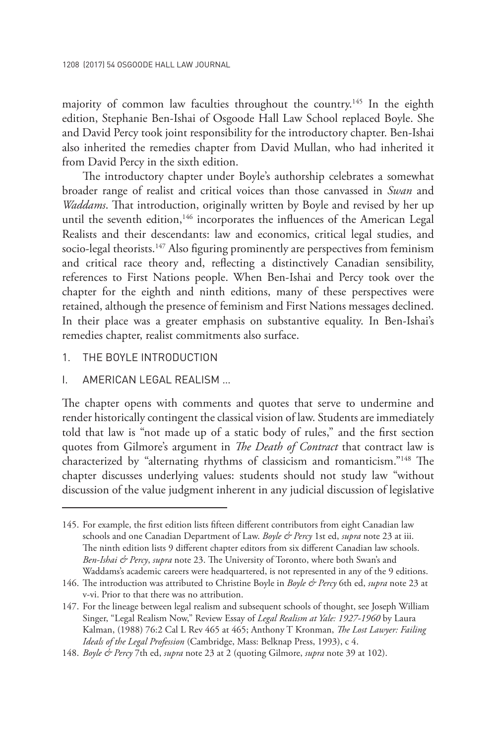majority of common law faculties throughout the country.<sup>145</sup> In the eighth edition, Stephanie Ben-Ishai of Osgoode Hall Law School replaced Boyle. She and David Percy took joint responsibility for the introductory chapter. Ben-Ishai also inherited the remedies chapter from David Mullan, who had inherited it from David Percy in the sixth edition.

The introductory chapter under Boyle's authorship celebrates a somewhat broader range of realist and critical voices than those canvassed in *Swan* and *Waddams*. That introduction, originally written by Boyle and revised by her up until the seventh edition,<sup>146</sup> incorporates the influences of the American Legal Realists and their descendants: law and economics, critical legal studies, and socio-legal theorists.<sup>147</sup> Also figuring prominently are perspectives from feminism and critical race theory and, reflecting a distinctively Canadian sensibility, references to First Nations people. When Ben-Ishai and Percy took over the chapter for the eighth and ninth editions, many of these perspectives were retained, although the presence of feminism and First Nations messages declined. In their place was a greater emphasis on substantive equality. In Ben-Ishai's remedies chapter, realist commitments also surface.

- 1. THE BOYLE INTRODUCTION
- i. AMERICAN LEGAL REALISM …

The chapter opens with comments and quotes that serve to undermine and render historically contingent the classical vision of law. Students are immediately told that law is "not made up of a static body of rules," and the first section quotes from Gilmore's argument in *The Death of Contract* that contract law is characterized by "alternating rhythms of classicism and romanticism."148 The chapter discusses underlying values: students should not study law "without discussion of the value judgment inherent in any judicial discussion of legislative

<sup>145.</sup> For example, the first edition lists fifteen different contributors from eight Canadian law schools and one Canadian Department of Law. *Boyle & Percy* 1st ed, *supra* note 23 at iii. The ninth edition lists 9 different chapter editors from six different Canadian law schools. *Ben-Ishai & Percy*, *supra* note 23. The University of Toronto, where both Swan's and Waddams's academic careers were headquartered, is not represented in any of the 9 editions.

<sup>146.</sup> The introduction was attributed to Christine Boyle in *Boyle & Percy* 6th ed, *supra* note 23 at v-vi. Prior to that there was no attribution.

<sup>147.</sup> For the lineage between legal realism and subsequent schools of thought, see Joseph William Singer, "Legal Realism Now," Review Essay of *Legal Realism at Yale: 1927-1960* by Laura Kalman, (1988) 76:2 Cal L Rev 465 at 465; Anthony T Kronman, *The Lost Lawyer: Failing Ideals of the Legal Profession* (Cambridge, Mass: Belknap Press, 1993), c 4.

<sup>148.</sup> *Boyle & Percy* 7th ed, *supra* note 23 at 2 (quoting Gilmore, *supra* note 39 at 102).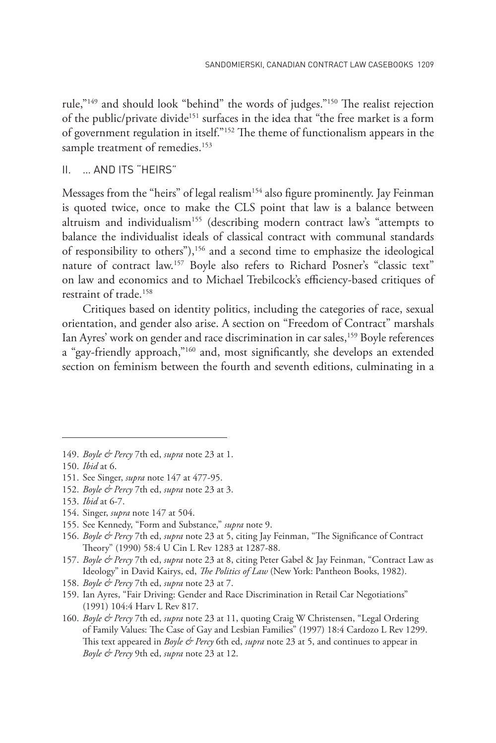rule,"149 and should look "behind" the words of judges."150 The realist rejection of the public/private divide<sup>151</sup> surfaces in the idea that "the free market is a form of government regulation in itself."152 The theme of functionalism appears in the sample treatment of remedies.<sup>153</sup>

### ii. … AND ITS "HEIRS"

Messages from the "heirs" of legal realism<sup>154</sup> also figure prominently. Jay Feinman is quoted twice, once to make the CLS point that law is a balance between altruism and individualism<sup>155</sup> (describing modern contract law's "attempts to balance the individualist ideals of classical contract with communal standards of responsibility to others"),156 and a second time to emphasize the ideological nature of contract law.<sup>157</sup> Boyle also refers to Richard Posner's "classic text" on law and economics and to Michael Trebilcock's efficiency-based critiques of restraint of trade.158

Critiques based on identity politics, including the categories of race, sexual orientation, and gender also arise. A section on "Freedom of Contract" marshals Ian Ayres' work on gender and race discrimination in car sales,<sup>159</sup> Boyle references a "gay-friendly approach,"160 and, most significantly, she develops an extended section on feminism between the fourth and seventh editions, culminating in a

<sup>149.</sup> *Boyle & Percy* 7th ed, *supra* note 23 at 1.

<sup>150.</sup> *Ibid* at 6.

<sup>151.</sup> See Singer, *supra* note 147 at 477-95.

<sup>152.</sup> *Boyle & Percy* 7th ed, *supra* note 23 at 3.

<sup>153.</sup> *Ibid* at 6-7.

<sup>154.</sup> Singer, *supra* note 147 at 504.

<sup>155.</sup> See Kennedy, "Form and Substance," *supra* note 9.

<sup>156.</sup> *Boyle & Percy* 7th ed, *supra* note 23 at 5, citing Jay Feinman, "The Significance of Contract Theory" (1990) 58:4 U Cin L Rev 1283 at 1287-88.

<sup>157.</sup> *Boyle & Percy* 7th ed, *supra* note 23 at 8, citing Peter Gabel & Jay Feinman, "Contract Law as Ideology" in David Kairys, ed, *The Politics of Law* (New York: Pantheon Books, 1982).

<sup>158.</sup> *Boyle & Percy* 7th ed, *supra* note 23 at 7.

<sup>159.</sup> Ian Ayres, "Fair Driving: Gender and Race Discrimination in Retail Car Negotiations" (1991) 104:4 Harv L Rev 817.

<sup>160.</sup> *Boyle & Percy* 7th ed, *supra* note 23 at 11, quoting Craig W Christensen, "Legal Ordering of Family Values: The Case of Gay and Lesbian Families" (1997) 18:4 Cardozo L Rev 1299. This text appeared in *Boyle & Percy* 6th ed, *supra* note 23 at 5, and continues to appear in *Boyle & Percy* 9th ed, *supra* note 23 at 12.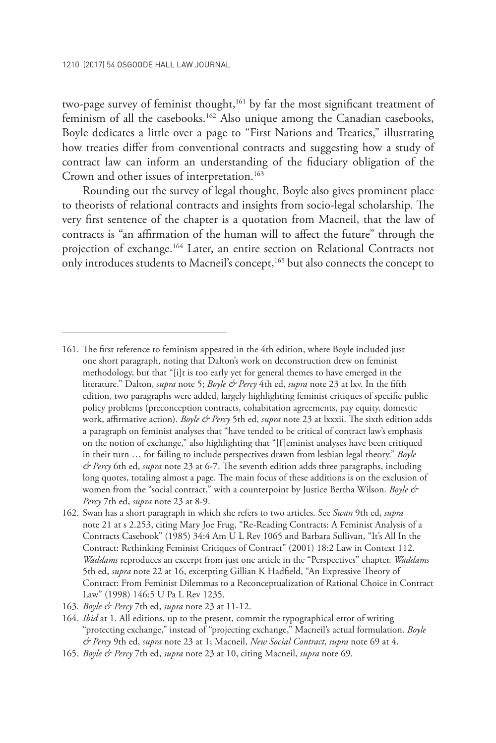two-page survey of feminist thought,<sup>161</sup> by far the most significant treatment of feminism of all the casebooks.<sup>162</sup> Also unique among the Canadian casebooks, Boyle dedicates a little over a page to "First Nations and Treaties," illustrating how treaties differ from conventional contracts and suggesting how a study of contract law can inform an understanding of the fiduciary obligation of the Crown and other issues of interpretation.<sup>163</sup>

Rounding out the survey of legal thought, Boyle also gives prominent place to theorists of relational contracts and insights from socio-legal scholarship. The very first sentence of the chapter is a quotation from Macneil, that the law of contracts is "an affirmation of the human will to affect the future" through the projection of exchange.<sup>164</sup> Later, an entire section on Relational Contracts not only introduces students to Macneil's concept,<sup>165</sup> but also connects the concept to

<sup>161.</sup> The first reference to feminism appeared in the 4th edition, where Boyle included just one short paragraph, noting that Dalton's work on deconstruction drew on feminist methodology, but that "[i]t is too early yet for general themes to have emerged in the literature." Dalton, *supra* note 5; *Boyle & Percy* 4th ed, *supra* note 23 at lxv. In the fifth edition, two paragraphs were added, largely highlighting feminist critiques of specific public policy problems (preconception contracts, cohabitation agreements, pay equity, domestic work, affirmative action). *Boyle & Percy* 5th ed, *supra* note 23 at lxxxii. The sixth edition adds a paragraph on feminist analyses that "have tended to be critical of contract law's emphasis on the notion of exchange," also highlighting that "[f]eminist analyses have been critiqued in their turn … for failing to include perspectives drawn from lesbian legal theory." *Boyle & Percy* 6th ed, *supra* note 23 at 6-7. The seventh edition adds three paragraphs, including long quotes, totaling almost a page. The main focus of these additions is on the exclusion of women from the "social contract," with a counterpoint by Justice Bertha Wilson. *Boyle & Percy* 7th ed, *supra* note 23 at 8-9.

<sup>162.</sup> Swan has a short paragraph in which she refers to two articles. See *Swan* 9th ed, *supra* note 21 at s 2.253, citing Mary Joe Frug, "Re-Reading Contracts: A Feminist Analysis of a Contracts Casebook" (1985) 34:4 Am U L Rev 1065 and Barbara Sullivan, "It's All In the Contract: Rethinking Feminist Critiques of Contract" (2001) 18:2 Law in Context 112. *Waddams* reproduces an excerpt from just one article in the "Perspectives" chapter. *Waddams* 5th ed, *supra* note 22 at 16, excerpting Gillian K Hadfield, "An Expressive Theory of Contract: From Feminist Dilemmas to a Reconceptualization of Rational Choice in Contract Law" (1998) 146:5 U Pa L Rev 1235.

<sup>163.</sup> *Boyle & Percy* 7th ed, *supra* note 23 at 11-12.

<sup>164.</sup> *Ibid* at 1. All editions, up to the present, commit the typographical error of writing "protecting exchange," instead of "projecting exchange," Macneil's actual formulation. *Boyle & Percy* 9th ed, *supra* note 23 at 1; Macneil, *New Social Contract*, *supra* note 69 at 4.

<sup>165.</sup> *Boyle & Percy* 7th ed, *supra* note 23 at 10, citing Macneil, *supra* note 69*.*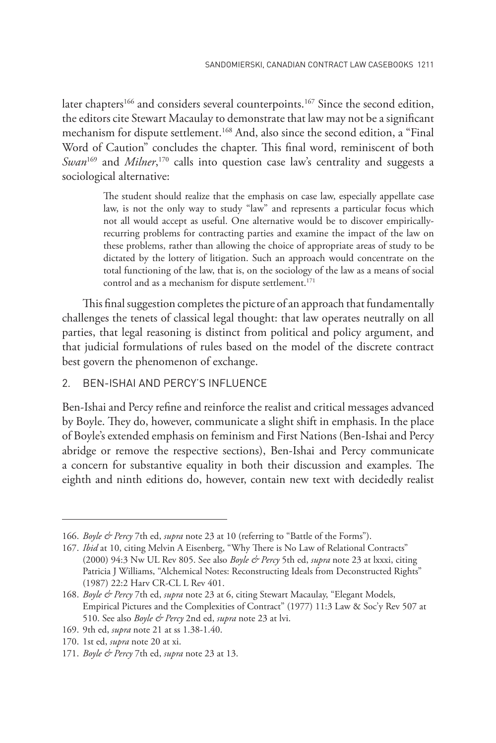later chapters<sup>166</sup> and considers several counterpoints.<sup>167</sup> Since the second edition, the editors cite Stewart Macaulay to demonstrate that law may not be a significant mechanism for dispute settlement.<sup>168</sup> And, also since the second edition, a "Final Word of Caution" concludes the chapter. This final word, reminiscent of both *Swan*169 and *Milner*, 170 calls into question case law's centrality and suggests a sociological alternative:

> The student should realize that the emphasis on case law, especially appellate case law, is not the only way to study "law" and represents a particular focus which not all would accept as useful. One alternative would be to discover empiricallyrecurring problems for contracting parties and examine the impact of the law on these problems, rather than allowing the choice of appropriate areas of study to be dictated by the lottery of litigation. Such an approach would concentrate on the total functioning of the law, that is, on the sociology of the law as a means of social control and as a mechanism for dispute settlement.<sup>171</sup>

This final suggestion completes the picture of an approach that fundamentally challenges the tenets of classical legal thought: that law operates neutrally on all parties, that legal reasoning is distinct from political and policy argument, and that judicial formulations of rules based on the model of the discrete contract best govern the phenomenon of exchange.

### 2. BEN-ISHAI AND PERCY'S INFLUENCE

Ben-Ishai and Percy refine and reinforce the realist and critical messages advanced by Boyle. They do, however, communicate a slight shift in emphasis. In the place of Boyle's extended emphasis on feminism and First Nations (Ben-Ishai and Percy abridge or remove the respective sections), Ben-Ishai and Percy communicate a concern for substantive equality in both their discussion and examples. The eighth and ninth editions do, however, contain new text with decidedly realist

<sup>166.</sup> *Boyle & Percy* 7th ed, *supra* note 23 at 10 (referring to "Battle of the Forms").

<sup>167.</sup> *Ibid* at 10, citing Melvin A Eisenberg, "Why There is No Law of Relational Contracts" (2000) 94:3 Nw UL Rev 805. See also *Boyle & Percy* 5th ed, *supra* note 23 at lxxxi, citing Patricia J Williams, "Alchemical Notes: Reconstructing Ideals from Deconstructed Rights" (1987) 22:2 Harv CR-CL L Rev 401.

<sup>168.</sup> *Boyle & Percy* 7th ed, *supra* note 23 at 6, citing Stewart Macaulay, "Elegant Models, Empirical Pictures and the Complexities of Contract" (1977) 11:3 Law & Soc'y Rev 507 at 510. See also *Boyle & Percy* 2nd ed, *supra* note 23 at lvi.

<sup>169.</sup> 9th ed, *supra* note 21 at ss 1.38-1.40.

<sup>170.</sup> 1st ed, *supra* note 20 at xi.

<sup>171.</sup> *Boyle & Percy* 7th ed, *supra* note 23 at 13.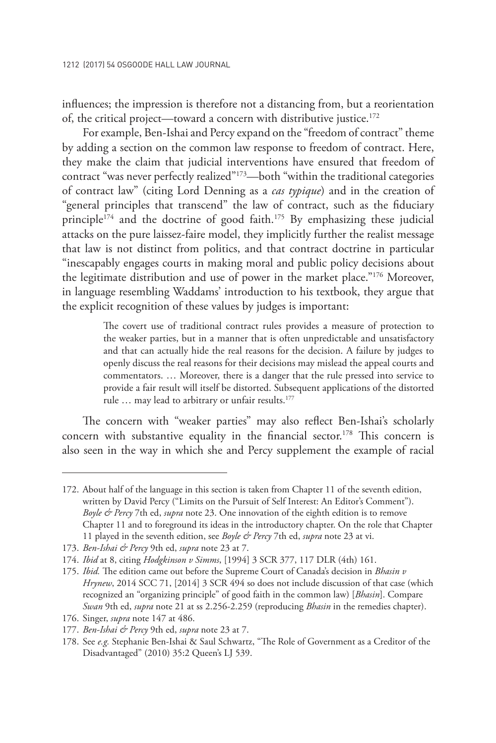influences; the impression is therefore not a distancing from, but a reorientation of, the critical project—toward a concern with distributive justice.<sup>172</sup>

For example, Ben-Ishai and Percy expand on the "freedom of contract" theme by adding a section on the common law response to freedom of contract. Here, they make the claim that judicial interventions have ensured that freedom of contract "was never perfectly realized"173—both "within the traditional categories of contract law" (citing Lord Denning as a *cas typique*) and in the creation of "general principles that transcend" the law of contract, such as the fiduciary principle<sup>174</sup> and the doctrine of good faith.<sup>175</sup> By emphasizing these judicial attacks on the pure laissez-faire model, they implicitly further the realist message that law is not distinct from politics, and that contract doctrine in particular "inescapably engages courts in making moral and public policy decisions about the legitimate distribution and use of power in the market place."176 Moreover, in language resembling Waddams' introduction to his textbook, they argue that the explicit recognition of these values by judges is important:

> The covert use of traditional contract rules provides a measure of protection to the weaker parties, but in a manner that is often unpredictable and unsatisfactory and that can actually hide the real reasons for the decision. A failure by judges to openly discuss the real reasons for their decisions may mislead the appeal courts and commentators. … Moreover, there is a danger that the rule pressed into service to provide a fair result will itself be distorted. Subsequent applications of the distorted rule ... may lead to arbitrary or unfair results.<sup>177</sup>

The concern with "weaker parties" may also reflect Ben-Ishai's scholarly concern with substantive equality in the financial sector.<sup>178</sup> This concern is also seen in the way in which she and Percy supplement the example of racial

172. About half of the language in this section is taken from Chapter 11 of the seventh edition, written by David Percy ("Limits on the Pursuit of Self Interest: An Editor's Comment"). *Boyle & Percy* 7th ed, *supra* note 23. One innovation of the eighth edition is to remove Chapter 11 and to foreground its ideas in the introductory chapter. On the role that Chapter 11 played in the seventh edition, see *Boyle & Percy* 7th ed, *supra* note 23 at vi.

<sup>173.</sup> *Ben-Ishai & Percy* 9th ed, *supra* note 23 at 7.

<sup>174.</sup> *Ibid* at 8, citing *Hodgkinson v Simms*, [1994] 3 SCR 377, 117 DLR (4th) 161.

<sup>175.</sup> *Ibid.* The edition came out before the Supreme Court of Canada's decision in *Bhasin v Hrynew*, 2014 SCC 71, [2014] 3 SCR 494 so does not include discussion of that case (which recognized an "organizing principle" of good faith in the common law) [*Bhasin*]. Compare *Swan* 9th ed, *supra* note 21 at ss 2.256-2.259 (reproducing *Bhasin* in the remedies chapter).

<sup>176.</sup> Singer, *supra* note 147 at 486.

<sup>177.</sup> *Ben-Ishai & Percy* 9th ed, *supra* note 23 at 7.

<sup>178.</sup> See *e.g.* Stephanie Ben-Ishai & Saul Schwartz, "The Role of Government as a Creditor of the Disadvantaged" (2010) 35:2 Queen's LJ 539.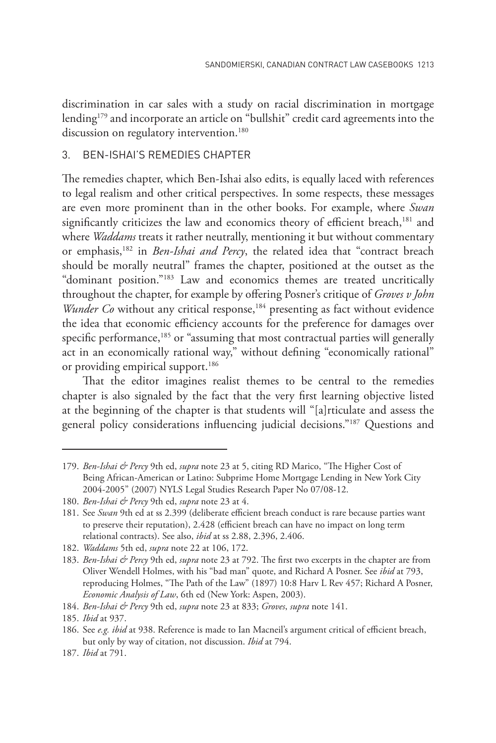discrimination in car sales with a study on racial discrimination in mortgage lending<sup>179</sup> and incorporate an article on "bullshit" credit card agreements into the discussion on regulatory intervention.<sup>180</sup>

### 3. BEN-ISHAI'S REMEDIES CHAPTER

The remedies chapter, which Ben-Ishai also edits, is equally laced with references to legal realism and other critical perspectives. In some respects, these messages are even more prominent than in the other books. For example, where *Swan* significantly criticizes the law and economics theory of efficient breach,<sup>181</sup> and where *Waddams* treats it rather neutrally, mentioning it but without commentary or emphasis,182 in *Ben-Ishai and Percy*, the related idea that "contract breach should be morally neutral" frames the chapter, positioned at the outset as the "dominant position."183 Law and economics themes are treated uncritically throughout the chapter, for example by offering Posner's critique of *Groves v John Wunder Co* without any critical response,<sup>184</sup> presenting as fact without evidence the idea that economic efficiency accounts for the preference for damages over specific performance,<sup>185</sup> or "assuming that most contractual parties will generally act in an economically rational way," without defining "economically rational" or providing empirical support.<sup>186</sup>

That the editor imagines realist themes to be central to the remedies chapter is also signaled by the fact that the very first learning objective listed at the beginning of the chapter is that students will "[a]rticulate and assess the general policy considerations influencing judicial decisions."187 Questions and

<sup>179.</sup> *Ben-Ishai & Percy* 9th ed, *supra* note 23 at 5, citing RD Marico, "The Higher Cost of Being African-American or Latino: Subprime Home Mortgage Lending in New York City 2004-2005" (2007) NYLS Legal Studies Research Paper No 07/08-12.

<sup>180.</sup> *Ben-Ishai & Percy* 9th ed, *supra* note 23 at 4.

<sup>181.</sup> See *Swan* 9th ed at ss 2.399 (deliberate efficient breach conduct is rare because parties want to preserve their reputation), 2.428 (efficient breach can have no impact on long term relational contracts). See also, *ibid* at ss 2.88, 2.396, 2.406.

<sup>182.</sup> *Waddams* 5th ed, *supra* note 22 at 106, 172.

<sup>183.</sup> *Ben-Ishai & Percy* 9th ed, *supra* note 23 at 792. The first two excerpts in the chapter are from Oliver Wendell Holmes, with his "bad man" quote, and Richard A Posner. See *ibid* at 793, reproducing Holmes, "The Path of the Law" (1897) 10:8 Harv L Rev 457; Richard A Posner, *Economic Analysis of Law*, 6th ed (New York: Aspen, 2003).

<sup>184.</sup> *Ben-Ishai & Percy* 9th ed, *supra* note 23 at 833; *Groves*, *supra* note 141.

<sup>185.</sup> *Ibid* at 937.

<sup>186.</sup> See *e.g. ibid* at 938. Reference is made to Ian Macneil's argument critical of efficient breach, but only by way of citation, not discussion. *Ibid* at 794.

<sup>187.</sup> *Ibid* at 791.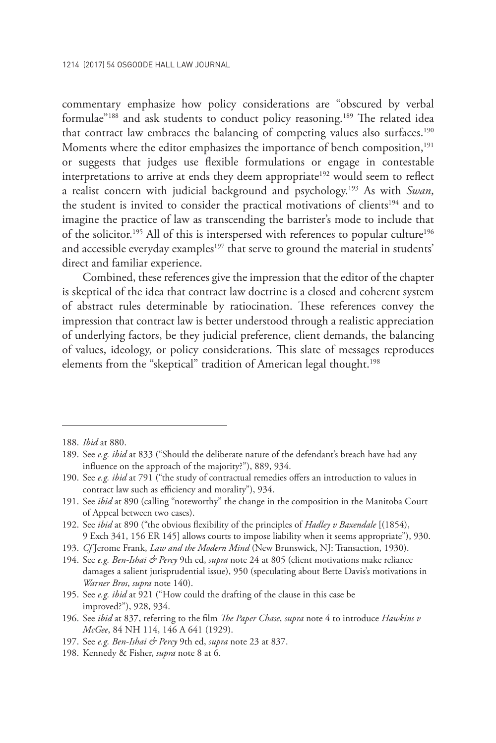commentary emphasize how policy considerations are "obscured by verbal formulae"<sup>188</sup> and ask students to conduct policy reasoning.<sup>189</sup> The related idea that contract law embraces the balancing of competing values also surfaces.<sup>190</sup> Moments where the editor emphasizes the importance of bench composition,<sup>191</sup> or suggests that judges use flexible formulations or engage in contestable interpretations to arrive at ends they deem appropriate<sup>192</sup> would seem to reflect a realist concern with judicial background and psychology.193 As with *Swan*, the student is invited to consider the practical motivations of clients<sup>194</sup> and to imagine the practice of law as transcending the barrister's mode to include that of the solicitor.<sup>195</sup> All of this is interspersed with references to popular culture<sup>196</sup> and accessible everyday examples<sup>197</sup> that serve to ground the material in students' direct and familiar experience.

Combined, these references give the impression that the editor of the chapter is skeptical of the idea that contract law doctrine is a closed and coherent system of abstract rules determinable by ratiocination. These references convey the impression that contract law is better understood through a realistic appreciation of underlying factors, be they judicial preference, client demands, the balancing of values, ideology, or policy considerations. This slate of messages reproduces elements from the "skeptical" tradition of American legal thought.<sup>198</sup>

195. See *e.g. ibid* at 921 ("How could the drafting of the clause in this case be improved?"), 928, 934.

- 197. See *e.g. Ben-Ishai & Percy* 9th ed, *supra* note 23 at 837.
- 198. Kennedy & Fisher, *supra* note 8 at 6.

<sup>188.</sup> *Ibid* at 880.

<sup>189.</sup> See *e.g. ibid* at 833 ("Should the deliberate nature of the defendant's breach have had any influence on the approach of the majority?"), 889, 934.

<sup>190.</sup> See *e.g. ibid* at 791 ("the study of contractual remedies offers an introduction to values in contract law such as efficiency and morality"), 934.

<sup>191.</sup> See *ibid* at 890 (calling "noteworthy" the change in the composition in the Manitoba Court of Appeal between two cases).

<sup>192.</sup> See *ibid* at 890 ("the obvious flexibility of the principles of *Hadley v Baxendale* [(1854), 9 Exch 341, 156 ER 145] allows courts to impose liability when it seems appropriate"), 930.

<sup>193.</sup> *Cf* Jerome Frank, *Law and the Modern Mind* (New Brunswick, NJ: Transaction, 1930).

<sup>194.</sup> See *e.g. Ben-Ishai & Percy* 9th ed, *supra* note 24 at 805 (client motivations make reliance damages a salient jurisprudential issue), 950 (speculating about Bette Davis's motivations in *Warner Bros*, *supra* note 140).

<sup>196.</sup> See *ibid* at 837, referring to the film *The Paper Chase*, *supra* note 4 to introduce *Hawkins v McGee*, 84 NH 114, 146 A 641 (1929).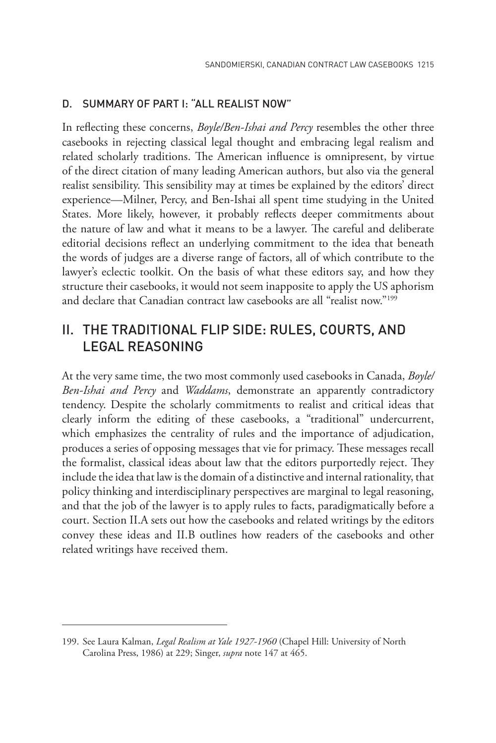### D. SUMMARY OF PART I: "ALL REALIST NOW"

In reflecting these concerns, *Boyle/Ben-Ishai and Percy* resembles the other three casebooks in rejecting classical legal thought and embracing legal realism and related scholarly traditions. The American influence is omnipresent, by virtue of the direct citation of many leading American authors, but also via the general realist sensibility. This sensibility may at times be explained by the editors' direct experience—Milner, Percy, and Ben-Ishai all spent time studying in the United States. More likely, however, it probably reflects deeper commitments about the nature of law and what it means to be a lawyer. The careful and deliberate editorial decisions reflect an underlying commitment to the idea that beneath the words of judges are a diverse range of factors, all of which contribute to the lawyer's eclectic toolkit. On the basis of what these editors say, and how they structure their casebooks, it would not seem inapposite to apply the US aphorism and declare that Canadian contract law casebooks are all "realist now."199

### II. THE TRADITIONAL FLIP SIDE: RULES, COURTS, AND LEGAL REASONING

At the very same time, the two most commonly used casebooks in Canada, *Boyle/ Ben-Ishai and Percy* and *Waddams*, demonstrate an apparently contradictory tendency. Despite the scholarly commitments to realist and critical ideas that clearly inform the editing of these casebooks, a "traditional" undercurrent, which emphasizes the centrality of rules and the importance of adjudication, produces a series of opposing messages that vie for primacy. These messages recall the formalist, classical ideas about law that the editors purportedly reject. They include the idea that law is the domain of a distinctive and internal rationality, that policy thinking and interdisciplinary perspectives are marginal to legal reasoning, and that the job of the lawyer is to apply rules to facts, paradigmatically before a court. Section II.A sets out how the casebooks and related writings by the editors convey these ideas and II.B outlines how readers of the casebooks and other related writings have received them.

<sup>199.</sup> See Laura Kalman, *Legal Realism at Yale 1927-1960* (Chapel Hill: University of North Carolina Press, 1986) at 229; Singer, *supra* note 147 at 465.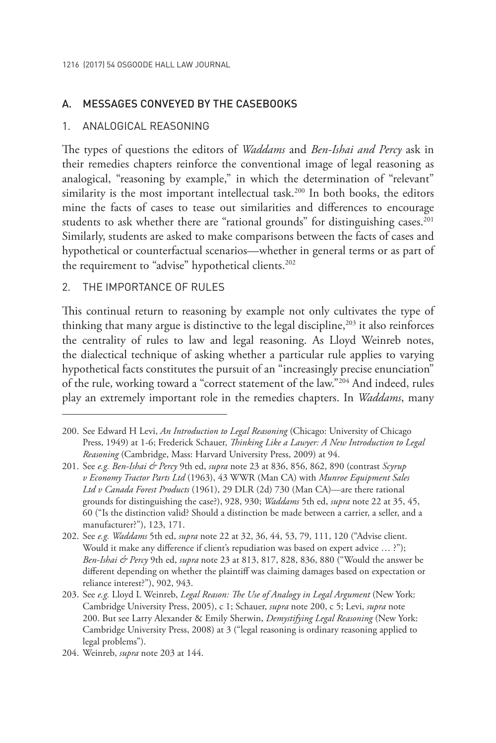### A. MESSAGES CONVEYED BY THE CASEBOOKS

### 1. ANALOGICAL REASONING

The types of questions the editors of *Waddams* and *Ben-Ishai and Percy* ask in their remedies chapters reinforce the conventional image of legal reasoning as analogical, "reasoning by example," in which the determination of "relevant" similarity is the most important intellectual task.<sup>200</sup> In both books, the editors mine the facts of cases to tease out similarities and differences to encourage students to ask whether there are "rational grounds" for distinguishing cases.<sup>201</sup> Similarly, students are asked to make comparisons between the facts of cases and hypothetical or counterfactual scenarios—whether in general terms or as part of the requirement to "advise" hypothetical clients.<sup>202</sup>

### 2. THE IMPORTANCE OF RULES

This continual return to reasoning by example not only cultivates the type of thinking that many argue is distinctive to the legal discipline, $203$  it also reinforces the centrality of rules to law and legal reasoning. As Lloyd Weinreb notes, the dialectical technique of asking whether a particular rule applies to varying hypothetical facts constitutes the pursuit of an "increasingly precise enunciation" of the rule, working toward a "correct statement of the law."204 And indeed, rules play an extremely important role in the remedies chapters. In *Waddams*, many

<sup>200.</sup> See Edward H Levi, *An Introduction to Legal Reasoning* (Chicago: University of Chicago Press, 1949) at 1-6; Frederick Schauer, *Thinking Like a Lawyer: A New Introduction to Legal Reasoning* (Cambridge, Mass: Harvard University Press, 2009) at 94.

<sup>201.</sup> See *e.g. Ben-Ishai & Percy* 9th ed, *supra* note 23 at 836, 856, 862, 890 (contrast *Scyrup v Economy Tractor Parts Ltd* (1963), 43 WWR (Man CA) with *Munroe Equipment Sales Ltd v Canada Forest Products* (1961), 29 DLR (2d) 730 (Man CA)—are there rational grounds for distinguishing the case?), 928, 930; *Waddams* 5th ed, *supra* note 22 at 35, 45, 60 ("Is the distinction valid? Should a distinction be made between a carrier, a seller, and a manufacturer?"), 123, 171.

<sup>202.</sup> See *e.g. Waddams* 5th ed, *supra* note 22 at 32, 36, 44, 53, 79, 111, 120 ("Advise client. Would it make any difference if client's repudiation was based on expert advice … ?"); *Ben-Ishai & Percy* 9th ed, *supra* note 23 at 813, 817, 828, 836, 880 ("Would the answer be different depending on whether the plaintiff was claiming damages based on expectation or reliance interest?"), 902, 943.

<sup>203.</sup> See *e.g.* Lloyd L Weinreb, *Legal Reason: The Use of Analogy in Legal Argument* (New York: Cambridge University Press, 2005), c 1; Schauer, *supra* note 200, c 5; Levi, *supra* note 200. But see Larry Alexander & Emily Sherwin, *Demystifying Legal Reasoning* (New York: Cambridge University Press, 2008) at 3 ("legal reasoning is ordinary reasoning applied to legal problems").

<sup>204.</sup> Weinreb, *supra* note 203 at 144.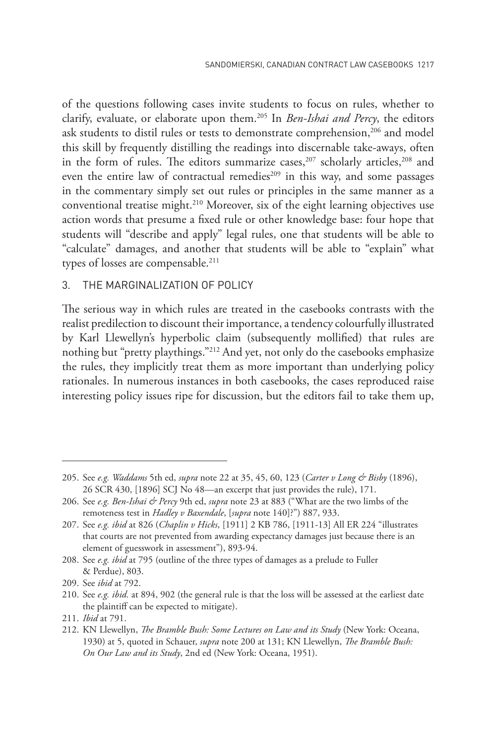of the questions following cases invite students to focus on rules, whether to clarify, evaluate, or elaborate upon them.205 In *Ben-Ishai and Percy*, the editors ask students to distil rules or tests to demonstrate comprehension,<sup>206</sup> and model this skill by frequently distilling the readings into discernable take-aways, often in the form of rules. The editors summarize cases,<sup>207</sup> scholarly articles,<sup>208</sup> and even the entire law of contractual remedies<sup>209</sup> in this way, and some passages in the commentary simply set out rules or principles in the same manner as a conventional treatise might.210 Moreover, six of the eight learning objectives use action words that presume a fixed rule or other knowledge base: four hope that students will "describe and apply" legal rules, one that students will be able to "calculate" damages, and another that students will be able to "explain" what types of losses are compensable.<sup>211</sup>

### 3. THE MARGINALIZATION OF POLICY

The serious way in which rules are treated in the casebooks contrasts with the realist predilection to discount their importance, a tendency colourfully illustrated by Karl Llewellyn's hyperbolic claim (subsequently mollified) that rules are nothing but "pretty playthings."212 And yet, not only do the casebooks emphasize the rules, they implicitly treat them as more important than underlying policy rationales. In numerous instances in both casebooks, the cases reproduced raise interesting policy issues ripe for discussion, but the editors fail to take them up,

<sup>205.</sup> See *e.g. Waddams* 5th ed, *supra* note 22 at 35, 45, 60, 123 (*Carter v Long & Bisby* (1896), 26 SCR 430, [1896] SCJ No 48—an excerpt that just provides the rule), 171.

<sup>206.</sup> See *e.g. Ben-Ishai & Percy* 9th ed, *supra* note 23 at 883 ("What are the two limbs of the remoteness test in *Hadley v Baxendale*, [*supra* note 140]?") 887, 933.

<sup>207.</sup> See *e.g. ibid* at 826 (*Chaplin v Hicks*, [1911] 2 KB 786, [1911-13] All ER 224 "illustrates that courts are not prevented from awarding expectancy damages just because there is an element of guesswork in assessment"), 893-94.

<sup>208.</sup> See *e.g. ibid* at 795 (outline of the three types of damages as a prelude to Fuller & Perdue), 803.

<sup>209.</sup> See *ibid* at 792.

<sup>210.</sup> See *e.g. ibid.* at 894, 902 (the general rule is that the loss will be assessed at the earliest date the plaintiff can be expected to mitigate).

<sup>211.</sup> *Ibid* at 791.

<sup>212.</sup> KN Llewellyn, *The Bramble Bush: Some Lectures on Law and its Study* (New York: Oceana, 1930) at 5, quoted in Schauer, *supra* note 200 at 131; KN Llewellyn, *The Bramble Bush: On Our Law and its Study*, 2nd ed (New York: Oceana, 1951).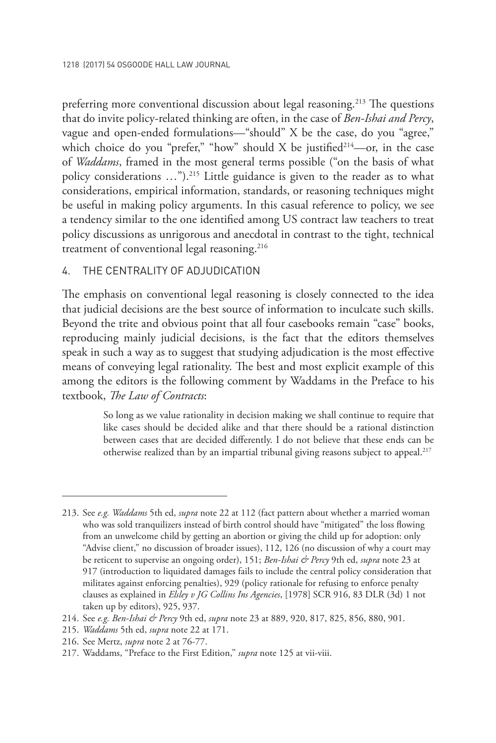preferring more conventional discussion about legal reasoning.<sup>213</sup> The questions that do invite policy-related thinking are often, in the case of *Ben-Ishai and Percy*, vague and open-ended formulations—"should" X be the case, do you "agree," which choice do you "prefer," "how" should  $X$  be justified<sup>214</sup>-or, in the case of *Waddams*, framed in the most general terms possible ("on the basis of what policy considerations …").215 Little guidance is given to the reader as to what considerations, empirical information, standards, or reasoning techniques might be useful in making policy arguments. In this casual reference to policy, we see a tendency similar to the one identified among US contract law teachers to treat policy discussions as unrigorous and anecdotal in contrast to the tight, technical treatment of conventional legal reasoning.<sup>216</sup>

### 4. THE CENTRALITY OF ADJUDICATION

The emphasis on conventional legal reasoning is closely connected to the idea that judicial decisions are the best source of information to inculcate such skills. Beyond the trite and obvious point that all four casebooks remain "case" books, reproducing mainly judicial decisions, is the fact that the editors themselves speak in such a way as to suggest that studying adjudication is the most effective means of conveying legal rationality. The best and most explicit example of this among the editors is the following comment by Waddams in the Preface to his textbook, *The Law of Contracts*:

> So long as we value rationality in decision making we shall continue to require that like cases should be decided alike and that there should be a rational distinction between cases that are decided differently. I do not believe that these ends can be otherwise realized than by an impartial tribunal giving reasons subject to appeal.217

<sup>213.</sup> See *e.g. Waddams* 5th ed, *supra* note 22 at 112 (fact pattern about whether a married woman who was sold tranquilizers instead of birth control should have "mitigated" the loss flowing from an unwelcome child by getting an abortion or giving the child up for adoption: only "Advise client," no discussion of broader issues), 112, 126 (no discussion of why a court may be reticent to supervise an ongoing order), 151; *Ben-Ishai & Percy* 9th ed, *supra* note 23 at 917 (introduction to liquidated damages fails to include the central policy consideration that militates against enforcing penalties), 929 (policy rationale for refusing to enforce penalty clauses as explained in *Elsley v JG Collins Ins Agencies*, [1978] SCR 916, 83 DLR (3d) 1 not taken up by editors), 925, 937.

<sup>214.</sup> See *e.g. Ben-Ishai & Percy* 9th ed, *supra* note 23 at 889, 920, 817, 825, 856, 880, 901.

<sup>215.</sup> *Waddams* 5th ed, *supra* note 22 at 171.

<sup>216.</sup> See Mertz, *supra* note 2 at 76-77.

<sup>217.</sup> Waddams, "Preface to the First Edition," *supra* note 125 at vii-viii.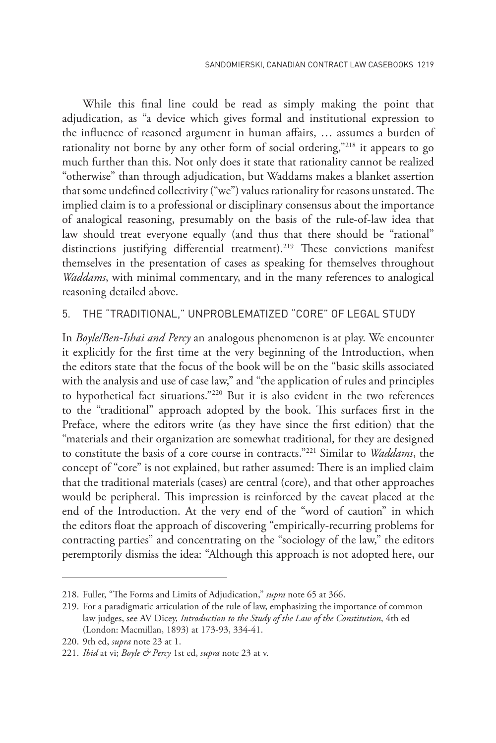While this final line could be read as simply making the point that adjudication, as "a device which gives formal and institutional expression to the influence of reasoned argument in human affairs, … assumes a burden of rationality not borne by any other form of social ordering,"<sup>218</sup> it appears to go much further than this. Not only does it state that rationality cannot be realized "otherwise" than through adjudication, but Waddams makes a blanket assertion that some undefined collectivity ("we") values rationality for reasons unstated. The implied claim is to a professional or disciplinary consensus about the importance of analogical reasoning, presumably on the basis of the rule-of-law idea that law should treat everyone equally (and thus that there should be "rational" distinctions justifying differential treatment).<sup>219</sup> These convictions manifest themselves in the presentation of cases as speaking for themselves throughout *Waddams*, with minimal commentary, and in the many references to analogical reasoning detailed above.

### 5. THE "TRADITIONAL," UNPROBLEMATIZED "CORE" OF LEGAL STUDY

In *Boyle/Ben-Ishai and Percy* an analogous phenomenon is at play. We encounter it explicitly for the first time at the very beginning of the Introduction, when the editors state that the focus of the book will be on the "basic skills associated with the analysis and use of case law," and "the application of rules and principles to hypothetical fact situations."220 But it is also evident in the two references to the "traditional" approach adopted by the book. This surfaces first in the Preface, where the editors write (as they have since the first edition) that the "materials and their organization are somewhat traditional, for they are designed to constitute the basis of a core course in contracts."221 Similar to *Waddams*, the concept of "core" is not explained, but rather assumed: There is an implied claim that the traditional materials (cases) are central (core), and that other approaches would be peripheral. This impression is reinforced by the caveat placed at the end of the Introduction. At the very end of the "word of caution" in which the editors float the approach of discovering "empirically-recurring problems for contracting parties" and concentrating on the "sociology of the law," the editors peremptorily dismiss the idea: "Although this approach is not adopted here, our

<sup>218.</sup> Fuller, "The Forms and Limits of Adjudication," *supra* note 65 at 366.

<sup>219.</sup> For a paradigmatic articulation of the rule of law, emphasizing the importance of common law judges, see AV Dicey, *Introduction to the Study of the Law of the Constitution*, 4th ed (London: Macmillan, 1893) at 173-93, 334-41.

<sup>220.</sup> 9th ed, *supra* note 23 at 1.

<sup>221.</sup> *Ibid* at vi; *Boyle & Percy* 1st ed, *supra* note 23 at v.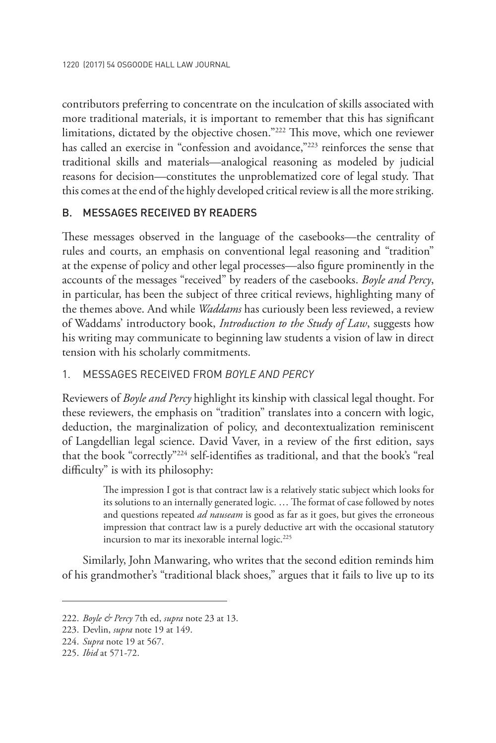contributors preferring to concentrate on the inculcation of skills associated with more traditional materials, it is important to remember that this has significant limitations, dictated by the objective chosen."222 This move, which one reviewer has called an exercise in "confession and avoidance,"<sup>223</sup> reinforces the sense that traditional skills and materials—analogical reasoning as modeled by judicial reasons for decision—constitutes the unproblematized core of legal study. That this comes at the end of the highly developed critical review is all the more striking.

### B. MESSAGES RECEIVED BY READERS

These messages observed in the language of the casebooks—the centrality of rules and courts, an emphasis on conventional legal reasoning and "tradition" at the expense of policy and other legal processes—also figure prominently in the accounts of the messages "received" by readers of the casebooks. *Boyle and Percy*, in particular, has been the subject of three critical reviews, highlighting many of the themes above. And while *Waddams* has curiously been less reviewed, a review of Waddams' introductory book, *Introduction to the Study of Law*, suggests how his writing may communicate to beginning law students a vision of law in direct tension with his scholarly commitments.

### 1. MESSAGES RECEIVED FROM *BOYLE AND PERCY*

Reviewers of *Boyle and Percy* highlight its kinship with classical legal thought. For these reviewers, the emphasis on "tradition" translates into a concern with logic, deduction, the marginalization of policy, and decontextualization reminiscent of Langdellian legal science. David Vaver, in a review of the first edition, says that the book "correctly"224 self-identifies as traditional, and that the book's "real difficulty" is with its philosophy:

> The impression I got is that contract law is a relatively static subject which looks for its solutions to an internally generated logic. … The format of case followed by notes and questions repeated *ad nauseam* is good as far as it goes, but gives the erroneous impression that contract law is a purely deductive art with the occasional statutory incursion to mar its inexorable internal logic.<sup>225</sup>

Similarly, John Manwaring, who writes that the second edition reminds him of his grandmother's "traditional black shoes," argues that it fails to live up to its

<sup>222.</sup> *Boyle & Percy* 7th ed, *supra* note 23 at 13.

<sup>223.</sup> Devlin, *supra* note 19 at 149.

<sup>224.</sup> *Supra* note 19 at 567.

<sup>225.</sup> *Ibid* at 571-72.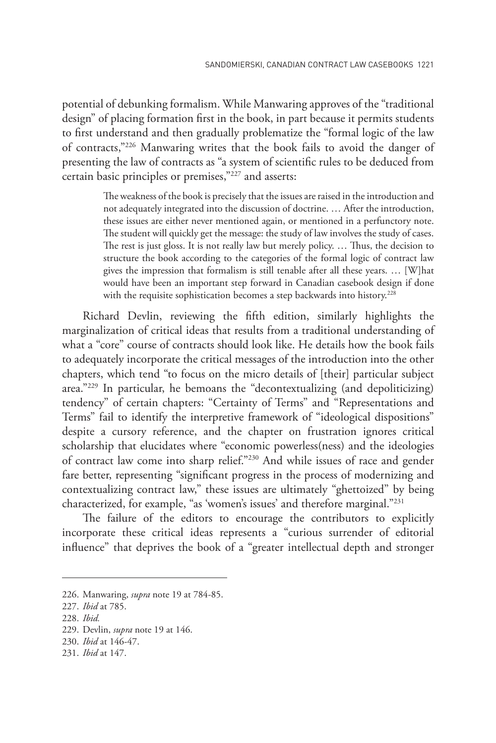potential of debunking formalism. While Manwaring approves of the "traditional design" of placing formation first in the book, in part because it permits students to first understand and then gradually problematize the "formal logic of the law of contracts,"226 Manwaring writes that the book fails to avoid the danger of presenting the law of contracts as "a system of scientific rules to be deduced from certain basic principles or premises,"227 and asserts:

> The weakness of the book is precisely that the issues are raised in the introduction and not adequately integrated into the discussion of doctrine. … After the introduction, these issues are either never mentioned again, or mentioned in a perfunctory note. The student will quickly get the message: the study of law involves the study of cases. The rest is just gloss. It is not really law but merely policy. … Thus, the decision to structure the book according to the categories of the formal logic of contract law gives the impression that formalism is still tenable after all these years. … [W]hat would have been an important step forward in Canadian casebook design if done with the requisite sophistication becomes a step backwards into history.<sup>228</sup>

Richard Devlin, reviewing the fifth edition, similarly highlights the marginalization of critical ideas that results from a traditional understanding of what a "core" course of contracts should look like. He details how the book fails to adequately incorporate the critical messages of the introduction into the other chapters, which tend "to focus on the micro details of [their] particular subject area."229 In particular, he bemoans the "decontextualizing (and depoliticizing) tendency" of certain chapters: "Certainty of Terms" and "Representations and Terms" fail to identify the interpretive framework of "ideological dispositions" despite a cursory reference, and the chapter on frustration ignores critical scholarship that elucidates where "economic powerless(ness) and the ideologies of contract law come into sharp relief."230 And while issues of race and gender fare better, representing "significant progress in the process of modernizing and contextualizing contract law," these issues are ultimately "ghettoized" by being characterized, for example, "as 'women's issues' and therefore marginal."231

The failure of the editors to encourage the contributors to explicitly incorporate these critical ideas represents a "curious surrender of editorial influence" that deprives the book of a "greater intellectual depth and stronger

<sup>226.</sup> Manwaring, *supra* note 19 at 784-85.

<sup>227.</sup> *Ibid* at 785.

<sup>228.</sup> *Ibid.*

<sup>229.</sup> Devlin, *supra* note 19 at 146.

<sup>230.</sup> *Ibid* at 146-47.

<sup>231.</sup> *Ibid* at 147.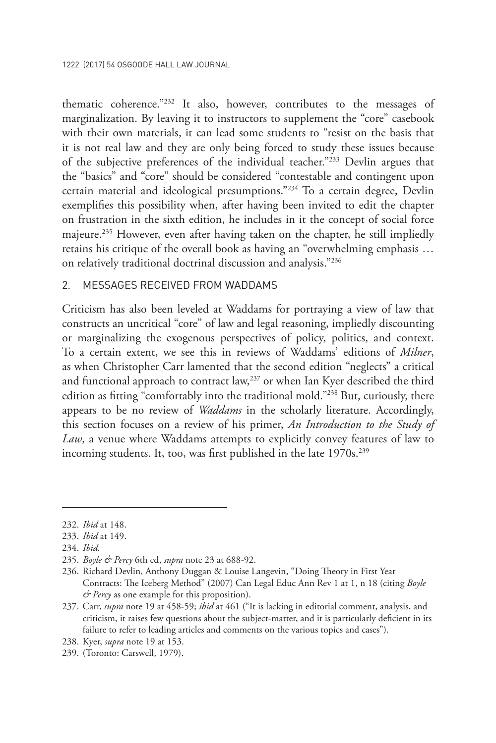thematic coherence."232 It also, however, contributes to the messages of marginalization. By leaving it to instructors to supplement the "core" casebook with their own materials, it can lead some students to "resist on the basis that it is not real law and they are only being forced to study these issues because of the subjective preferences of the individual teacher."233 Devlin argues that the "basics" and "core" should be considered "contestable and contingent upon certain material and ideological presumptions."234 To a certain degree, Devlin exemplifies this possibility when, after having been invited to edit the chapter on frustration in the sixth edition, he includes in it the concept of social force majeure.<sup>235</sup> However, even after having taken on the chapter, he still impliedly retains his critique of the overall book as having an "overwhelming emphasis … on relatively traditional doctrinal discussion and analysis."236

### 2. MESSAGES RECEIVED FROM WADDAMS

Criticism has also been leveled at Waddams for portraying a view of law that constructs an uncritical "core" of law and legal reasoning, impliedly discounting or marginalizing the exogenous perspectives of policy, politics, and context. To a certain extent, we see this in reviews of Waddams' editions of *Milner*, as when Christopher Carr lamented that the second edition "neglects" a critical and functional approach to contract law,<sup>237</sup> or when Ian Kyer described the third edition as fitting "comfortably into the traditional mold."<sup>238</sup> But, curiously, there appears to be no review of *Waddams* in the scholarly literature. Accordingly, this section focuses on a review of his primer, *An Introduction to the Study of Law*, a venue where Waddams attempts to explicitly convey features of law to incoming students. It, too, was first published in the late 1970s.<sup>239</sup>

<sup>232.</sup> *Ibid* at 148.

<sup>233.</sup> *Ibid* at 149.

<sup>234.</sup> *Ibid.*

<sup>235.</sup> *Boyle & Percy* 6th ed, *supra* note 23 at 688-92.

<sup>236.</sup> Richard Devlin, Anthony Duggan & Louise Langevin, "Doing Theory in First Year Contracts: The Iceberg Method" (2007) Can Legal Educ Ann Rev 1 at 1, n 18 (citing *Boyle & Percy* as one example for this proposition).

<sup>237.</sup> Carr, *supra* note 19 at 458-59; *ibid* at 461 ("It is lacking in editorial comment, analysis, and criticism, it raises few questions about the subject-matter, and it is particularly deficient in its failure to refer to leading articles and comments on the various topics and cases").

<sup>238.</sup> Kyer, *supra* note 19 at 153.

<sup>239.</sup> (Toronto: Carswell, 1979).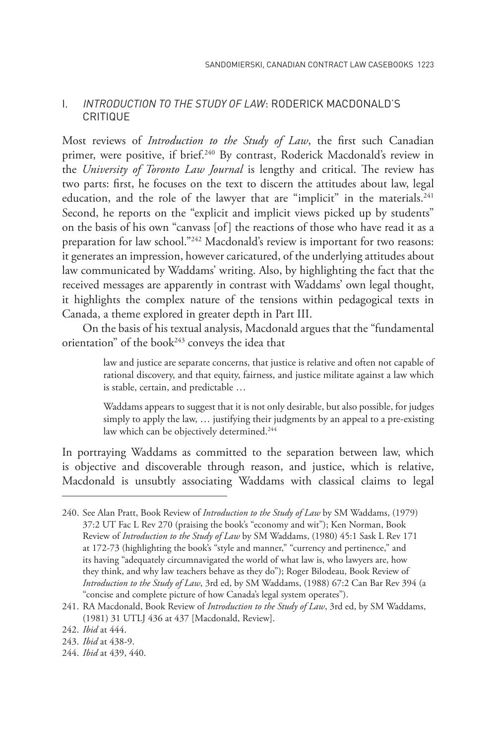### i. *INTRODUCTION TO THE STUDY OF LAW*: RODERICK MACDONALD'S CRITIQUE

Most reviews of *Introduction to the Study of Law*, the first such Canadian primer, were positive, if brief.<sup>240</sup> By contrast, Roderick Macdonald's review in the *University of Toronto Law Journal* is lengthy and critical. The review has two parts: first, he focuses on the text to discern the attitudes about law, legal education, and the role of the lawyer that are "implicit" in the materials.<sup>241</sup> Second, he reports on the "explicit and implicit views picked up by students" on the basis of his own "canvass [of] the reactions of those who have read it as a preparation for law school."<sup>242</sup> Macdonald's review is important for two reasons: it generates an impression, however caricatured, of the underlying attitudes about law communicated by Waddams' writing. Also, by highlighting the fact that the received messages are apparently in contrast with Waddams' own legal thought, it highlights the complex nature of the tensions within pedagogical texts in Canada, a theme explored in greater depth in Part III.

On the basis of his textual analysis, Macdonald argues that the "fundamental orientation" of the book<sup>243</sup> conveys the idea that

> law and justice are separate concerns, that justice is relative and often not capable of rational discovery, and that equity, fairness, and justice militate against a law which is stable, certain, and predictable …

> Waddams appears to suggest that it is not only desirable, but also possible, for judges simply to apply the law, … justifying their judgments by an appeal to a pre-existing law which can be objectively determined.<sup>244</sup>

In portraying Waddams as committed to the separation between law, which is objective and discoverable through reason, and justice, which is relative, Macdonald is unsubtly associating Waddams with classical claims to legal

<sup>240.</sup> See Alan Pratt, Book Review of *Introduction to the Study of Law* by SM Waddams, (1979) 37:2 UT Fac L Rev 270 (praising the book's "economy and wit"); Ken Norman, Book Review of *Introduction to the Study of Law* by SM Waddams, (1980) 45:1 Sask L Rev 171 at 172-73 (highlighting the book's "style and manner," "currency and pertinence," and its having "adequately circumnavigated the world of what law is, who lawyers are, how they think, and why law teachers behave as they do"); Roger Bilodeau, Book Review of *Introduction to the Study of Law*, 3rd ed, by SM Waddams, (1988) 67:2 Can Bar Rev 394 (a "concise and complete picture of how Canada's legal system operates").

<sup>241.</sup> RA Macdonald, Book Review of *Introduction to the Study of Law*, 3rd ed, by SM Waddams, (1981) 31 UTLJ 436 at 437 [Macdonald, Review].

<sup>242.</sup> *Ibid* at 444.

<sup>243.</sup> *Ibid* at 438-9.

<sup>244.</sup> *Ibid* at 439, 440.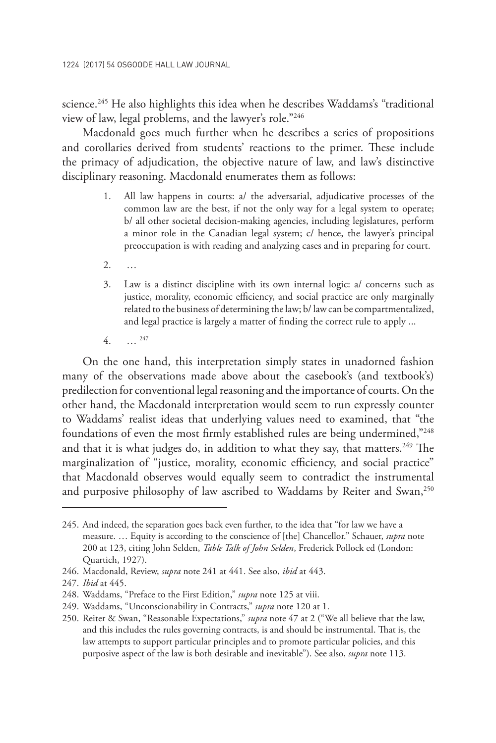science.<sup>245</sup> He also highlights this idea when he describes Waddams's "traditional view of law, legal problems, and the lawyer's role."246

Macdonald goes much further when he describes a series of propositions and corollaries derived from students' reactions to the primer. These include the primacy of adjudication, the objective nature of law, and law's distinctive disciplinary reasoning. Macdonald enumerates them as follows:

- 1. All law happens in courts: a/ the adversarial, adjudicative processes of the common law are the best, if not the only way for a legal system to operate; b/ all other societal decision-making agencies, including legislatures, perform a minor role in the Canadian legal system; c/ hence, the lawyer's principal preoccupation is with reading and analyzing cases and in preparing for court.
- 2. …
- 3. Law is a distinct discipline with its own internal logic: a/ concerns such as justice, morality, economic efficiency, and social practice are only marginally related to the business of determining the law; b/ law can be compartmentalized, and legal practice is largely a matter of finding the correct rule to apply ...
- 4. … 247

On the one hand, this interpretation simply states in unadorned fashion many of the observations made above about the casebook's (and textbook's) predilection for conventional legal reasoning and the importance of courts. On the other hand, the Macdonald interpretation would seem to run expressly counter to Waddams' realist ideas that underlying values need to examined, that "the foundations of even the most firmly established rules are being undermined,"248 and that it is what judges do, in addition to what they say, that matters.<sup>249</sup> The marginalization of "justice, morality, economic efficiency, and social practice" that Macdonald observes would equally seem to contradict the instrumental and purposive philosophy of law ascribed to Waddams by Reiter and Swan,<sup>250</sup>

<sup>245.</sup> And indeed, the separation goes back even further, to the idea that "for law we have a measure. … Equity is according to the conscience of [the] Chancellor." Schauer, *supra* note 200 at 123, citing John Selden, *Table Talk of John Selden*, Frederick Pollock ed (London: Quartich, 1927).

<sup>246.</sup> Macdonald, Review, *supra* note 241 at 441. See also, *ibid* at 443.

<sup>247.</sup> *Ibid* at 445.

<sup>248.</sup> Waddams, "Preface to the First Edition," *supra* note 125 at viii.

<sup>249.</sup> Waddams, "Unconscionability in Contracts," *supra* note 120 at 1.

<sup>250.</sup> Reiter & Swan, "Reasonable Expectations," *supra* note 47 at 2 ("We all believe that the law, and this includes the rules governing contracts, is and should be instrumental. That is, the law attempts to support particular principles and to promote particular policies, and this purposive aspect of the law is both desirable and inevitable"). See also, *supra* note 113.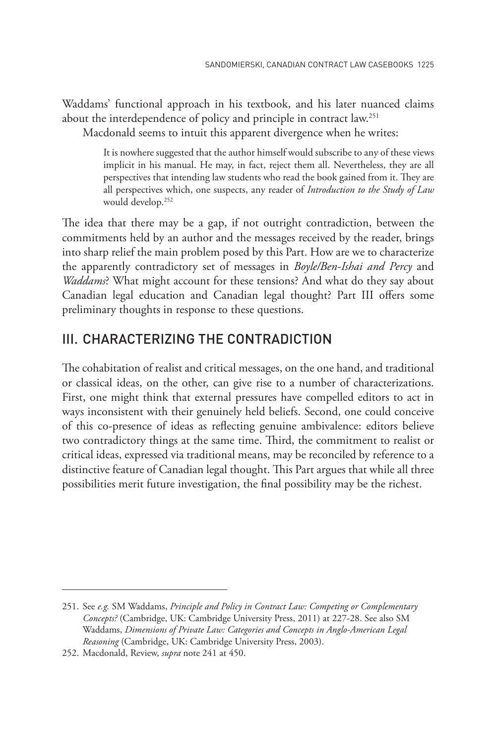Waddams' functional approach in his textbook, and his later nuanced claims about the interdependence of policy and principle in contract law.<sup>251</sup>

Macdonald seems to intuit this apparent divergence when he writes:

It is nowhere suggested that the author himself would subscribe to any of these views implicit in his manual. He may, in fact, reject them all. Nevertheless, they are all perspectives that intending law students who read the book gained from it. They are all perspectives which, one suspects, any reader of *Introduction to the Study of Law* would develop.252

The idea that there may be a gap, if not outright contradiction, between the commitments held by an author and the messages received by the reader, brings into sharp relief the main problem posed by this Part. How are we to characterize the apparently contradictory set of messages in *Boyle/Ben-Ishai and Percy* and *Waddams*? What might account for these tensions? And what do they say about Canadian legal education and Canadian legal thought? Part III offers some preliminary thoughts in response to these questions.

### III. CHARACTERIZING THE CONTRADICTION

The cohabitation of realist and critical messages, on the one hand, and traditional or classical ideas, on the other, can give rise to a number of characterizations. First, one might think that external pressures have compelled editors to act in ways inconsistent with their genuinely held beliefs. Second, one could conceive of this co-presence of ideas as reflecting genuine ambivalence: editors believe two contradictory things at the same time. Third, the commitment to realist or critical ideas, expressed via traditional means, may be reconciled by reference to a distinctive feature of Canadian legal thought. This Part argues that while all three possibilities merit future investigation, the final possibility may be the richest.

<sup>251.</sup> See *e.g.* SM Waddams, *Principle and Policy in Contract Law: Competing or Complementary Concepts?* (Cambridge, UK: Cambridge University Press, 2011) at 227-28. See also SM Waddams, *Dimensions of Private Law: Categories and Concepts in Anglo-American Legal Reasoning* (Cambridge, UK: Cambridge University Press, 2003).

<sup>252.</sup> Macdonald, Review, *supra* note 241 at 450.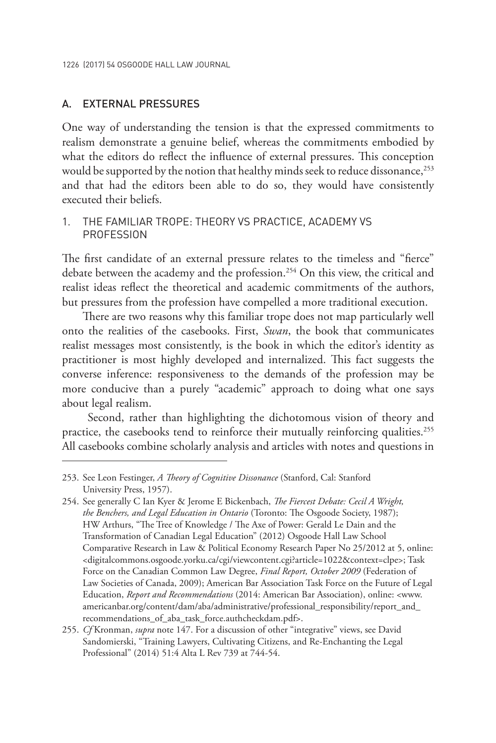#### A. EXTERNAL PRESSURES

One way of understanding the tension is that the expressed commitments to realism demonstrate a genuine belief, whereas the commitments embodied by what the editors do reflect the influence of external pressures. This conception would be supported by the notion that healthy minds seek to reduce dissonance,<sup>253</sup> and that had the editors been able to do so, they would have consistently executed their beliefs.

### 1. THE FAMILIAR TROPE: THEORY VS PRACTICE, ACADEMY VS **PROFESSION**

The first candidate of an external pressure relates to the timeless and "fierce" debate between the academy and the profession.<sup>254</sup> On this view, the critical and realist ideas reflect the theoretical and academic commitments of the authors, but pressures from the profession have compelled a more traditional execution.

There are two reasons why this familiar trope does not map particularly well onto the realities of the casebooks. First, *Swan*, the book that communicates realist messages most consistently, is the book in which the editor's identity as practitioner is most highly developed and internalized. This fact suggests the converse inference: responsiveness to the demands of the profession may be more conducive than a purely "academic" approach to doing what one says about legal realism.

 Second, rather than highlighting the dichotomous vision of theory and practice, the casebooks tend to reinforce their mutually reinforcing qualities.<sup>255</sup> All casebooks combine scholarly analysis and articles with notes and questions in

<sup>253.</sup> See Leon Festinger, *A Theory of Cognitive Dissonance* (Stanford, Cal: Stanford University Press, 1957).

<sup>254.</sup> See generally C Ian Kyer & Jerome E Bickenbach, *The Fiercest Debate: Cecil A Wright, the Benchers, and Legal Education in Ontario* (Toronto: The Osgoode Society, 1987); HW Arthurs, "The Tree of Knowledge / The Axe of Power: Gerald Le Dain and the Transformation of Canadian Legal Education" (2012) Osgoode Hall Law School Comparative Research in Law & Political Economy Research Paper No 25/2012 at 5, online: <digitalcommons.osgoode.yorku.ca/cgi/viewcontent.cgi?article=1022&context=clpe>; Task Force on the Canadian Common Law Degree, *Final Report, October 2009* (Federation of Law Societies of Canada, 2009); American Bar Association Task Force on the Future of Legal Education, *Report and Recommendations* (2014: American Bar Association), online: <www. americanbar.org/content/dam/aba/administrative/professional\_responsibility/report\_and\_ recommendations\_of\_aba\_task\_force.authcheckdam.pdf>.

<sup>255.</sup> *Cf* Kronman, *supra* note 147. For a discussion of other "integrative" views, see David Sandomierski, "Training Lawyers, Cultivating Citizens, and Re-Enchanting the Legal Professional" (2014) 51:4 Alta L Rev 739 at 744-54.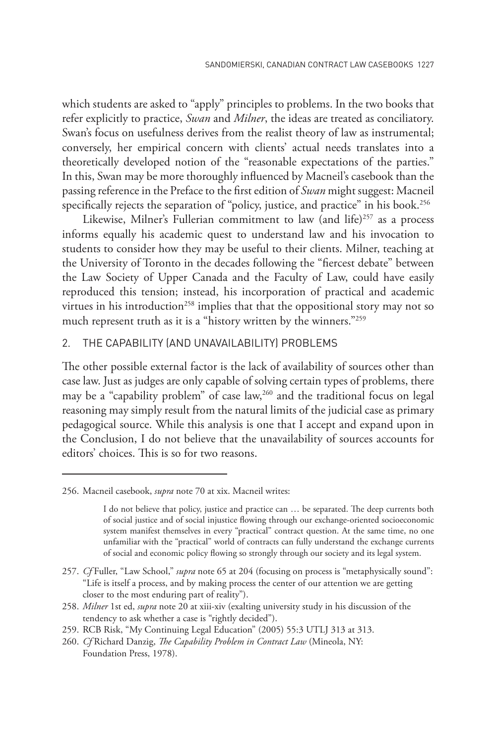which students are asked to "apply" principles to problems. In the two books that refer explicitly to practice, *Swan* and *Milner*, the ideas are treated as conciliatory. Swan's focus on usefulness derives from the realist theory of law as instrumental; conversely, her empirical concern with clients' actual needs translates into a theoretically developed notion of the "reasonable expectations of the parties." In this, Swan may be more thoroughly influenced by Macneil's casebook than the passing reference in the Preface to the first edition of *Swan* might suggest: Macneil specifically rejects the separation of "policy, justice, and practice" in his book.<sup>256</sup>

Likewise, Milner's Fullerian commitment to law (and life)<sup>257</sup> as a process informs equally his academic quest to understand law and his invocation to students to consider how they may be useful to their clients. Milner, teaching at the University of Toronto in the decades following the "fiercest debate" between the Law Society of Upper Canada and the Faculty of Law, could have easily reproduced this tension; instead, his incorporation of practical and academic virtues in his introduction<sup>258</sup> implies that that the oppositional story may not so much represent truth as it is a "history written by the winners."<sup>259</sup>

#### 2. THE CAPABILITY (AND UNAVAILABILITY) PROBLEMS

The other possible external factor is the lack of availability of sources other than case law. Just as judges are only capable of solving certain types of problems, there may be a "capability problem" of case law,<sup>260</sup> and the traditional focus on legal reasoning may simply result from the natural limits of the judicial case as primary pedagogical source. While this analysis is one that I accept and expand upon in the Conclusion, I do not believe that the unavailability of sources accounts for editors' choices. This is so for two reasons.

<sup>256.</sup> Macneil casebook, *supra* note 70 at xix. Macneil writes:

I do not believe that policy, justice and practice can … be separated. The deep currents both of social justice and of social injustice flowing through our exchange-oriented socioeconomic system manifest themselves in every "practical" contract question. At the same time, no one unfamiliar with the "practical" world of contracts can fully understand the exchange currents of social and economic policy flowing so strongly through our society and its legal system.

<sup>257.</sup> *Cf* Fuller, "Law School," *supra* note 65 at 204 (focusing on process is "metaphysically sound": "Life is itself a process, and by making process the center of our attention we are getting closer to the most enduring part of reality").

<sup>258.</sup> *Milner* 1st ed, *supra* note 20 at xiii-xiv (exalting university study in his discussion of the tendency to ask whether a case is "rightly decided").

<sup>259.</sup> RCB Risk, "My Continuing Legal Education" (2005) 55:3 UTLJ 313 at 313.

<sup>260.</sup> *Cf* Richard Danzig, *The Capability Problem in Contract Law* (Mineola, NY: Foundation Press, 1978).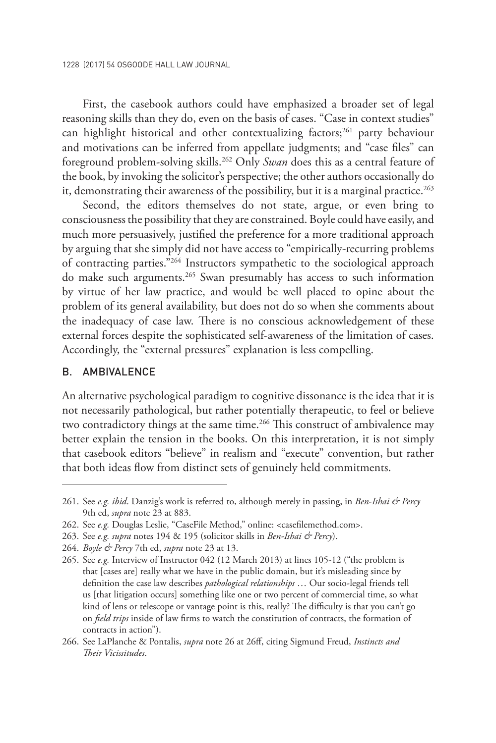First, the casebook authors could have emphasized a broader set of legal reasoning skills than they do, even on the basis of cases. "Case in context studies" can highlight historical and other contextualizing factors;<sup>261</sup> party behaviour and motivations can be inferred from appellate judgments; and "case files" can foreground problem-solving skills.262 Only *Swan* does this as a central feature of the book, by invoking the solicitor's perspective; the other authors occasionally do it, demonstrating their awareness of the possibility, but it is a marginal practice.<sup>263</sup>

Second, the editors themselves do not state, argue, or even bring to consciousness the possibility that they are constrained. Boyle could have easily, and much more persuasively, justified the preference for a more traditional approach by arguing that she simply did not have access to "empirically-recurring problems of contracting parties."264 Instructors sympathetic to the sociological approach do make such arguments.265 Swan presumably has access to such information by virtue of her law practice, and would be well placed to opine about the problem of its general availability, but does not do so when she comments about the inadequacy of case law. There is no conscious acknowledgement of these external forces despite the sophisticated self-awareness of the limitation of cases. Accordingly, the "external pressures" explanation is less compelling.

### B. AMBIVALENCE

An alternative psychological paradigm to cognitive dissonance is the idea that it is not necessarily pathological, but rather potentially therapeutic, to feel or believe two contradictory things at the same time.<sup>266</sup> This construct of ambivalence may better explain the tension in the books. On this interpretation, it is not simply that casebook editors "believe" in realism and "execute" convention, but rather that both ideas flow from distinct sets of genuinely held commitments.

<sup>261.</sup> See *e.g. ibid*. Danzig's work is referred to, although merely in passing, in *Ben-Ishai & Percy*  9th ed, *supra* note 23 at 883.

<sup>262.</sup> See *e.g.* Douglas Leslie, "CaseFile Method," online: <casefilemethod.com>.

<sup>263.</sup> See *e.g. supra* notes 194 & 195 (solicitor skills in *Ben-Ishai & Percy*).

<sup>264.</sup> *Boyle & Percy* 7th ed, *supra* note 23 at 13.

<sup>265.</sup> See *e.g.* Interview of Instructor 042 (12 March 2013) at lines 105-12 ("the problem is that [cases are] really what we have in the public domain, but it's misleading since by definition the case law describes *pathological relationships* … Our socio-legal friends tell us [that litigation occurs] something like one or two percent of commercial time, so what kind of lens or telescope or vantage point is this, really? The difficulty is that you can't go on *field trips* inside of law firms to watch the constitution of contracts, the formation of contracts in action").

<sup>266.</sup> See LaPlanche & Pontalis, *supra* note 26 at 26ff, citing Sigmund Freud, *Instincts and Their Vicissitudes*.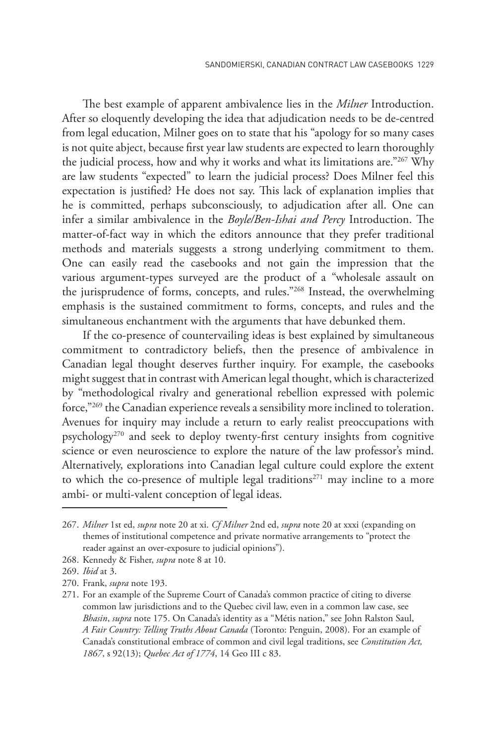The best example of apparent ambivalence lies in the *Milner* Introduction. After so eloquently developing the idea that adjudication needs to be de-centred from legal education, Milner goes on to state that his "apology for so many cases is not quite abject, because first year law students are expected to learn thoroughly the judicial process, how and why it works and what its limitations are."267 Why are law students "expected" to learn the judicial process? Does Milner feel this expectation is justified? He does not say. This lack of explanation implies that he is committed, perhaps subconsciously, to adjudication after all. One can infer a similar ambivalence in the *Boyle/Ben-Ishai and Percy* Introduction. The matter-of-fact way in which the editors announce that they prefer traditional methods and materials suggests a strong underlying commitment to them. One can easily read the casebooks and not gain the impression that the various argument-types surveyed are the product of a "wholesale assault on the jurisprudence of forms, concepts, and rules."268 Instead, the overwhelming emphasis is the sustained commitment to forms, concepts, and rules and the simultaneous enchantment with the arguments that have debunked them.

If the co-presence of countervailing ideas is best explained by simultaneous commitment to contradictory beliefs, then the presence of ambivalence in Canadian legal thought deserves further inquiry. For example, the casebooks might suggest that in contrast with American legal thought, which is characterized by "methodological rivalry and generational rebellion expressed with polemic force,"269 the Canadian experience reveals a sensibility more inclined to toleration. Avenues for inquiry may include a return to early realist preoccupations with psychology270 and seek to deploy twenty-first century insights from cognitive science or even neuroscience to explore the nature of the law professor's mind. Alternatively, explorations into Canadian legal culture could explore the extent to which the co-presence of multiple legal traditions<sup>271</sup> may incline to a more ambi- or multi-valent conception of legal ideas.

<sup>267.</sup> *Milner* 1st ed, *supra* note 20 at xi. *Cf Milner* 2nd ed, *supra* note 20 at xxxi (expanding on themes of institutional competence and private normative arrangements to "protect the reader against an over-exposure to judicial opinions").

<sup>268.</sup> Kennedy & Fisher, *supra* note 8 at 10.

<sup>269.</sup> *Ibid* at 3.

<sup>270.</sup> Frank, *supra* note 193.

<sup>271.</sup> For an example of the Supreme Court of Canada's common practice of citing to diverse common law jurisdictions and to the Quebec civil law, even in a common law case, see *Bhasin*, *supra* note 175. On Canada's identity as a "Métis nation," see John Ralston Saul, *A Fair Country: Telling Truths About Canada* (Toronto: Penguin, 2008). For an example of Canada's constitutional embrace of common and civil legal traditions, see *Constitution Act, 1867*, s 92(13); *Quebec Act of 1774*, 14 Geo III c 83.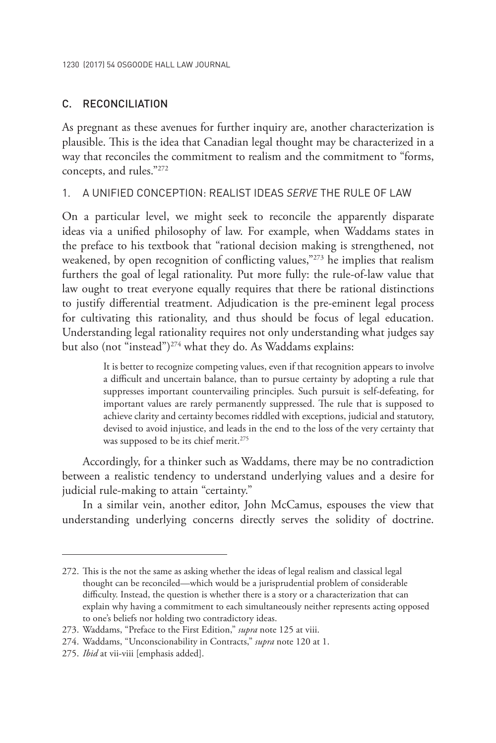### C. RECONCILIATION

As pregnant as these avenues for further inquiry are, another characterization is plausible. This is the idea that Canadian legal thought may be characterized in a way that reconciles the commitment to realism and the commitment to "forms, concepts, and rules."272

### 1. A UNIFIED CONCEPTION: REALIST IDEAS *SERVE* THE RULE OF LAW

On a particular level, we might seek to reconcile the apparently disparate ideas via a unified philosophy of law. For example, when Waddams states in the preface to his textbook that "rational decision making is strengthened, not weakened, by open recognition of conflicting values,"273 he implies that realism furthers the goal of legal rationality. Put more fully: the rule-of-law value that law ought to treat everyone equally requires that there be rational distinctions to justify differential treatment. Adjudication is the pre-eminent legal process for cultivating this rationality, and thus should be focus of legal education. Understanding legal rationality requires not only understanding what judges say but also (not "instead")<sup>274</sup> what they do. As Waddams explains:

> It is better to recognize competing values, even if that recognition appears to involve a difficult and uncertain balance, than to pursue certainty by adopting a rule that suppresses important countervailing principles. Such pursuit is self-defeating, for important values are rarely permanently suppressed. The rule that is supposed to achieve clarity and certainty becomes riddled with exceptions, judicial and statutory, devised to avoid injustice, and leads in the end to the loss of the very certainty that was supposed to be its chief merit.<sup>275</sup>

Accordingly, for a thinker such as Waddams, there may be no contradiction between a realistic tendency to understand underlying values and a desire for judicial rule-making to attain "certainty."

In a similar vein, another editor, John McCamus, espouses the view that understanding underlying concerns directly serves the solidity of doctrine.

<sup>272.</sup> This is the not the same as asking whether the ideas of legal realism and classical legal thought can be reconciled—which would be a jurisprudential problem of considerable difficulty. Instead, the question is whether there is a story or a characterization that can explain why having a commitment to each simultaneously neither represents acting opposed to one's beliefs nor holding two contradictory ideas.

<sup>273.</sup> Waddams, "Preface to the First Edition," *supra* note 125 at viii.

<sup>274.</sup> Waddams, "Unconscionability in Contracts," *supra* note 120 at 1.

<sup>275.</sup> *Ibid* at vii-viii [emphasis added].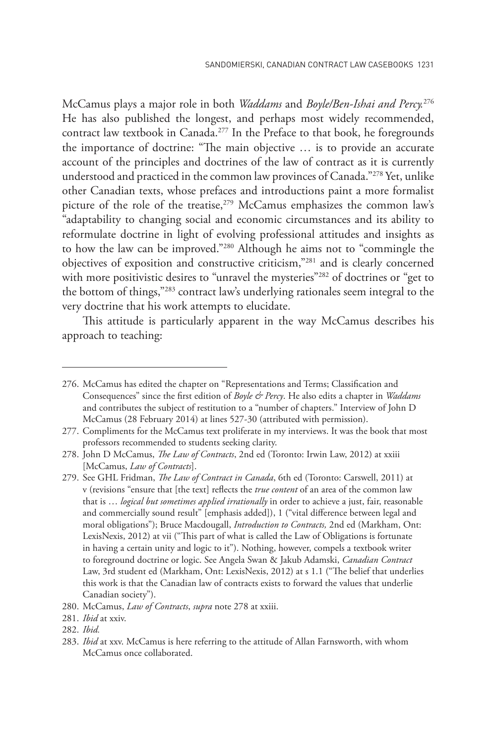McCamus plays a major role in both *Waddams* and *Boyle/Ben-Ishai and Percy.*<sup>276</sup> He has also published the longest, and perhaps most widely recommended, contract law textbook in Canada.277 In the Preface to that book, he foregrounds the importance of doctrine: "The main objective … is to provide an accurate account of the principles and doctrines of the law of contract as it is currently understood and practiced in the common law provinces of Canada."278 Yet, unlike other Canadian texts, whose prefaces and introductions paint a more formalist picture of the role of the treatise,<sup>279</sup> McCamus emphasizes the common law's "adaptability to changing social and economic circumstances and its ability to reformulate doctrine in light of evolving professional attitudes and insights as to how the law can be improved."280 Although he aims not to "commingle the objectives of exposition and constructive criticism,"281 and is clearly concerned with more positivistic desires to "unravel the mysteries"<sup>282</sup> of doctrines or "get to the bottom of things,"283 contract law's underlying rationales seem integral to the very doctrine that his work attempts to elucidate.

This attitude is particularly apparent in the way McCamus describes his approach to teaching:

<sup>276.</sup> McCamus has edited the chapter on "Representations and Terms; Classification and Consequences" since the first edition of *Boyle & Percy*. He also edits a chapter in *Waddams* and contributes the subject of restitution to a "number of chapters." Interview of John D McCamus (28 February 2014) at lines 527-30 (attributed with permission).

<sup>277.</sup> Compliments for the McCamus text proliferate in my interviews. It was the book that most professors recommended to students seeking clarity.

<sup>278.</sup> John D McCamus, *The Law of Contracts*, 2nd ed (Toronto: Irwin Law, 2012) at xxiii [McCamus, *Law of Contracts*].

<sup>279.</sup> See GHL Fridman, *The Law of Contract in Canada*, 6th ed (Toronto: Carswell, 2011) at v (revisions "ensure that [the text] reflects the *true content* of an area of the common law that is … *logical but sometimes applied irrationally* in order to achieve a just, fair, reasonable and commercially sound result" [emphasis added]), 1 ("vital difference between legal and moral obligations"); Bruce Macdougall, *Introduction to Contracts,* 2nd ed (Markham, Ont: LexisNexis, 2012) at vii ("This part of what is called the Law of Obligations is fortunate in having a certain unity and logic to it"). Nothing, however, compels a textbook writer to foreground doctrine or logic. See Angela Swan & Jakub Adamski, *Canadian Contract*  Law, 3rd student ed (Markham, Ont: LexisNexis, 2012) at s 1.1 ("The belief that underlies this work is that the Canadian law of contracts exists to forward the values that underlie Canadian society").

<sup>280.</sup> McCamus, *Law of Contracts*, *supra* note 278 at xxiii.

<sup>281.</sup> *Ibid* at xxiv.

<sup>282.</sup> *Ibid.*

<sup>283.</sup> *Ibid* at xxv. McCamus is here referring to the attitude of Allan Farnsworth, with whom McCamus once collaborated.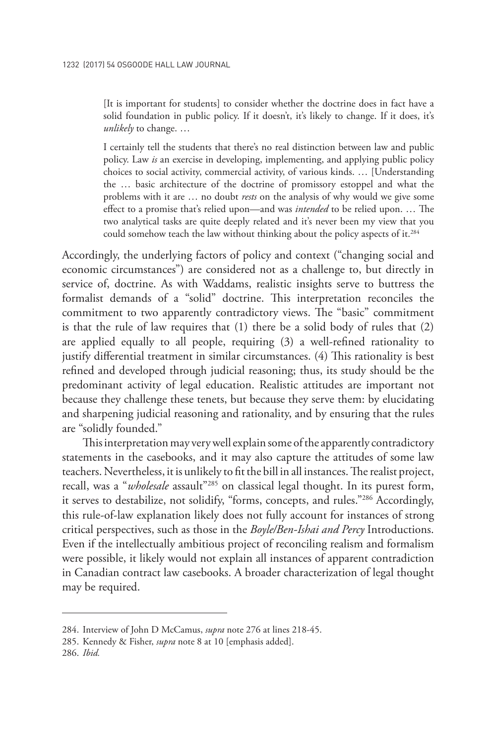[It is important for students] to consider whether the doctrine does in fact have a solid foundation in public policy. If it doesn't, it's likely to change. If it does, it's *unlikely* to change. …

I certainly tell the students that there's no real distinction between law and public policy. Law *is* an exercise in developing, implementing, and applying public policy choices to social activity, commercial activity, of various kinds. … [Understanding the … basic architecture of the doctrine of promissory estoppel and what the problems with it are … no doubt *rests* on the analysis of why would we give some effect to a promise that's relied upon—and was *intended* to be relied upon. … The two analytical tasks are quite deeply related and it's never been my view that you could somehow teach the law without thinking about the policy aspects of it.<sup>284</sup>

Accordingly, the underlying factors of policy and context ("changing social and economic circumstances") are considered not as a challenge to, but directly in service of, doctrine. As with Waddams, realistic insights serve to buttress the formalist demands of a "solid" doctrine. This interpretation reconciles the commitment to two apparently contradictory views. The "basic" commitment is that the rule of law requires that (1) there be a solid body of rules that (2) are applied equally to all people, requiring (3) a well-refined rationality to justify differential treatment in similar circumstances. (4) This rationality is best refined and developed through judicial reasoning; thus, its study should be the predominant activity of legal education. Realistic attitudes are important not because they challenge these tenets, but because they serve them: by elucidating and sharpening judicial reasoning and rationality, and by ensuring that the rules are "solidly founded."

This interpretation may very well explain some of the apparently contradictory statements in the casebooks, and it may also capture the attitudes of some law teachers. Nevertheless, it is unlikely to fit the bill in all instances. The realist project, recall, was a "*wholesale* assault<sup>"285</sup> on classical legal thought. In its purest form, it serves to destabilize, not solidify, "forms, concepts, and rules."286 Accordingly, this rule-of-law explanation likely does not fully account for instances of strong critical perspectives, such as those in the *Boyle/Ben-Ishai and Percy* Introductions. Even if the intellectually ambitious project of reconciling realism and formalism were possible, it likely would not explain all instances of apparent contradiction in Canadian contract law casebooks. A broader characterization of legal thought may be required.

286. *Ibid.*

<sup>284.</sup> Interview of John D McCamus, *supra* note 276 at lines 218-45.

<sup>285.</sup> Kennedy & Fisher, *supra* note 8 at 10 [emphasis added].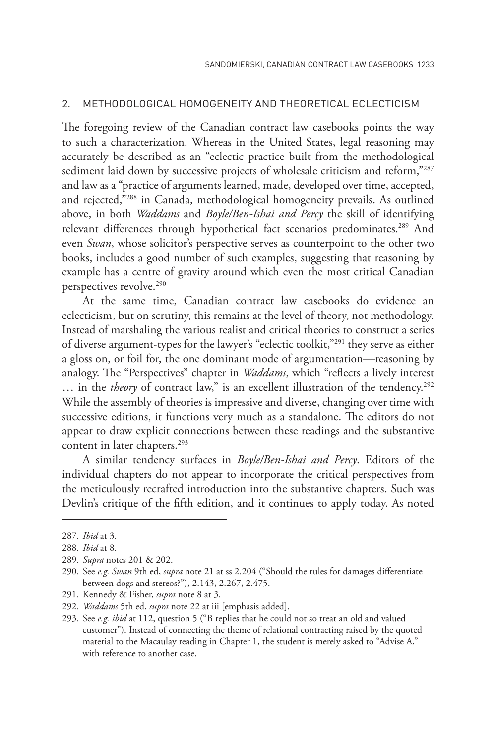#### 2. METHODOLOGICAL HOMOGENEITY AND THEORETICAL ECLECTICISM

The foregoing review of the Canadian contract law casebooks points the way to such a characterization. Whereas in the United States, legal reasoning may accurately be described as an "eclectic practice built from the methodological sediment laid down by successive projects of wholesale criticism and reform,"287 and law as a "practice of arguments learned, made, developed over time, accepted, and rejected,"288 in Canada, methodological homogeneity prevails. As outlined above, in both *Waddams* and *Boyle/Ben-Ishai and Percy* the skill of identifying relevant differences through hypothetical fact scenarios predominates.<sup>289</sup> And even *Swan*, whose solicitor's perspective serves as counterpoint to the other two books, includes a good number of such examples, suggesting that reasoning by example has a centre of gravity around which even the most critical Canadian perspectives revolve.<sup>290</sup>

At the same time, Canadian contract law casebooks do evidence an eclecticism, but on scrutiny, this remains at the level of theory, not methodology. Instead of marshaling the various realist and critical theories to construct a series of diverse argument-types for the lawyer's "eclectic toolkit,"291 they serve as either a gloss on, or foil for, the one dominant mode of argumentation—reasoning by analogy. The "Perspectives" chapter in *Waddams*, which "reflects a lively interest ... in the *theory* of contract law," is an excellent illustration of the tendency.<sup>292</sup> While the assembly of theories is impressive and diverse, changing over time with successive editions, it functions very much as a standalone. The editors do not appear to draw explicit connections between these readings and the substantive content in later chapters.293

A similar tendency surfaces in *Boyle/Ben-Ishai and Percy*. Editors of the individual chapters do not appear to incorporate the critical perspectives from the meticulously recrafted introduction into the substantive chapters. Such was Devlin's critique of the fifth edition, and it continues to apply today. As noted

<sup>287.</sup> *Ibid* at 3.

<sup>288.</sup> *Ibid* at 8.

<sup>289.</sup> *Supra* notes 201 & 202.

<sup>290.</sup> See *e.g. Swan* 9th ed, *supra* note 21 at ss 2.204 ("Should the rules for damages differentiate between dogs and stereos?"), 2.143, 2.267, 2.475.

<sup>291.</sup> Kennedy & Fisher, *supra* note 8 at 3.

<sup>292.</sup> *Waddams* 5th ed, *supra* note 22 at iii [emphasis added].

<sup>293.</sup> See *e.g. ibid* at 112, question 5 ("B replies that he could not so treat an old and valued customer"). Instead of connecting the theme of relational contracting raised by the quoted material to the Macaulay reading in Chapter 1, the student is merely asked to "Advise A," with reference to another case.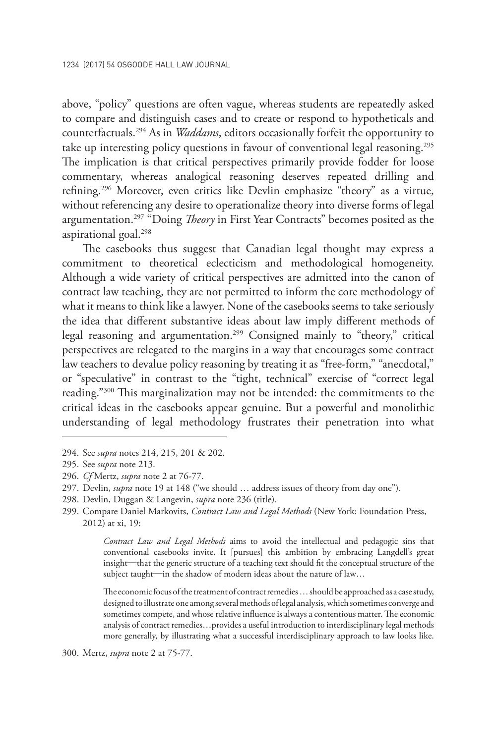above, "policy" questions are often vague, whereas students are repeatedly asked to compare and distinguish cases and to create or respond to hypotheticals and counterfactuals.294 As in *Waddams*, editors occasionally forfeit the opportunity to take up interesting policy questions in favour of conventional legal reasoning.<sup>295</sup> The implication is that critical perspectives primarily provide fodder for loose commentary, whereas analogical reasoning deserves repeated drilling and refining.296 Moreover, even critics like Devlin emphasize "theory" as a virtue, without referencing any desire to operationalize theory into diverse forms of legal argumentation.297 "Doing *Theory* in First Year Contracts" becomes posited as the aspirational goal.298

The casebooks thus suggest that Canadian legal thought may express a commitment to theoretical eclecticism and methodological homogeneity. Although a wide variety of critical perspectives are admitted into the canon of contract law teaching, they are not permitted to inform the core methodology of what it means to think like a lawyer. None of the casebooks seems to take seriously the idea that different substantive ideas about law imply different methods of legal reasoning and argumentation.<sup>299</sup> Consigned mainly to "theory," critical perspectives are relegated to the margins in a way that encourages some contract law teachers to devalue policy reasoning by treating it as "free-form," "anecdotal," or "speculative" in contrast to the "tight, technical" exercise of "correct legal reading."300 This marginalization may not be intended: the commitments to the critical ideas in the casebooks appear genuine. But a powerful and monolithic understanding of legal methodology frustrates their penetration into what

*Contract Law and Legal Methods* aims to avoid the intellectual and pedagogic sins that conventional casebooks invite. It [pursues] this ambition by embracing Langdell's great insight—that the generic structure of a teaching text should fit the conceptual structure of the subject taught—in the shadow of modern ideas about the nature of law…

The economic focus of the treatment of contract remedies … should be approached as a case study, designed to illustrate one among several methods of legal analysis, which sometimes converge and sometimes compete, and whose relative influence is always a contentious matter. The economic analysis of contract remedies…provides a useful introduction to interdisciplinary legal methods more generally, by illustrating what a successful interdisciplinary approach to law looks like.

300. Mertz, *supra* note 2 at 75-77.

<sup>294.</sup> See *supra* notes 214, 215, 201 & 202.

<sup>295.</sup> See *supra* note 213.

<sup>296.</sup> *Cf* Mertz, *supra* note 2 at 76-77.

<sup>297.</sup> Devlin, *supra* note 19 at 148 ("we should … address issues of theory from day one").

<sup>298.</sup> Devlin, Duggan & Langevin, *supra* note 236 (title).

<sup>299.</sup> Compare Daniel Markovits, *Contract Law and Legal Methods* (New York: Foundation Press, 2012) at xi, 19: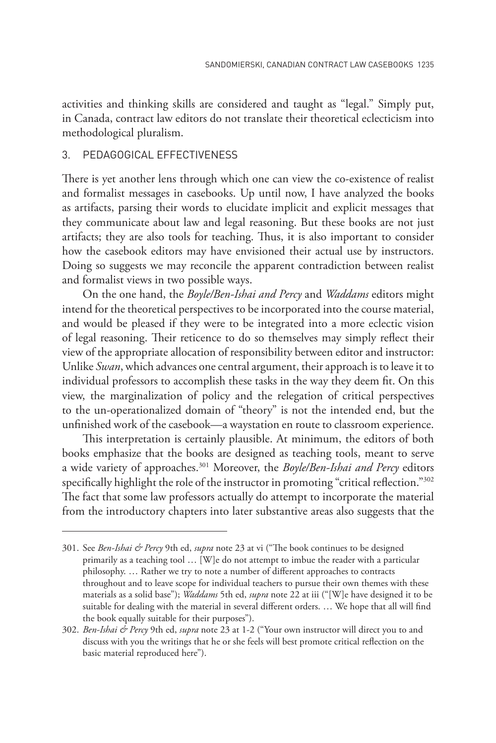activities and thinking skills are considered and taught as "legal." Simply put, in Canada, contract law editors do not translate their theoretical eclecticism into methodological pluralism.

### 3. PEDAGOGICAL EFFECTIVENESS

There is yet another lens through which one can view the co-existence of realist and formalist messages in casebooks. Up until now, I have analyzed the books as artifacts, parsing their words to elucidate implicit and explicit messages that they communicate about law and legal reasoning. But these books are not just artifacts; they are also tools for teaching. Thus, it is also important to consider how the casebook editors may have envisioned their actual use by instructors. Doing so suggests we may reconcile the apparent contradiction between realist and formalist views in two possible ways.

On the one hand, the *Boyle/Ben-Ishai and Percy* and *Waddams* editors might intend for the theoretical perspectives to be incorporated into the course material, and would be pleased if they were to be integrated into a more eclectic vision of legal reasoning. Their reticence to do so themselves may simply reflect their view of the appropriate allocation of responsibility between editor and instructor: Unlike *Swan*, which advances one central argument, their approach is to leave it to individual professors to accomplish these tasks in the way they deem fit. On this view, the marginalization of policy and the relegation of critical perspectives to the un-operationalized domain of "theory" is not the intended end, but the unfinished work of the casebook—a waystation en route to classroom experience.

This interpretation is certainly plausible. At minimum, the editors of both books emphasize that the books are designed as teaching tools, meant to serve a wide variety of approaches.301 Moreover, the *Boyle/Ben-Ishai and Percy* editors specifically highlight the role of the instructor in promoting "critical reflection."<sup>302</sup> The fact that some law professors actually do attempt to incorporate the material from the introductory chapters into later substantive areas also suggests that the

<sup>301.</sup> See *Ben-Ishai & Percy* 9th ed, *supra* note 23 at vi ("The book continues to be designed primarily as a teaching tool … [W]e do not attempt to imbue the reader with a particular philosophy. … Rather we try to note a number of different approaches to contracts throughout and to leave scope for individual teachers to pursue their own themes with these materials as a solid base"); *Waddams* 5th ed, *supra* note 22 at iii ("[W]e have designed it to be suitable for dealing with the material in several different orders. … We hope that all will find the book equally suitable for their purposes").

<sup>302.</sup> *Ben-Ishai & Percy* 9th ed, *supra* note 23 at 1-2 ("Your own instructor will direct you to and discuss with you the writings that he or she feels will best promote critical reflection on the basic material reproduced here").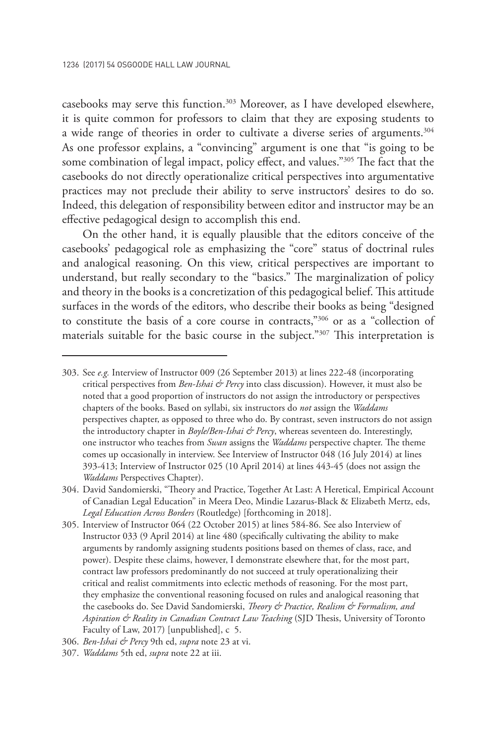casebooks may serve this function.303 Moreover, as I have developed elsewhere, it is quite common for professors to claim that they are exposing students to a wide range of theories in order to cultivate a diverse series of arguments.304 As one professor explains, a "convincing" argument is one that "is going to be some combination of legal impact, policy effect, and values."305 The fact that the casebooks do not directly operationalize critical perspectives into argumentative practices may not preclude their ability to serve instructors' desires to do so. Indeed, this delegation of responsibility between editor and instructor may be an effective pedagogical design to accomplish this end.

On the other hand, it is equally plausible that the editors conceive of the casebooks' pedagogical role as emphasizing the "core" status of doctrinal rules and analogical reasoning. On this view, critical perspectives are important to understand, but really secondary to the "basics." The marginalization of policy and theory in the books is a concretization of this pedagogical belief. This attitude surfaces in the words of the editors, who describe their books as being "designed to constitute the basis of a core course in contracts,"306 or as a "collection of materials suitable for the basic course in the subject."307 This interpretation is

<sup>303.</sup> See *e.g.* Interview of Instructor 009 (26 September 2013) at lines 222-48 (incorporating critical perspectives from *Ben-Ishai & Percy* into class discussion). However, it must also be noted that a good proportion of instructors do not assign the introductory or perspectives chapters of the books. Based on syllabi, six instructors do *not* assign the *Waddams*  perspectives chapter, as opposed to three who do. By contrast, seven instructors do not assign the introductory chapter in *Boyle/Ben-Ishai & Percy*, whereas seventeen do. Interestingly, one instructor who teaches from *Swan* assigns the *Waddams* perspective chapter. The theme comes up occasionally in interview. See Interview of Instructor 048 (16 July 2014) at lines 393-413; Interview of Instructor 025 (10 April 2014) at lines 443-45 (does not assign the *Waddams* Perspectives Chapter).

<sup>304.</sup> David Sandomierski, "Theory and Practice, Together At Last: A Heretical, Empirical Account of Canadian Legal Education" in Meera Deo, Mindie Lazarus-Black & Elizabeth Mertz, eds, *Legal Education Across Borders* (Routledge) [forthcoming in 2018].

<sup>305.</sup> Interview of Instructor 064 (22 October 2015) at lines 584-86. See also Interview of Instructor 033 (9 April 2014) at line 480 (specifically cultivating the ability to make arguments by randomly assigning students positions based on themes of class, race, and power). Despite these claims, however, I demonstrate elsewhere that, for the most part, contract law professors predominantly do not succeed at truly operationalizing their critical and realist commitments into eclectic methods of reasoning. For the most part, they emphasize the conventional reasoning focused on rules and analogical reasoning that the casebooks do. See David Sandomierski, *Theory & Practice, Realism & Formalism, and Aspiration & Reality in Canadian Contract Law Teaching* (SJD Thesis, University of Toronto Faculty of Law, 2017) [unpublished], c 5.

<sup>306.</sup> *Ben-Ishai & Percy* 9th ed, *supra* note 23 at vi.

<sup>307.</sup> *Waddams* 5th ed, *supra* note 22 at iii.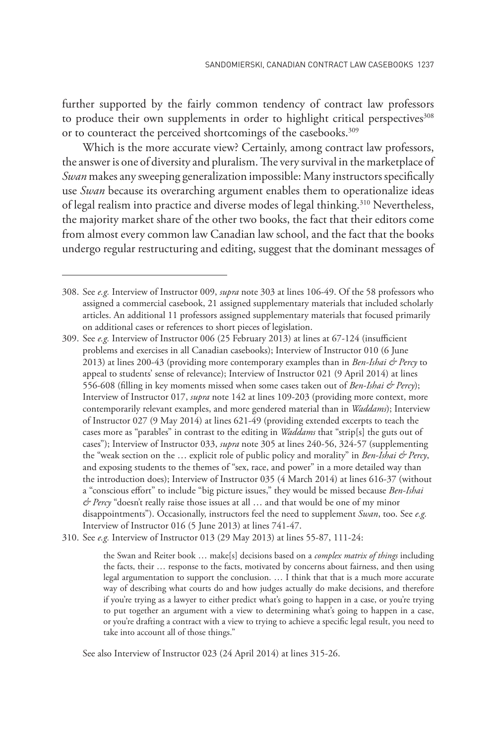further supported by the fairly common tendency of contract law professors to produce their own supplements in order to highlight critical perspectives<sup>308</sup> or to counteract the perceived shortcomings of the casebooks.<sup>309</sup>

Which is the more accurate view? Certainly, among contract law professors, the answer is one of diversity and pluralism. The very survival in the marketplace of *Swan* makes any sweeping generalization impossible: Many instructors specifically use *Swan* because its overarching argument enables them to operationalize ideas of legal realism into practice and diverse modes of legal thinking.<sup>310</sup> Nevertheless, the majority market share of the other two books, the fact that their editors come from almost every common law Canadian law school, and the fact that the books undergo regular restructuring and editing, suggest that the dominant messages of

310. See *e.g.* Interview of Instructor 013 (29 May 2013) at lines 55-87, 111-24:

the Swan and Reiter book … make[s] decisions based on a *complex matrix of things* including the facts, their … response to the facts, motivated by concerns about fairness, and then using legal argumentation to support the conclusion. … I think that that is a much more accurate way of describing what courts do and how judges actually do make decisions, and therefore if you're trying as a lawyer to either predict what's going to happen in a case, or you're trying to put together an argument with a view to determining what's going to happen in a case, or you're drafting a contract with a view to trying to achieve a specific legal result, you need to take into account all of those things."

See also Interview of Instructor 023 (24 April 2014) at lines 315-26.

<sup>308.</sup> See *e.g.* Interview of Instructor 009, *supra* note 303 at lines 106-49. Of the 58 professors who assigned a commercial casebook, 21 assigned supplementary materials that included scholarly articles. An additional 11 professors assigned supplementary materials that focused primarily on additional cases or references to short pieces of legislation.

<sup>309.</sup> See *e.g.* Interview of Instructor 006 (25 February 2013) at lines at 67-124 (insufficient problems and exercises in all Canadian casebooks); Interview of Instructor 010 (6 June 2013) at lines 200-43 (providing more contemporary examples than in *Ben-Ishai & Percy* to appeal to students' sense of relevance); Interview of Instructor 021 (9 April 2014) at lines 556-608 (filling in key moments missed when some cases taken out of *Ben-Ishai & Percy*); Interview of Instructor 017, *supra* note 142 at lines 109-203 (providing more context, more contemporarily relevant examples, and more gendered material than in *Waddams*); Interview of Instructor 027 (9 May 2014) at lines 621-49 (providing extended excerpts to teach the cases more as "parables" in contrast to the editing in *Waddams* that "strip[s] the guts out of cases"); Interview of Instructor 033, *supra* note 305 at lines 240-56, 324-57 (supplementing the "weak section on the … explicit role of public policy and morality" in *Ben-Ishai & Percy*, and exposing students to the themes of "sex, race, and power" in a more detailed way than the introduction does); Interview of Instructor 035 (4 March 2014) at lines 616-37 (without a "conscious effort" to include "big picture issues," they would be missed because *Ben-Ishai & Percy* "doesn't really raise those issues at all … and that would be one of my minor disappointments"). Occasionally, instructors feel the need to supplement *Swan*, too. See *e.g.* Interview of Instructor 016 (5 June 2013) at lines 741-47.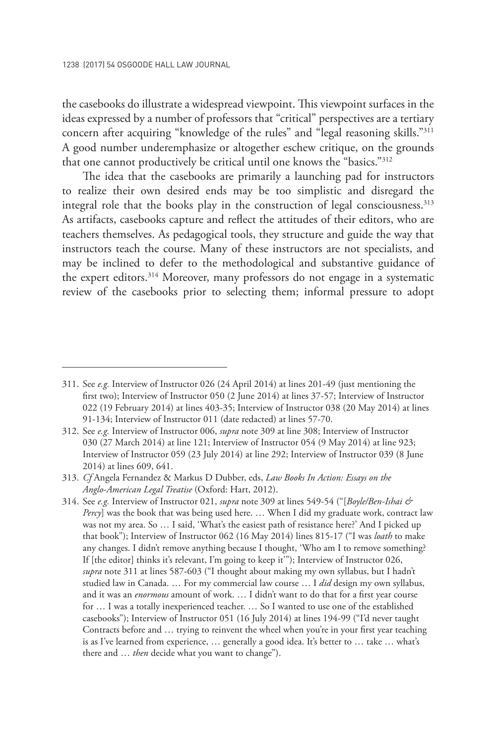the casebooks do illustrate a widespread viewpoint. This viewpoint surfaces in the ideas expressed by a number of professors that "critical" perspectives are a tertiary concern after acquiring "knowledge of the rules" and "legal reasoning skills."311 A good number underemphasize or altogether eschew critique, on the grounds that one cannot productively be critical until one knows the "basics."312

The idea that the casebooks are primarily a launching pad for instructors to realize their own desired ends may be too simplistic and disregard the integral role that the books play in the construction of legal consciousness.<sup>313</sup> As artifacts, casebooks capture and reflect the attitudes of their editors, who are teachers themselves. As pedagogical tools, they structure and guide the way that instructors teach the course. Many of these instructors are not specialists, and may be inclined to defer to the methodological and substantive guidance of the expert editors.314 Moreover, many professors do not engage in a systematic review of the casebooks prior to selecting them; informal pressure to adopt

<sup>311.</sup> See *e.g.* Interview of Instructor 026 (24 April 2014) at lines 201-49 (just mentioning the first two); Interview of Instructor 050 (2 June 2014) at lines 37-57; Interview of Instructor 022 (19 February 2014) at lines 403-35; Interview of Instructor 038 (20 May 2014) at lines 91-134; Interview of Instructor 011 (date redacted) at lines 57-70.

<sup>312.</sup> See *e.g.* Interview of Instructor 006, *supra* note 309 at line 308; Interview of Instructor 030 (27 March 2014) at line 121; Interview of Instructor 054 (9 May 2014) at line 923; Interview of Instructor 059 (23 July 2014) at line 292; Interview of Instructor 039 (8 June 2014) at lines 609, 641.

<sup>313.</sup> *Cf* Angela Fernandez & Markus D Dubber, eds, *Law Books In Action: Essays on the Anglo-American Legal Treatise* (Oxford: Hart, 2012).

<sup>314.</sup> See *e.g.* Interview of Instructor 021, *supra* note 309 at lines 549-54 ("[*Boyle/Ben-Ishai & Percy*] was the book that was being used here. … When I did my graduate work, contract law was not my area. So … I said, 'What's the easiest path of resistance here?' And I picked up that book"); Interview of Instructor 062 (16 May 2014) lines 815-17 ("I was *loath* to make any changes. I didn't remove anything because I thought, 'Who am I to remove something? If [the editor] thinks it's relevant, I'm going to keep it'"); Interview of Instructor 026, *supra* note 311 at lines 587-603 ("I thought about making my own syllabus, but I hadn't studied law in Canada. … For my commercial law course … I *did* design my own syllabus, and it was an *enormous* amount of work. … I didn't want to do that for a first year course for … I was a totally inexperienced teacher. … So I wanted to use one of the established casebooks"); Interview of Instructor 051 (16 July 2014) at lines 194-99 ("I'd never taught Contracts before and … trying to reinvent the wheel when you're in your first year teaching is as I've learned from experience, … generally a good idea. It's better to … take … what's there and … *then* decide what you want to change").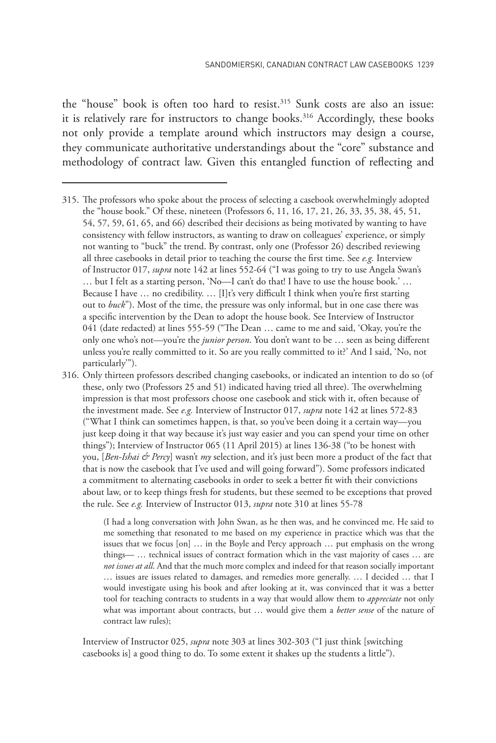the "house" book is often too hard to resist.315 Sunk costs are also an issue: it is relatively rare for instructors to change books.<sup>316</sup> Accordingly, these books not only provide a template around which instructors may design a course, they communicate authoritative understandings about the "core" substance and methodology of contract law. Given this entangled function of reflecting and

316. Only thirteen professors described changing casebooks, or indicated an intention to do so (of these, only two (Professors 25 and 51) indicated having tried all three). The overwhelming impression is that most professors choose one casebook and stick with it, often because of the investment made. See *e.g.* Interview of Instructor 017, *supra* note 142 at lines 572-83 ("What I think can sometimes happen, is that, so you've been doing it a certain way—you just keep doing it that way because it's just way easier and you can spend your time on other things"); Interview of Instructor 065 (11 April 2015) at lines 136-38 ("to be honest with you, [*Ben-Ishai & Percy*] wasn't *my* selection, and it's just been more a product of the fact that that is now the casebook that I've used and will going forward"). Some professors indicated a commitment to alternating casebooks in order to seek a better fit with their convictions about law, or to keep things fresh for students, but these seemed to be exceptions that proved the rule. See *e.g.* Interview of Instructor 013, *supra* note 310 at lines 55-78

> (I had a long conversation with John Swan, as he then was, and he convinced me. He said to me something that resonated to me based on my experience in practice which was that the issues that we focus [on] … in the Boyle and Percy approach … put emphasis on the wrong things— … technical issues of contract formation which in the vast majority of cases … are *not issues at all*. And that the much more complex and indeed for that reason socially important … issues are issues related to damages, and remedies more generally. … I decided … that I would investigate using his book and after looking at it, was convinced that it was a better tool for teaching contracts to students in a way that would allow them to *appreciate* not only what was important about contracts, but … would give them a *better sense* of the nature of contract law rules);

Interview of Instructor 025, *supra* note 303 at lines 302-303 ("I just think [switching casebooks is] a good thing to do. To some extent it shakes up the students a little").

<sup>315.</sup> The professors who spoke about the process of selecting a casebook overwhelmingly adopted the "house book." Of these, nineteen (Professors 6, 11, 16, 17, 21, 26, 33, 35, 38, 45, 51, 54, 57, 59, 61, 65, and 66) described their decisions as being motivated by wanting to have consistency with fellow instructors, as wanting to draw on colleagues' experience, or simply not wanting to "buck" the trend. By contrast, only one (Professor 26) described reviewing all three casebooks in detail prior to teaching the course the first time. See *e.g.* Interview of Instructor 017, *supra* note 142 at lines 552-64 ("I was going to try to use Angela Swan's … but I felt as a starting person, 'No—I can't do that! I have to use the house book.' … Because I have ... no credibility. ... [I]t's very difficult I think when you're first starting out to *buck*"). Most of the time, the pressure was only informal, but in one case there was a specific intervention by the Dean to adopt the house book. See Interview of Instructor 041 (date redacted) at lines 555-59 ("The Dean … came to me and said, 'Okay, you're the only one who's not—you're the *junior person*. You don't want to be … seen as being different unless you're really committed to it. So are you really committed to it?' And I said, 'No, not particularly'").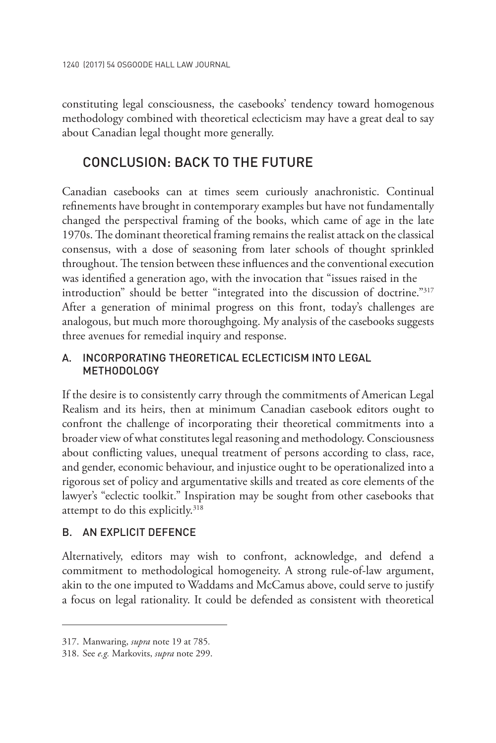constituting legal consciousness, the casebooks' tendency toward homogenous methodology combined with theoretical eclecticism may have a great deal to say about Canadian legal thought more generally.

### CONCLUSION: BACK TO THE FUTURE

Canadian casebooks can at times seem curiously anachronistic. Continual refinements have brought in contemporary examples but have not fundamentally changed the perspectival framing of the books, which came of age in the late 1970s. The dominant theoretical framing remains the realist attack on the classical consensus, with a dose of seasoning from later schools of thought sprinkled throughout. The tension between these influences and the conventional execution was identified a generation ago, with the invocation that "issues raised in the introduction" should be better "integrated into the discussion of doctrine."317 After a generation of minimal progress on this front, today's challenges are analogous, but much more thoroughgoing. My analysis of the casebooks suggests three avenues for remedial inquiry and response.

### A. INCORPORATING THEORETICAL ECLECTICISM INTO LEGAL METHODOLOGY

If the desire is to consistently carry through the commitments of American Legal Realism and its heirs, then at minimum Canadian casebook editors ought to confront the challenge of incorporating their theoretical commitments into a broader view of what constitutes legal reasoning and methodology. Consciousness about conflicting values, unequal treatment of persons according to class, race, and gender, economic behaviour, and injustice ought to be operationalized into a rigorous set of policy and argumentative skills and treated as core elements of the lawyer's "eclectic toolkit." Inspiration may be sought from other casebooks that attempt to do this explicitly.<sup>318</sup>

### B. AN EXPLICIT DEFENCE

Alternatively, editors may wish to confront, acknowledge, and defend a commitment to methodological homogeneity. A strong rule-of-law argument, akin to the one imputed to Waddams and McCamus above, could serve to justify a focus on legal rationality. It could be defended as consistent with theoretical

<sup>317.</sup> Manwaring, *supra* note 19 at 785*.*

<sup>318.</sup> See *e.g.* Markovits, *supra* note 299.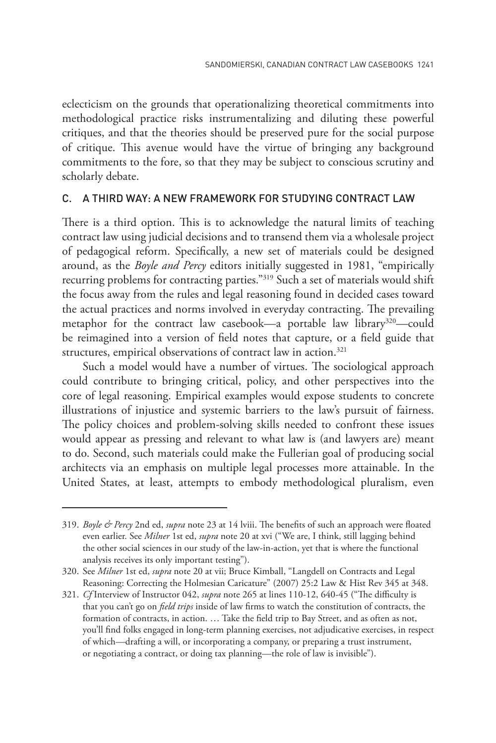eclecticism on the grounds that operationalizing theoretical commitments into methodological practice risks instrumentalizing and diluting these powerful critiques, and that the theories should be preserved pure for the social purpose of critique. This avenue would have the virtue of bringing any background commitments to the fore, so that they may be subject to conscious scrutiny and scholarly debate.

#### C. A THIRD WAY: A NEW FRAMEWORK FOR STUDYING CONTRACT LAW

There is a third option. This is to acknowledge the natural limits of teaching contract law using judicial decisions and to transend them via a wholesale project of pedagogical reform. Specifically, a new set of materials could be designed around, as the *Boyle and Percy* editors initially suggested in 1981, "empirically recurring problems for contracting parties."319 Such a set of materials would shift the focus away from the rules and legal reasoning found in decided cases toward the actual practices and norms involved in everyday contracting. The prevailing metaphor for the contract law casebook—a portable law library<sup>320</sup>—could be reimagined into a version of field notes that capture, or a field guide that structures, empirical observations of contract law in action.<sup>321</sup>

Such a model would have a number of virtues. The sociological approach could contribute to bringing critical, policy, and other perspectives into the core of legal reasoning. Empirical examples would expose students to concrete illustrations of injustice and systemic barriers to the law's pursuit of fairness. The policy choices and problem-solving skills needed to confront these issues would appear as pressing and relevant to what law is (and lawyers are) meant to do. Second, such materials could make the Fullerian goal of producing social architects via an emphasis on multiple legal processes more attainable. In the United States, at least, attempts to embody methodological pluralism, even

<sup>319.</sup> *Boyle & Percy* 2nd ed, *supra* note 23 at 14 lviii. The benefits of such an approach were floated even earlier. See *Milner* 1st ed, *supra* note 20 at xvi ("We are, I think, still lagging behind the other social sciences in our study of the law-in-action, yet that is where the functional analysis receives its only important testing").

<sup>320.</sup> See *Milner* 1st ed, *supra* note 20 at vii; Bruce Kimball, "Langdell on Contracts and Legal Reasoning: Correcting the Holmesian Caricature" (2007) 25:2 Law & Hist Rev 345 at 348.

<sup>321.</sup> *Cf* Interview of Instructor 042, *supra* note 265 at lines 110-12, 640-45 ("The difficulty is that you can't go on *field trips* inside of law firms to watch the constitution of contracts, the formation of contracts, in action. … Take the field trip to Bay Street, and as often as not, you'll find folks engaged in long-term planning exercises, not adjudicative exercises, in respect of which—drafting a will, or incorporating a company, or preparing a trust instrument, or negotiating a contract, or doing tax planning—the role of law is invisible").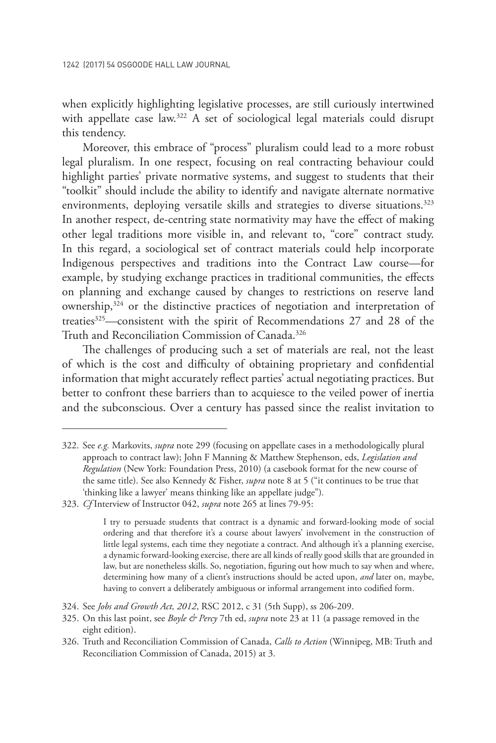when explicitly highlighting legislative processes, are still curiously intertwined with appellate case law.<sup>322</sup> A set of sociological legal materials could disrupt this tendency.

Moreover, this embrace of "process" pluralism could lead to a more robust legal pluralism. In one respect, focusing on real contracting behaviour could highlight parties' private normative systems, and suggest to students that their "toolkit" should include the ability to identify and navigate alternate normative environments, deploying versatile skills and strategies to diverse situations.<sup>323</sup> In another respect, de-centring state normativity may have the effect of making other legal traditions more visible in, and relevant to, "core" contract study. In this regard, a sociological set of contract materials could help incorporate Indigenous perspectives and traditions into the Contract Law course—for example, by studying exchange practices in traditional communities, the effects on planning and exchange caused by changes to restrictions on reserve land ownership,324 or the distinctive practices of negotiation and interpretation of treaties<sup>325</sup>—consistent with the spirit of Recommendations 27 and 28 of the Truth and Reconciliation Commission of Canada.<sup>326</sup>

The challenges of producing such a set of materials are real, not the least of which is the cost and difficulty of obtaining proprietary and confidential information that might accurately reflect parties' actual negotiating practices. But better to confront these barriers than to acquiesce to the veiled power of inertia and the subconscious. Over a century has passed since the realist invitation to

<sup>322.</sup> See *e.g.* Markovits, *supra* note 299 (focusing on appellate cases in a methodologically plural approach to contract law); John F Manning & Matthew Stephenson, eds, *Legislation and Regulation* (New York: Foundation Press, 2010) (a casebook format for the new course of the same title). See also Kennedy & Fisher, *supra* note 8 at 5 ("it continues to be true that 'thinking like a lawyer' means thinking like an appellate judge")*.*

<sup>323.</sup> *Cf* Interview of Instructor 042, *supra* note 265 at lines 79-95:

I try to persuade students that contract is a dynamic and forward-looking mode of social ordering and that therefore it's a course about lawyers' involvement in the construction of little legal systems, each time they negotiate a contract. And although it's a planning exercise, a dynamic forward-looking exercise, there are all kinds of really good skills that are grounded in law, but are nonetheless skills. So, negotiation, figuring out how much to say when and where, determining how many of a client's instructions should be acted upon, *and* later on, maybe, having to convert a deliberately ambiguous or informal arrangement into codified form.

<sup>324.</sup> See *Jobs and Growth Act, 2012*, RSC 2012, c 31 (5th Supp), ss 206-209.

<sup>325.</sup> On this last point, see *Boyle & Percy* 7th ed, *supra* note 23 at 11 (a passage removed in the eight edition).

<sup>326.</sup> Truth and Reconciliation Commission of Canada, *Calls to Action* (Winnipeg, MB: Truth and Reconciliation Commission of Canada, 2015) at 3.